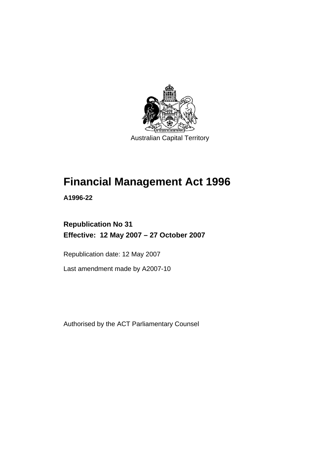

# **[Financial Management Act 1996](#page-10-0)**

**A1996-22** 

# **Republication No 31 Effective: 12 May 2007 – 27 October 2007**

Republication date: 12 May 2007

Last amendment made by A2007-10

Authorised by the ACT Parliamentary Counsel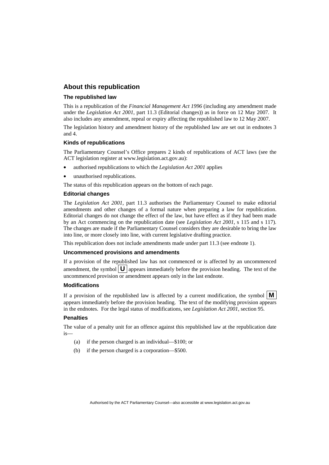#### **About this republication**

#### **The republished law**

This is a republication of the *Financial Management Act 1996* (including any amendment made under the *Legislation Act 2001*, part 11.3 (Editorial changes)) as in force on 12 May 2007*.* It also includes any amendment, repeal or expiry affecting the republished law to 12 May 2007.

The legislation history and amendment history of the republished law are set out in endnotes 3 and 4.

#### **Kinds of republications**

The Parliamentary Counsel's Office prepares 2 kinds of republications of ACT laws (see the ACT legislation register at www.legislation.act.gov.au):

- authorised republications to which the *Legislation Act 2001* applies
- unauthorised republications.

The status of this republication appears on the bottom of each page.

#### **Editorial changes**

The *Legislation Act 2001*, part 11.3 authorises the Parliamentary Counsel to make editorial amendments and other changes of a formal nature when preparing a law for republication. Editorial changes do not change the effect of the law, but have effect as if they had been made by an Act commencing on the republication date (see *Legislation Act 2001*, s 115 and s 117). The changes are made if the Parliamentary Counsel considers they are desirable to bring the law into line, or more closely into line, with current legislative drafting practice.

This republication does not include amendments made under part 11.3 (see endnote 1).

#### **Uncommenced provisions and amendments**

If a provision of the republished law has not commenced or is affected by an uncommenced amendment, the symbol  $\mathbf{U}$  appears immediately before the provision heading. The text of the uncommenced provision or amendment appears only in the last endnote.

#### **Modifications**

If a provision of the republished law is affected by a current modification, the symbol  $\mathbf{M}$ appears immediately before the provision heading. The text of the modifying provision appears in the endnotes. For the legal status of modifications, see *Legislation Act 2001*, section 95.

#### **Penalties**

The value of a penalty unit for an offence against this republished law at the republication date is—

- (a) if the person charged is an individual—\$100; or
- (b) if the person charged is a corporation—\$500.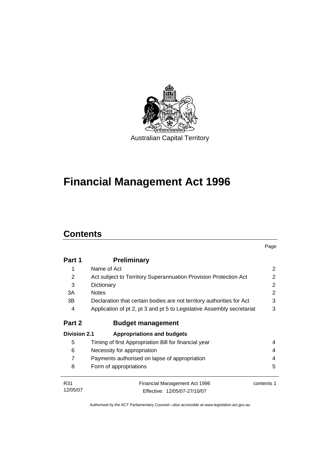

# **[Financial Management Act 1996](#page-10-0)**

## **Contents**

|                     |                                                                        | Page           |
|---------------------|------------------------------------------------------------------------|----------------|
| Part 1              | <b>Preliminary</b>                                                     |                |
| 1                   | Name of Act                                                            | 2              |
| 2                   | Act subject to Territory Superannuation Provision Protection Act       | 2              |
| 3                   | Dictionary                                                             | 2              |
| 3A                  | <b>Notes</b>                                                           | $\overline{2}$ |
| 3B                  | Declaration that certain bodies are not territory authorities for Act  | 3              |
| 4                   | Application of pt 2, pt 3 and pt 5 to Legislative Assembly secretariat | 3              |
| Part 2              | <b>Budget management</b>                                               |                |
| <b>Division 2.1</b> | <b>Appropriations and budgets</b>                                      |                |
| 5                   | Timing of first Appropriation Bill for financial year                  | 4              |
| 6                   | Necessity for appropriation                                            | 4              |
| $\overline{7}$      | Payments authorised on lapse of appropriation                          | 4              |
| 8                   | Form of appropriations                                                 | 5              |
| R31                 | <b>Financial Management Act 1996</b>                                   | contents 1     |
| 12/05/07            | Effective: 12/05/07-27/10/07                                           |                |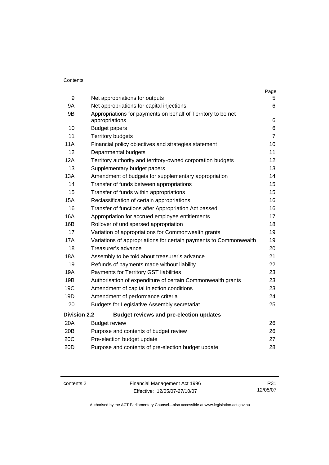#### **Contents**

|                     |                                                                                | Page           |
|---------------------|--------------------------------------------------------------------------------|----------------|
| 9                   | Net appropriations for outputs                                                 | 5.             |
| <b>9A</b>           | Net appropriations for capital injections                                      | 6              |
| 9B                  | Appropriations for payments on behalf of Territory to be net<br>appropriations | 6              |
| 10                  | <b>Budget papers</b>                                                           | 6              |
| 11                  | <b>Territory budgets</b>                                                       | $\overline{7}$ |
| 11A                 | Financial policy objectives and strategies statement                           | 10             |
| 12                  | Departmental budgets                                                           | 11             |
| 12A                 | Territory authority and territory-owned corporation budgets                    | 12             |
| 13                  | Supplementary budget papers                                                    | 13             |
| 13A                 | Amendment of budgets for supplementary appropriation                           | 14             |
| 14                  | Transfer of funds between appropriations                                       | 15             |
| 15                  | Transfer of funds within appropriations                                        | 15             |
| 15A                 | Reclassification of certain appropriations                                     | 16             |
| 16                  | Transfer of functions after Appropriation Act passed                           | 16             |
| 16A                 | Appropriation for accrued employee entitlements                                | 17             |
| 16B                 | Rollover of undispersed appropriation                                          | 18             |
| 17                  | Variation of appropriations for Commonwealth grants                            | 19             |
| <b>17A</b>          | Variations of appropriations for certain payments to Commonwealth              | 19             |
| 18                  | Treasurer's advance                                                            | 20             |
| <b>18A</b>          | Assembly to be told about treasurer's advance                                  | 21             |
| 19                  | Refunds of payments made without liability                                     | 22             |
| 19A                 | Payments for Territory GST liabilities                                         | 23             |
| 19B                 | Authorisation of expenditure of certain Commonwealth grants                    | 23             |
| 19C                 | Amendment of capital injection conditions                                      | 23             |
| 19D                 | Amendment of performance criteria                                              | 24             |
| 20                  | <b>Budgets for Legislative Assembly secretariat</b>                            | 25             |
| <b>Division 2.2</b> | <b>Budget reviews and pre-election updates</b>                                 |                |
| 20A                 | <b>Budget review</b>                                                           | 26             |
| 20B                 | Purpose and contents of budget review                                          | 26             |
| 20C                 | Pre-election budget update                                                     | 27             |
| 20D                 | Purpose and contents of pre-election budget update                             | 28             |

contents 2 Financial Management Act 1996 Effective: 12/05/07-27/10/07

R31 12/05/07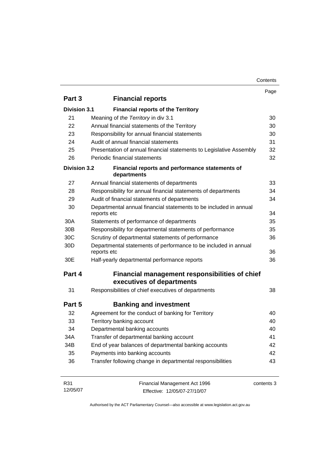| Contents |
|----------|
|----------|

|                     |                                                                                  | Page       |
|---------------------|----------------------------------------------------------------------------------|------------|
| Part 3              | <b>Financial reports</b>                                                         |            |
| <b>Division 3.1</b> | <b>Financial reports of the Territory</b>                                        |            |
| 21                  | Meaning of the Territory in div 3.1                                              | 30         |
| 22                  | Annual financial statements of the Territory                                     | 30         |
| 23                  | Responsibility for annual financial statements                                   | 30         |
| 24                  | Audit of annual financial statements                                             | 31         |
| 25                  | Presentation of annual financial statements to Legislative Assembly              | 32         |
| 26                  | Periodic financial statements                                                    | 32         |
| <b>Division 3.2</b> | Financial reports and performance statements of<br>departments                   |            |
| 27                  | Annual financial statements of departments                                       | 33         |
| 28                  | Responsibility for annual financial statements of departments                    | 34         |
| 29                  | Audit of financial statements of departments                                     | 34         |
| 30                  | Departmental annual financial statements to be included in annual<br>reports etc | 34         |
| 30A                 | Statements of performance of departments                                         | 35         |
| 30 <sub>B</sub>     | Responsibility for departmental statements of performance                        | 35         |
| 30C                 | Scrutiny of departmental statements of performance                               | 36         |
| 30 <sub>D</sub>     | Departmental statements of performance to be included in annual<br>reports etc   | 36         |
| 30E                 | Half-yearly departmental performance reports                                     | 36         |
| Part 4              | Financial management responsibilities of chief<br>executives of departments      |            |
| 31                  | Responsibilities of chief executives of departments                              | 38         |
| Part 5              | <b>Banking and investment</b>                                                    |            |
| 32                  | Agreement for the conduct of banking for Territory                               | 40         |
| 33                  | Territory banking account                                                        | 40         |
| 34                  | Departmental banking accounts                                                    | 40         |
| 34A                 | Transfer of departmental banking account                                         | 41         |
| 34B                 | End of year balances of departmental banking accounts                            | 42         |
| 35                  | Payments into banking accounts                                                   | 42         |
| 36                  | Transfer following change in departmental responsibilities                       | 43         |
| R31<br>12/05/07     | Financial Management Act 1996<br>Effective: 12/05/07-27/10/07                    | contents 3 |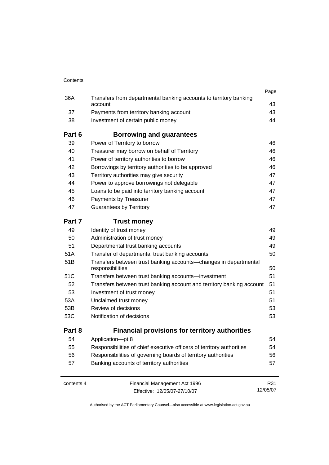| Contents   |                                                                                      |          |
|------------|--------------------------------------------------------------------------------------|----------|
|            |                                                                                      | Page     |
| 36A        | Transfers from departmental banking accounts to territory banking<br>account         | 43       |
| 37         | Payments from territory banking account                                              | 43       |
| 38         | Investment of certain public money                                                   | 44       |
| Part 6     | <b>Borrowing and guarantees</b>                                                      |          |
| 39         | Power of Territory to borrow                                                         | 46       |
| 40         | Treasurer may borrow on behalf of Territory                                          | 46       |
| 41         | Power of territory authorities to borrow                                             | 46       |
| 42         | Borrowings by territory authorities to be approved                                   | 46       |
| 43         | Territory authorities may give security                                              | 47       |
| 44         | Power to approve borrowings not delegable                                            | 47       |
| 45         | Loans to be paid into territory banking account                                      | 47       |
| 46         | Payments by Treasurer                                                                | 47       |
| 47         | <b>Guarantees by Territory</b>                                                       | 47       |
| Part 7     | <b>Trust money</b>                                                                   |          |
| 49         | Identity of trust money                                                              | 49       |
| 50         | Administration of trust money                                                        | 49       |
| 51         | Departmental trust banking accounts                                                  | 49       |
| 51A        | Transfer of departmental trust banking accounts                                      | 50       |
| 51B        | Transfers between trust banking accounts-changes in departmental<br>responsibilities | 50       |
| 51C        | Transfers between trust banking accounts-investment                                  | 51       |
| 52         | Transfers between trust banking account and territory banking account                | 51       |
| 53         | Investment of trust money                                                            | 51       |
| 53A        | Unclaimed trust money                                                                | 51       |
| 53B        | Review of decisions                                                                  | 53       |
| 53C        | Notification of decisions                                                            | 53       |
| Part 8     | <b>Financial provisions for territory authorities</b>                                |          |
| 54         | Application-pt 8                                                                     | 54       |
| 55         | Responsibilities of chief executive officers of territory authorities                | 54       |
| 56         | Responsibilities of governing boards of territory authorities                        | 56       |
| 57         | Banking accounts of territory authorities                                            | 57       |
| contents 4 | Financial Management Act 1996                                                        | R31      |
|            | Effective: 12/05/07-27/10/07                                                         | 12/05/07 |

Effective: 12/05/07-27/10/07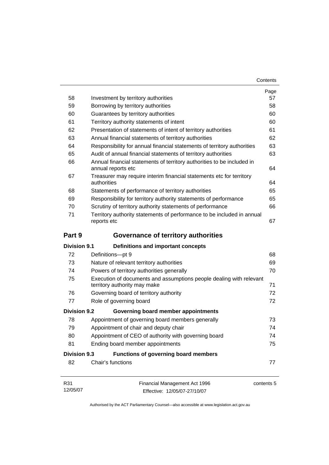| Contents |
|----------|
|----------|

|                     |                                                                                                     | Page |
|---------------------|-----------------------------------------------------------------------------------------------------|------|
| 58                  | Investment by territory authorities                                                                 | 57   |
| 59                  | Borrowing by territory authorities                                                                  | 58   |
| 60                  | Guarantees by territory authorities                                                                 | 60   |
| 61                  | Territory authority statements of intent                                                            | 60   |
| 62                  | Presentation of statements of intent of territory authorities                                       | 61   |
| 63                  | Annual financial statements of territory authorities                                                | 62   |
| 64                  | Responsibility for annual financial statements of territory authorities                             | 63   |
| 65                  | Audit of annual financial statements of territory authorities                                       | 63   |
| 66                  | Annual financial statements of territory authorities to be included in<br>annual reports etc        | 64   |
| 67                  | Treasurer may require interim financial statements etc for territory<br>authorities                 | 64   |
| 68                  | Statements of performance of territory authorities                                                  | 65   |
| 69                  | Responsibility for territory authority statements of performance                                    | 65   |
| 70                  | Scrutiny of territory authority statements of performance                                           | 66   |
| 71                  | Territory authority statements of performance to be included in annual<br>reports etc               | 67   |
| Part 9              | <b>Governance of territory authorities</b>                                                          |      |
| <b>Division 9.1</b> | Definitions and important concepts                                                                  |      |
| 72                  | Definitions-pt 9                                                                                    | 68   |
| 73                  | Nature of relevant territory authorities                                                            | 69   |
| 74                  | Powers of territory authorities generally                                                           | 70   |
| 75                  | Execution of documents and assumptions people dealing with relevant<br>territory authority may make | 71   |
| 76                  | Governing board of territory authority                                                              | 72   |
| 77                  | Role of governing board                                                                             | 72   |
| <b>Division 9.2</b> | Governing board member appointments                                                                 |      |
| 78                  | Appointment of governing board members generally                                                    | 73   |
| 79                  | Appointment of chair and deputy chair                                                               | 74   |
| 80                  | Appointment of CEO of authority with governing board                                                | 74   |
| 81                  | Ending board member appointments                                                                    | 75   |
| <b>Division 9.3</b> | Functions of governing board members                                                                |      |
| 82                  | Chair's functions                                                                                   | 77   |
|                     |                                                                                                     |      |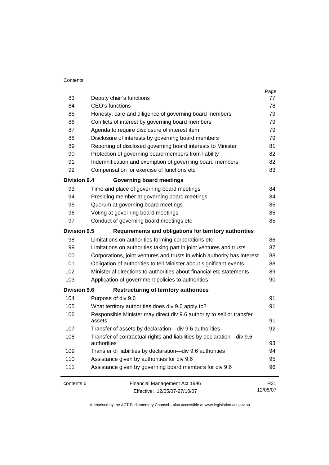#### **Contents**

| 83                  | Deputy chair's functions                                                             | Page<br>77 |
|---------------------|--------------------------------------------------------------------------------------|------------|
| 84                  | CEO's functions                                                                      | 78         |
| 85                  | Honesty, care and diligence of governing board members                               | 79         |
| 86                  | Conflicts of interest by governing board members                                     | 79         |
| 87                  | Agenda to require disclosure of interest item                                        | 79         |
| 88                  | Disclosure of interests by governing board members                                   | 79         |
| 89                  | Reporting of disclosed governing board interests to Minister                         | 81         |
| 90                  | Protection of governing board members from liability                                 | 82         |
| 91                  | Indemnification and exemption of governing board members                             | 82         |
| 92                  | Compensation for exercise of functions etc                                           | 83         |
| <b>Division 9.4</b> | <b>Governing board meetings</b>                                                      |            |
| 93                  | Time and place of governing board meetings                                           | 84         |
| 94                  | Presiding member at governing board meetings                                         | 84         |
| 95                  | Quorum at governing board meetings                                                   | 85         |
| 96                  | Voting at governing board meetings                                                   | 85         |
| 97                  | Conduct of governing board meetings etc                                              | 85         |
| <b>Division 9.5</b> | Requirements and obligations for territory authorities                               |            |
| 98                  | Limitations on authorities forming corporations etc                                  | 86         |
| 99                  | Limitations on authorities taking part in joint ventures and trusts                  | 87         |
| 100                 | Corporations, joint ventures and trusts in which authority has interest              | 88         |
| 101                 | Obligation of authorities to tell Minister about significant events                  | 88         |
| 102                 | Ministerial directions to authorities about financial etc statements                 | 89         |
| 103                 | Application of government policies to authorities                                    | 90         |
| <b>Division 9.6</b> | <b>Restructuring of territory authorities</b>                                        |            |
| 104                 | Purpose of div 9.6                                                                   | 91         |
| 105                 | What territory authorities does div 9.6 apply to?                                    | 91         |
| 106                 | Responsible Minister may direct div 9.6 authority to sell or transfer<br>assets      | 91         |
| 107                 | Transfer of assets by declaration-div 9.6 authorities                                | 92         |
| 108                 | Transfer of contractual rights and liabilities by declaration-div 9.6<br>authorities | 93         |
| 109                 | Transfer of liabilities by declaration-div 9.6 authorities                           | 94         |
| 110                 | Assistance given by authorities for div 9.6                                          | 95         |
| 111                 | Assistance given by governing board members for div 9.6                              | 96         |
| contents 6          | Financial Management Act 1996                                                        | R31        |
|                     | Effective: 12/05/07-27/10/07                                                         | 12/05/07   |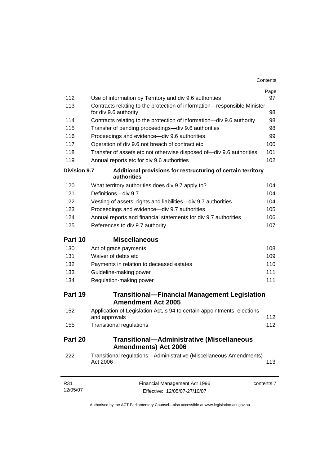| 112                 | Use of information by Territory and div 9.6 authorities                           | Page<br>97 |
|---------------------|-----------------------------------------------------------------------------------|------------|
| 113                 | Contracts relating to the protection of information-responsible Minister          |            |
|                     | for div 9.6 authority                                                             | 98         |
| 114                 | Contracts relating to the protection of information—div 9.6 authority             | 98         |
| 115                 | Transfer of pending proceedings—div 9.6 authorities                               | 98         |
| 116                 | Proceedings and evidence-div 9.6 authorities                                      | 99         |
| 117                 | Operation of div 9.6 not breach of contract etc                                   | 100        |
| 118                 | Transfer of assets etc not otherwise disposed of-div 9.6 authorities              | 101        |
| 119                 | Annual reports etc for div 9.6 authorities                                        | 102        |
| <b>Division 9.7</b> | Additional provisions for restructuring of certain territory<br>authorities       |            |
| 120                 | What territory authorities does div 9.7 apply to?                                 | 104        |
| 121                 | Definitions-div 9.7                                                               | 104        |
| 122                 | Vesting of assets, rights and liabilities-div 9.7 authorities                     | 104        |
| 123                 | Proceedings and evidence-div 9.7 authorities                                      | 105        |
| 124                 | Annual reports and financial statements for div 9.7 authorities                   | 106        |
| 125                 | References to div 9.7 authority                                                   | 107        |
| Part 10             | <b>Miscellaneous</b>                                                              |            |
| 130                 | Act of grace payments                                                             | 108        |
| 131                 | Waiver of debts etc                                                               | 109        |
| 132                 | Payments in relation to deceased estates                                          | 110        |
| 133                 | Guideline-making power                                                            | 111        |
| 134                 | Regulation-making power                                                           | 111        |
| Part 19             | <b>Transitional-Financial Management Legislation</b><br><b>Amendment Act 2005</b> |            |
| 152                 | Application of Legislation Act, s 94 to certain appointments, elections           | 112        |
| 155                 | and approvals                                                                     | 112        |
|                     | <b>Transitional regulations</b>                                                   |            |
| Part 20             | <b>Transitional-Administrative (Miscellaneous</b><br><b>Amendments) Act 2006</b>  |            |
| 222                 | Transitional regulations-Administrative (Miscellaneous Amendments)<br>Act 2006    | 113        |
| R31<br>12/05/07     | Financial Management Act 1996                                                     | contents 7 |
|                     | Effective: 12/05/07-27/10/07                                                      |            |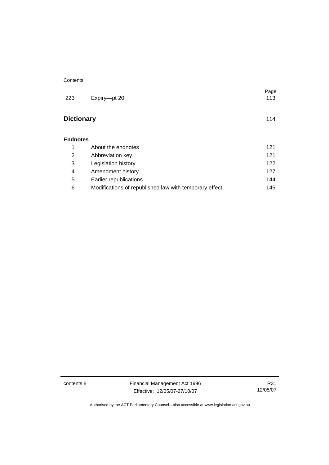| 223               | Expiry-pt 20                                           | Page<br>113 |
|-------------------|--------------------------------------------------------|-------------|
| <b>Dictionary</b> |                                                        | 114         |
| <b>Endnotes</b>   |                                                        |             |
| 1                 | About the endnotes                                     | 121         |
| 2                 | Abbreviation key                                       | 121         |
| 3                 | Legislation history                                    | 122         |
| 4                 | Amendment history                                      | 127         |
| 5                 | Earlier republications                                 | 144         |
| 6                 | Modifications of republished law with temporary effect | 145         |

contents 8 Financial Management Act 1996 Effective: 12/05/07-27/10/07

R31 12/05/07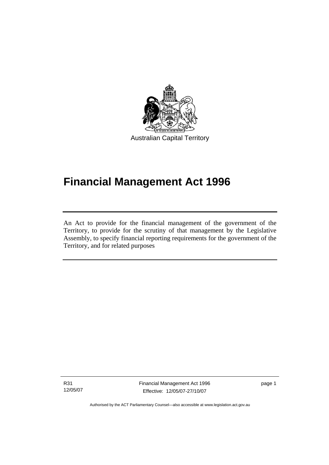<span id="page-10-0"></span>

# **Financial Management Act 1996**

An Act to provide for the financial management of the government of the Territory, to provide for the scrutiny of that management by the Legislative Assembly, to specify financial reporting requirements for the government of the Territory, and for related purposes

R31 12/05/07

l

Financial Management Act 1996 Effective: 12/05/07-27/10/07

page 1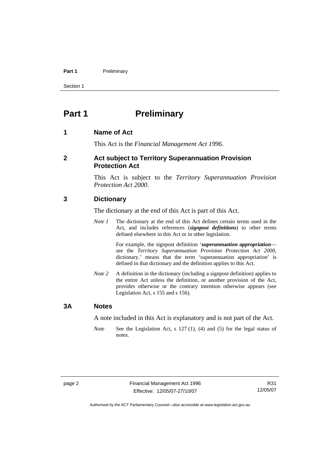#### <span id="page-11-0"></span>Part 1 **Preliminary**

Section 1

### **Part 1** Preliminary

#### **1 Name of Act**

This Act is the *Financial Management Act 1996*.

#### **2 Act subject to Territory Superannuation Provision Protection Act**

This Act is subject to the *Territory Superannuation Provision Protection Act 2000*.

#### **3 Dictionary**

The dictionary at the end of this Act is part of this Act.

*Note 1* The dictionary at the end of this Act defines certain terms used in the Act, and includes references (*signpost definitions*) to other terms defined elsewhere in this Act or in other legislation.

> For example, the signpost definition '*superannuation appropriation* see the *Territory Superannuation Provision Protection Act 2000*, dictionary.' means that the term 'superannuation appropriation' is defined in that dictionary and the definition applies to this Act.

*Note 2* A definition in the dictionary (including a signpost definition) applies to the entire Act unless the definition, or another provision of the Act, provides otherwise or the contrary intention otherwise appears (see Legislation Act, s 155 and s 156).

#### **3A Notes**

A note included in this Act is explanatory and is not part of the Act.

*Note* See the Legislation Act, s 127 (1), (4) and (5) for the legal status of notes.

R31 12/05/07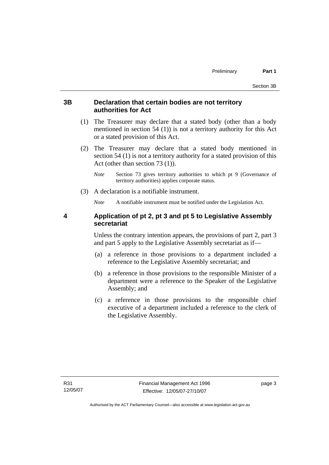#### <span id="page-12-0"></span>**3B Declaration that certain bodies are not territory authorities for Act**

- (1) The Treasurer may declare that a stated body (other than a body mentioned in section 54 (1)) is not a territory authority for this Act or a stated provision of this Act.
- (2) The Treasurer may declare that a stated body mentioned in section 54 (1) is not a territory authority for a stated provision of this Act (other than section 73 (1)).
	- *Note* Section 73 gives territory authorities to which pt 9 (Governance of territory authorities) applies corporate status.
- (3) A declaration is a notifiable instrument.

*Note* A notifiable instrument must be notified under the Legislation Act.

#### **4 Application of pt 2, pt 3 and pt 5 to Legislative Assembly secretariat**

Unless the contrary intention appears, the provisions of part 2, part 3 and part 5 apply to the Legislative Assembly secretariat as if—

- (a) a reference in those provisions to a department included a reference to the Legislative Assembly secretariat; and
- (b) a reference in those provisions to the responsible Minister of a department were a reference to the Speaker of the Legislative Assembly; and
- (c) a reference in those provisions to the responsible chief executive of a department included a reference to the clerk of the Legislative Assembly.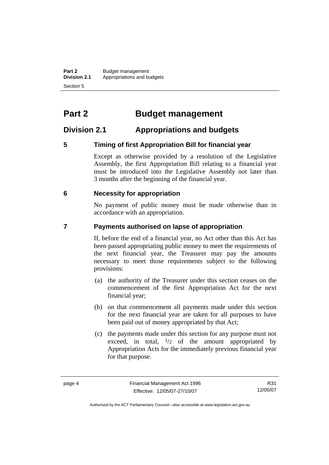<span id="page-13-0"></span>**Part 2 Budget management**<br>**Division 2.1 Appropriations and be Division 2.1** Appropriations and budgets Section 5

# **Part 2 Budget management**

### **Division 2.1 Appropriations and budgets**

#### **5 Timing of first Appropriation Bill for financial year**

Except as otherwise provided by a resolution of the Legislative Assembly, the first Appropriation Bill relating to a financial year must be introduced into the Legislative Assembly not later than 3 months after the beginning of the financial year.

#### **6 Necessity for appropriation**

No payment of public money must be made otherwise than in accordance with an appropriation.

#### **7 Payments authorised on lapse of appropriation**

If, before the end of a financial year, no Act other than this Act has been passed appropriating public money to meet the requirements of the next financial year, the Treasurer may pay the amounts necessary to meet those requirements subject to the following provisions:

- (a) the authority of the Treasurer under this section ceases on the commencement of the first Appropriation Act for the next financial year;
- (b) on that commencement all payments made under this section for the next financial year are taken for all purposes to have been paid out of money appropriated by that Act;
- (c) the payments made under this section for any purpose must not exceed, in total,  $\frac{1}{2}$  of the amount appropriated by Appropriation Acts for the immediately previous financial year for that purpose.

R31 12/05/07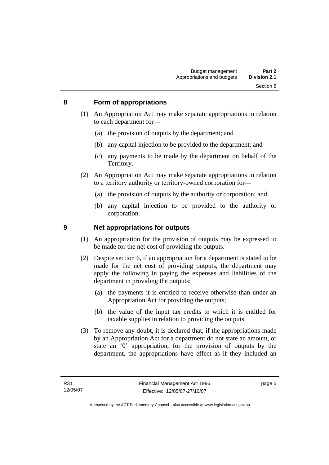#### <span id="page-14-0"></span>**8 Form of appropriations**

- (1) An Appropriation Act may make separate appropriations in relation to each department for—
	- (a) the provision of outputs by the department; and
	- (b) any capital injection to be provided to the department; and
	- (c) any payments to be made by the department on behalf of the Territory.
- (2) An Appropriation Act may make separate appropriations in relation to a territory authority or territory-owned corporation for—
	- (a) the provision of outputs by the authority or corporation; and
	- (b) any capital injection to be provided to the authority or corporation.

#### **9 Net appropriations for outputs**

- (1) An appropriation for the provision of outputs may be expressed to be made for the net cost of providing the outputs.
- (2) Despite section 6, if an appropriation for a department is stated to be made for the net cost of providing outputs, the department may apply the following in paying the expenses and liabilities of the department in providing the outputs:
	- (a) the payments it is entitled to receive otherwise than under an Appropriation Act for providing the outputs;
	- (b) the value of the input tax credits to which it is entitled for taxable supplies in relation to providing the outputs.
- (3) To remove any doubt, it is declared that, if the appropriations made by an Appropriation Act for a department do not state an amount, or state an '0' appropriation, for the provision of outputs by the department, the appropriations have effect as if they included an

page 5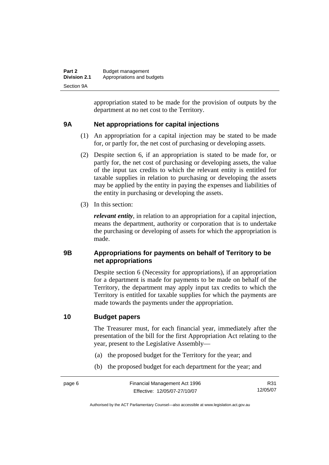<span id="page-15-0"></span>

| Part 2              | Budget management          |
|---------------------|----------------------------|
| <b>Division 2.1</b> | Appropriations and budgets |
| Section 9A          |                            |

appropriation stated to be made for the provision of outputs by the department at no net cost to the Territory.

#### **9A Net appropriations for capital injections**

- (1) An appropriation for a capital injection may be stated to be made for, or partly for, the net cost of purchasing or developing assets.
- (2) Despite section 6, if an appropriation is stated to be made for, or partly for, the net cost of purchasing or developing assets, the value of the input tax credits to which the relevant entity is entitled for taxable supplies in relation to purchasing or developing the assets may be applied by the entity in paying the expenses and liabilities of the entity in purchasing or developing the assets.
- (3) In this section:

*relevant entity*, in relation to an appropriation for a capital injection, means the department, authority or corporation that is to undertake the purchasing or developing of assets for which the appropriation is made.

#### **9B Appropriations for payments on behalf of Territory to be net appropriations**

Despite section 6 (Necessity for appropriations), if an appropriation for a department is made for payments to be made on behalf of the Territory, the department may apply input tax credits to which the Territory is entitled for taxable supplies for which the payments are made towards the payments under the appropriation.

#### **10 Budget papers**

The Treasurer must, for each financial year, immediately after the presentation of the bill for the first Appropriation Act relating to the year, present to the Legislative Assembly—

- (a) the proposed budget for the Territory for the year; and
- (b) the proposed budget for each department for the year; and

R31 12/05/07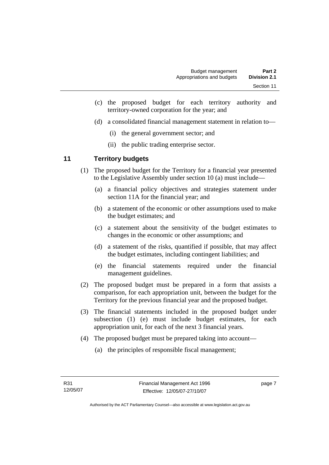- <span id="page-16-0"></span> (c) the proposed budget for each territory authority and territory-owned corporation for the year; and
- (d) a consolidated financial management statement in relation to—
	- (i) the general government sector; and
	- (ii) the public trading enterprise sector.

#### **11 Territory budgets**

- (1) The proposed budget for the Territory for a financial year presented to the Legislative Assembly under section 10 (a) must include—
	- (a) a financial policy objectives and strategies statement under section 11A for the financial year; and
	- (b) a statement of the economic or other assumptions used to make the budget estimates; and
	- (c) a statement about the sensitivity of the budget estimates to changes in the economic or other assumptions; and
	- (d) a statement of the risks, quantified if possible, that may affect the budget estimates, including contingent liabilities; and
	- (e) the financial statements required under the financial management guidelines.
- (2) The proposed budget must be prepared in a form that assists a comparison, for each appropriation unit, between the budget for the Territory for the previous financial year and the proposed budget.
- (3) The financial statements included in the proposed budget under subsection (1) (e) must include budget estimates, for each appropriation unit, for each of the next 3 financial years.
- (4) The proposed budget must be prepared taking into account—
	- (a) the principles of responsible fiscal management;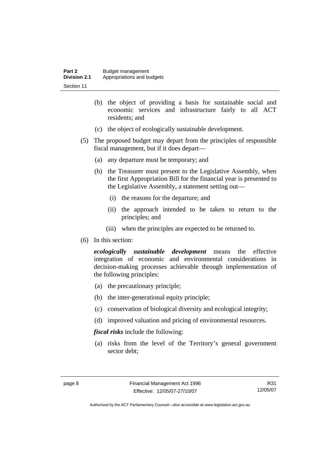| Part 2              | Budget management          |
|---------------------|----------------------------|
| <b>Division 2.1</b> | Appropriations and budgets |
| Section 11          |                            |

- (b) the object of providing a basis for sustainable social and economic services and infrastructure fairly to all ACT residents; and
- (c) the object of ecologically sustainable development.
- (5) The proposed budget may depart from the principles of responsible fiscal management, but if it does depart—
	- (a) any departure must be temporary; and
	- (b) the Treasurer must present to the Legislative Assembly, when the first Appropriation Bill for the financial year is presented to the Legislative Assembly, a statement setting out—
		- (i) the reasons for the departure; and
		- (ii) the approach intended to be taken to return to the principles; and
		- (iii) when the principles are expected to be returned to.
- (6) In this section:

*ecologically sustainable development* means the effective integration of economic and environmental considerations in decision-making processes achievable through implementation of the following principles:

- (a) the precautionary principle;
- (b) the inter-generational equity principle;
- (c) conservation of biological diversity and ecological integrity;
- (d) improved valuation and pricing of environmental resources.

*fiscal risks* include the following:

 (a) risks from the level of the Territory's general government sector debt;

R31 12/05/07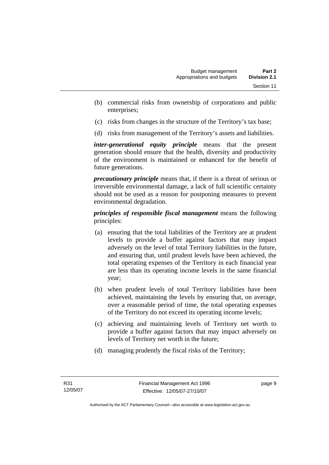- (b) commercial risks from ownership of corporations and public enterprises;
- (c) risks from changes in the structure of the Territory's tax base;
- (d) risks from management of the Territory's assets and liabilities.

*inter-generational equity principle* means that the present generation should ensure that the health, diversity and productivity of the environment is maintained or enhanced for the benefit of future generations.

*precautionary principle* means that, if there is a threat of serious or irreversible environmental damage, a lack of full scientific certainty should not be used as a reason for postponing measures to prevent environmental degradation.

*principles of responsible fiscal management* means the following principles:

- (a) ensuring that the total liabilities of the Territory are at prudent levels to provide a buffer against factors that may impact adversely on the level of total Territory liabilities in the future, and ensuring that, until prudent levels have been achieved, the total operating expenses of the Territory in each financial year are less than its operating income levels in the same financial year;
- (b) when prudent levels of total Territory liabilities have been achieved, maintaining the levels by ensuring that, on average, over a reasonable period of time, the total operating expenses of the Territory do not exceed its operating income levels;
- (c) achieving and maintaining levels of Territory net worth to provide a buffer against factors that may impact adversely on levels of Territory net worth in the future;
- (d) managing prudently the fiscal risks of the Territory;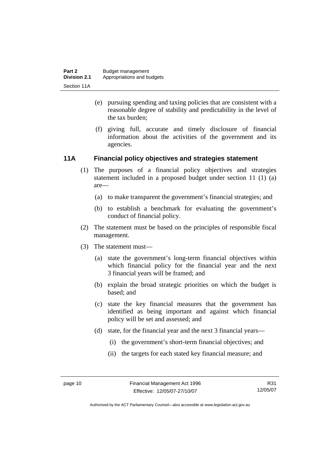- <span id="page-19-0"></span> (e) pursuing spending and taxing policies that are consistent with a reasonable degree of stability and predictability in the level of the tax burden;
- (f) giving full, accurate and timely disclosure of financial information about the activities of the government and its agencies.

#### **11A Financial policy objectives and strategies statement**

- (1) The purposes of a financial policy objectives and strategies statement included in a proposed budget under section 11 (1) (a) are—
	- (a) to make transparent the government's financial strategies; and
	- (b) to establish a benchmark for evaluating the government's conduct of financial policy.
- (2) The statement must be based on the principles of responsible fiscal management.
- (3) The statement must—
	- (a) state the government's long-term financial objectives within which financial policy for the financial year and the next 3 financial years will be framed; and
	- (b) explain the broad strategic priorities on which the budget is based; and
	- (c) state the key financial measures that the government has identified as being important and against which financial policy will be set and assessed; and
	- (d) state, for the financial year and the next 3 financial years—
		- (i) the government's short-term financial objectives; and
		- (ii) the targets for each stated key financial measure; and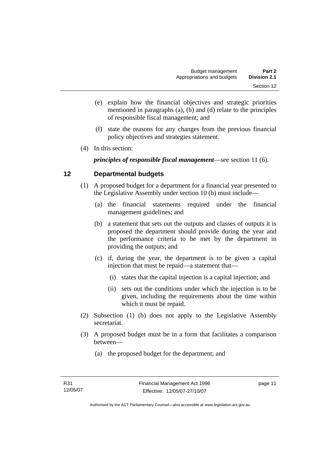- <span id="page-20-0"></span> (e) explain how the financial objectives and strategic priorities mentioned in paragraphs (a), (b) and (d) relate to the principles of responsible fiscal management; and
- (f) state the reasons for any changes from the previous financial policy objectives and strategies statement.
- (4) In this section:

*principles of responsible fiscal management*—see section 11 (6).

#### **12 Departmental budgets**

- (1) A proposed budget for a department for a financial year presented to the Legislative Assembly under section 10 (b) must include—
	- (a) the financial statements required under the financial management guidelines; and
	- (b) a statement that sets out the outputs and classes of outputs it is proposed the department should provide during the year and the performance criteria to be met by the department in providing the outputs; and
	- (c) if, during the year, the department is to be given a capital injection that must be repaid—a statement that—
		- (i) states that the capital injection is a capital injection; and
		- (ii) sets out the conditions under which the injection is to be given, including the requirements about the time within which it must be repaid.
- (2) Subsection (1) (b) does not apply to the Legislative Assembly secretariat.
- (3) A proposed budget must be in a form that facilitates a comparison between—
	- (a) the proposed budget for the department; and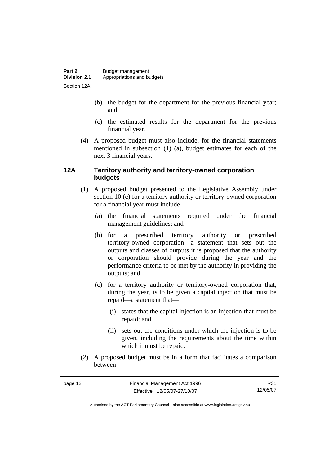- <span id="page-21-0"></span> (b) the budget for the department for the previous financial year; and
- (c) the estimated results for the department for the previous financial year.
- (4) A proposed budget must also include, for the financial statements mentioned in subsection (1) (a), budget estimates for each of the next 3 financial years.

#### **12A Territory authority and territory-owned corporation budgets**

- (1) A proposed budget presented to the Legislative Assembly under section 10 (c) for a territory authority or territory-owned corporation for a financial year must include—
	- (a) the financial statements required under the financial management guidelines; and
	- (b) for a prescribed territory authority or prescribed territory-owned corporation—a statement that sets out the outputs and classes of outputs it is proposed that the authority or corporation should provide during the year and the performance criteria to be met by the authority in providing the outputs; and
	- (c) for a territory authority or territory-owned corporation that, during the year, is to be given a capital injection that must be repaid—a statement that—
		- (i) states that the capital injection is an injection that must be repaid; and
		- (ii) sets out the conditions under which the injection is to be given, including the requirements about the time within which it must be repaid.
- (2) A proposed budget must be in a form that facilitates a comparison between—

R31 12/05/07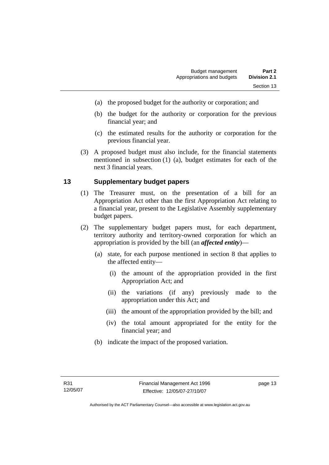- <span id="page-22-0"></span>(a) the proposed budget for the authority or corporation; and
- (b) the budget for the authority or corporation for the previous financial year; and
- (c) the estimated results for the authority or corporation for the previous financial year.
- (3) A proposed budget must also include, for the financial statements mentioned in subsection (1) (a), budget estimates for each of the next 3 financial years.

#### **13 Supplementary budget papers**

- (1) The Treasurer must, on the presentation of a bill for an Appropriation Act other than the first Appropriation Act relating to a financial year, present to the Legislative Assembly supplementary budget papers.
- (2) The supplementary budget papers must, for each department, territory authority and territory-owned corporation for which an appropriation is provided by the bill (an *affected entity*)—
	- (a) state, for each purpose mentioned in section 8 that applies to the affected entity—
		- (i) the amount of the appropriation provided in the first Appropriation Act; and
		- (ii) the variations (if any) previously made to the appropriation under this Act; and
		- (iii) the amount of the appropriation provided by the bill; and
		- (iv) the total amount appropriated for the entity for the financial year; and
	- (b) indicate the impact of the proposed variation.

page 13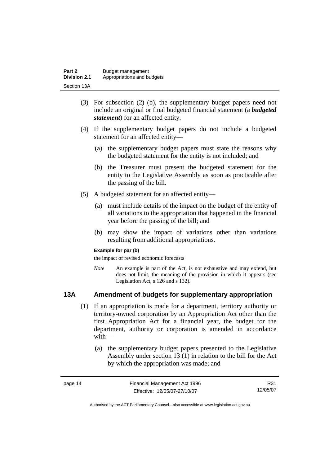<span id="page-23-0"></span>

| Part 2              | Budget management          |
|---------------------|----------------------------|
| <b>Division 2.1</b> | Appropriations and budgets |
| Section 13A         |                            |

- (3) For subsection (2) (b), the supplementary budget papers need not include an original or final budgeted financial statement (a *budgeted statement*) for an affected entity.
- (4) If the supplementary budget papers do not include a budgeted statement for an affected entity—
	- (a) the supplementary budget papers must state the reasons why the budgeted statement for the entity is not included; and
	- (b) the Treasurer must present the budgeted statement for the entity to the Legislative Assembly as soon as practicable after the passing of the bill.
- (5) A budgeted statement for an affected entity—
	- (a) must include details of the impact on the budget of the entity of all variations to the appropriation that happened in the financial year before the passing of the bill; and
	- (b) may show the impact of variations other than variations resulting from additional appropriations.

#### **Example for par (b)**

the impact of revised economic forecasts

*Note* An example is part of the Act, is not exhaustive and may extend, but does not limit, the meaning of the provision in which it appears (see Legislation Act, s 126 and s 132).

#### **13A Amendment of budgets for supplementary appropriation**

- (1) If an appropriation is made for a department, territory authority or territory-owned corporation by an Appropriation Act other than the first Appropriation Act for a financial year, the budget for the department, authority or corporation is amended in accordance with—
	- (a) the supplementary budget papers presented to the Legislative Assembly under section 13 (1) in relation to the bill for the Act by which the appropriation was made; and

| page 14 | Financial Management Act 1996 | R31.     |
|---------|-------------------------------|----------|
|         | Effective: 12/05/07-27/10/07  | 12/05/07 |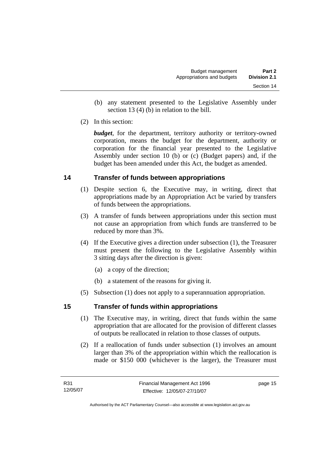- <span id="page-24-0"></span> (b) any statement presented to the Legislative Assembly under section 13 (4) (b) in relation to the bill.
- (2) In this section:

*budget*, for the department, territory authority or territory-owned corporation, means the budget for the department, authority or corporation for the financial year presented to the Legislative Assembly under section 10 (b) or (c) (Budget papers) and, if the budget has been amended under this Act, the budget as amended.

#### **14 Transfer of funds between appropriations**

- (1) Despite section 6, the Executive may, in writing, direct that appropriations made by an Appropriation Act be varied by transfers of funds between the appropriations.
- (3) A transfer of funds between appropriations under this section must not cause an appropriation from which funds are transferred to be reduced by more than 3%.
- (4) If the Executive gives a direction under subsection (1), the Treasurer must present the following to the Legislative Assembly within 3 sitting days after the direction is given:
	- (a) a copy of the direction;
	- (b) a statement of the reasons for giving it.
- (5) Subsection (1) does not apply to a superannuation appropriation.

#### **15 Transfer of funds within appropriations**

- (1) The Executive may, in writing, direct that funds within the same appropriation that are allocated for the provision of different classes of outputs be reallocated in relation to those classes of outputs.
- (2) If a reallocation of funds under subsection (1) involves an amount larger than 3% of the appropriation within which the reallocation is made or \$150 000 (whichever is the larger), the Treasurer must

page 15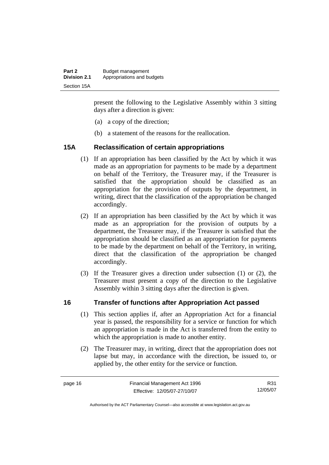<span id="page-25-0"></span>

| Part 2              | Budget management          |
|---------------------|----------------------------|
| <b>Division 2.1</b> | Appropriations and budgets |
| Section 15A         |                            |

present the following to the Legislative Assembly within 3 sitting days after a direction is given:

- (a) a copy of the direction;
- (b) a statement of the reasons for the reallocation.

#### **15A Reclassification of certain appropriations**

- (1) If an appropriation has been classified by the Act by which it was made as an appropriation for payments to be made by a department on behalf of the Territory, the Treasurer may, if the Treasurer is satisfied that the appropriation should be classified as an appropriation for the provision of outputs by the department, in writing, direct that the classification of the appropriation be changed accordingly.
- (2) If an appropriation has been classified by the Act by which it was made as an appropriation for the provision of outputs by a department, the Treasurer may, if the Treasurer is satisfied that the appropriation should be classified as an appropriation for payments to be made by the department on behalf of the Territory, in writing, direct that the classification of the appropriation be changed accordingly.
- (3) If the Treasurer gives a direction under subsection (1) or (2), the Treasurer must present a copy of the direction to the Legislative Assembly within 3 sitting days after the direction is given.

#### **16 Transfer of functions after Appropriation Act passed**

- (1) This section applies if, after an Appropriation Act for a financial year is passed, the responsibility for a service or function for which an appropriation is made in the Act is transferred from the entity to which the appropriation is made to another entity.
- (2) The Treasurer may, in writing, direct that the appropriation does not lapse but may, in accordance with the direction, be issued to, or applied by, the other entity for the service or function.

R31 12/05/07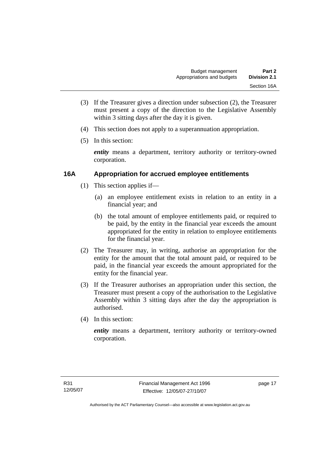- <span id="page-26-0"></span> (3) If the Treasurer gives a direction under subsection (2), the Treasurer must present a copy of the direction to the Legislative Assembly within 3 sitting days after the day it is given.
- (4) This section does not apply to a superannuation appropriation.
- (5) In this section:

*entity* means a department, territory authority or territory-owned corporation.

#### **16A Appropriation for accrued employee entitlements**

- (1) This section applies if—
	- (a) an employee entitlement exists in relation to an entity in a financial year; and
	- (b) the total amount of employee entitlements paid, or required to be paid, by the entity in the financial year exceeds the amount appropriated for the entity in relation to employee entitlements for the financial year.
- (2) The Treasurer may, in writing, authorise an appropriation for the entity for the amount that the total amount paid, or required to be paid, in the financial year exceeds the amount appropriated for the entity for the financial year.
- (3) If the Treasurer authorises an appropriation under this section, the Treasurer must present a copy of the authorisation to the Legislative Assembly within 3 sitting days after the day the appropriation is authorised.
- (4) In this section:

*entity* means a department, territory authority or territory-owned corporation.

page 17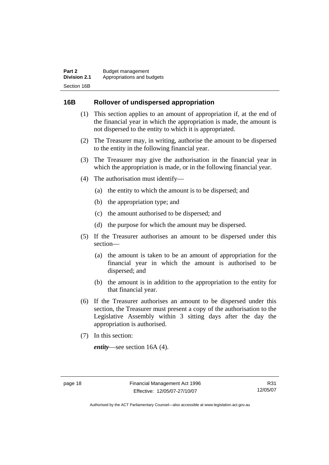#### <span id="page-27-0"></span>**16B Rollover of undispersed appropriation**

- (1) This section applies to an amount of appropriation if, at the end of the financial year in which the appropriation is made, the amount is not dispersed to the entity to which it is appropriated.
- (2) The Treasurer may, in writing, authorise the amount to be dispersed to the entity in the following financial year.
- (3) The Treasurer may give the authorisation in the financial year in which the appropriation is made, or in the following financial year.
- (4) The authorisation must identify—
	- (a) the entity to which the amount is to be dispersed; and
	- (b) the appropriation type; and
	- (c) the amount authorised to be dispersed; and
	- (d) the purpose for which the amount may be dispersed.
- (5) If the Treasurer authorises an amount to be dispersed under this section—
	- (a) the amount is taken to be an amount of appropriation for the financial year in which the amount is authorised to be dispersed; and
	- (b) the amount is in addition to the appropriation to the entity for that financial year.
- (6) If the Treasurer authorises an amount to be dispersed under this section, the Treasurer must present a copy of the authorisation to the Legislative Assembly within 3 sitting days after the day the appropriation is authorised.
- (7) In this section:

*entity*—see section 16A (4).

R31 12/05/07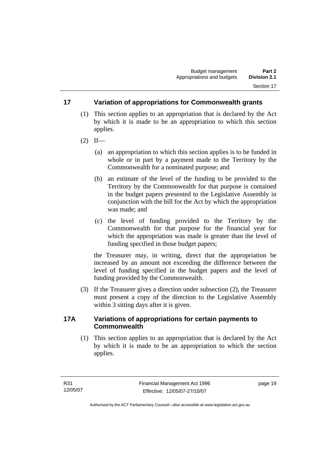#### <span id="page-28-0"></span>**17 Variation of appropriations for Commonwealth grants**

- (1) This section applies to an appropriation that is declared by the Act by which it is made to be an appropriation to which this section applies.
- $(2)$  If—
	- (a) an appropriation to which this section applies is to be funded in whole or in part by a payment made to the Territory by the Commonwealth for a nominated purpose; and
	- (b) an estimate of the level of the funding to be provided to the Territory by the Commonwealth for that purpose is contained in the budget papers presented to the Legislative Assembly in conjunction with the bill for the Act by which the appropriation was made; and
	- (c) the level of funding provided to the Territory by the Commonwealth for that purpose for the financial year for which the appropriation was made is greater than the level of funding specified in those budget papers;

the Treasurer may, in writing, direct that the appropriation be increased by an amount not exceeding the difference between the level of funding specified in the budget papers and the level of funding provided by the Commonwealth.

 (3) If the Treasurer gives a direction under subsection (2), the Treasurer must present a copy of the direction to the Legislative Assembly within 3 sitting days after it is given.

#### **17A Variations of appropriations for certain payments to Commonwealth**

 (1) This section applies to an appropriation that is declared by the Act by which it is made to be an appropriation to which the section applies.

page 19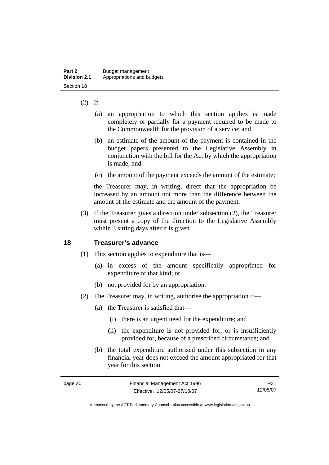#### <span id="page-29-0"></span> $(2)$  If—

- (a) an appropriation to which this section applies is made completely or partially for a payment required to be made to the Commonwealth for the provision of a service; and
- (b) an estimate of the amount of the payment is contained in the budget papers presented to the Legislative Assembly in conjunction with the bill for the Act by which the appropriation is made; and
- (c) the amount of the payment exceeds the amount of the estimate;

the Treasurer may, in writing, direct that the appropriation be increased by an amount not more than the difference between the amount of the estimate and the amount of the payment.

 (3) If the Treasurer gives a direction under subsection (2), the Treasurer must present a copy of the direction to the Legislative Assembly within 3 sitting days after it is given.

#### **18 Treasurer's advance**

- (1) This section applies to expenditure that is—
	- (a) in excess of the amount specifically appropriated for expenditure of that kind; or
	- (b) not provided for by an appropriation.
- (2) The Treasurer may, in writing, authorise the appropriation if—
	- (a) the Treasurer is satisfied that—
		- (i) there is an urgent need for the expenditure; and
		- (ii) the expenditure is not provided for, or is insufficiently provided for, because of a prescribed circumstance; and
	- (b) the total expenditure authorised under this subsection in any financial year does not exceed the amount appropriated for that year for this section.

| page 20 | Financial Management Act 1996 | R31      |
|---------|-------------------------------|----------|
|         | Effective: 12/05/07-27/10/07  | 12/05/07 |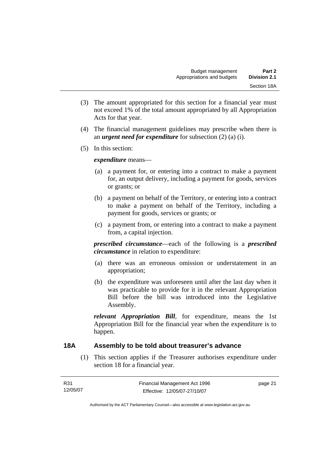- <span id="page-30-0"></span> (3) The amount appropriated for this section for a financial year must not exceed 1% of the total amount appropriated by all Appropriation Acts for that year.
- (4) The financial management guidelines may prescribe when there is an *urgent need for expenditure* for subsection (2) (a) (i).
- (5) In this section:

*expenditure* means—

- (a) a payment for, or entering into a contract to make a payment for, an output delivery, including a payment for goods, services or grants; or
- (b) a payment on behalf of the Territory, or entering into a contract to make a payment on behalf of the Territory, including a payment for goods, services or grants; or
- (c) a payment from, or entering into a contract to make a payment from, a capital injection.

*prescribed circumstance*—each of the following is a *prescribed circumstance* in relation to expenditure:

- (a) there was an erroneous omission or understatement in an appropriation;
- (b) the expenditure was unforeseen until after the last day when it was practicable to provide for it in the relevant Appropriation Bill before the bill was introduced into the Legislative Assembly.

*relevant Appropriation Bill*, for expenditure, means the 1st Appropriation Bill for the financial year when the expenditure is to happen.

#### **18A Assembly to be told about treasurer's advance**

 (1) This section applies if the Treasurer authorises expenditure under section 18 for a financial year.

| R31      | Financial Management Act 1996 | page 21 |
|----------|-------------------------------|---------|
| 12/05/07 | Effective: 12/05/07-27/10/07  |         |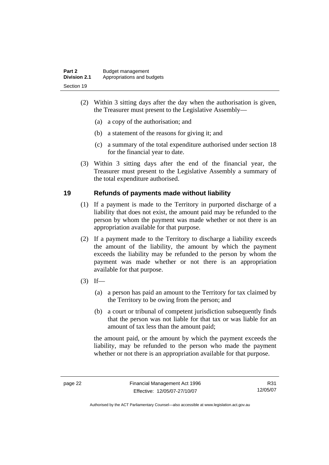<span id="page-31-0"></span>

| Part 2              | Budget management          |
|---------------------|----------------------------|
| <b>Division 2.1</b> | Appropriations and budgets |
| Section 19          |                            |

- (2) Within 3 sitting days after the day when the authorisation is given, the Treasurer must present to the Legislative Assembly—
	- (a) a copy of the authorisation; and
	- (b) a statement of the reasons for giving it; and
	- (c) a summary of the total expenditure authorised under section 18 for the financial year to date.
- (3) Within 3 sitting days after the end of the financial year, the Treasurer must present to the Legislative Assembly a summary of the total expenditure authorised.

#### **19 Refunds of payments made without liability**

- (1) If a payment is made to the Territory in purported discharge of a liability that does not exist, the amount paid may be refunded to the person by whom the payment was made whether or not there is an appropriation available for that purpose.
- (2) If a payment made to the Territory to discharge a liability exceeds the amount of the liability, the amount by which the payment exceeds the liability may be refunded to the person by whom the payment was made whether or not there is an appropriation available for that purpose.
- $(3)$  If—
	- (a) a person has paid an amount to the Territory for tax claimed by the Territory to be owing from the person; and
	- (b) a court or tribunal of competent jurisdiction subsequently finds that the person was not liable for that tax or was liable for an amount of tax less than the amount paid;

the amount paid, or the amount by which the payment exceeds the liability, may be refunded to the person who made the payment whether or not there is an appropriation available for that purpose.

R31 12/05/07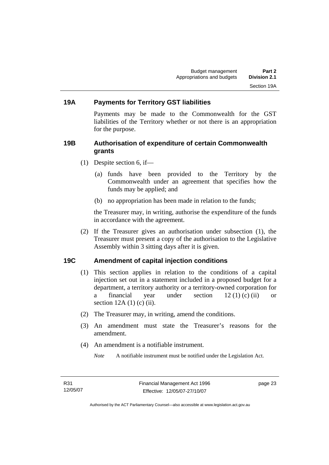#### <span id="page-32-0"></span>**19A Payments for Territory GST liabilities**

Payments may be made to the Commonwealth for the GST liabilities of the Territory whether or not there is an appropriation for the purpose.

#### **19B Authorisation of expenditure of certain Commonwealth grants**

- (1) Despite section 6, if—
	- (a) funds have been provided to the Territory by the Commonwealth under an agreement that specifies how the funds may be applied; and
	- (b) no appropriation has been made in relation to the funds;

the Treasurer may, in writing, authorise the expenditure of the funds in accordance with the agreement.

 (2) If the Treasurer gives an authorisation under subsection (1), the Treasurer must present a copy of the authorisation to the Legislative Assembly within 3 sitting days after it is given.

#### **19C Amendment of capital injection conditions**

- (1) This section applies in relation to the conditions of a capital injection set out in a statement included in a proposed budget for a department, a territory authority or a territory-owned corporation for a financial year under section 12 (1) (c) (ii) or section 12A (1) (c) (ii).
- (2) The Treasurer may, in writing, amend the conditions.
- (3) An amendment must state the Treasurer's reasons for the amendment.
- (4) An amendment is a notifiable instrument.

*Note* A notifiable instrument must be notified under the Legislation Act.

page 23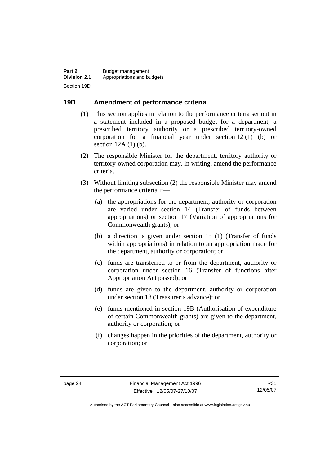#### <span id="page-33-0"></span>**19D Amendment of performance criteria**

- (1) This section applies in relation to the performance criteria set out in a statement included in a proposed budget for a department, a prescribed territory authority or a prescribed territory-owned corporation for a financial year under section 12 (1) (b) or section 12A (1) (b).
- (2) The responsible Minister for the department, territory authority or territory-owned corporation may, in writing, amend the performance criteria.
- (3) Without limiting subsection (2) the responsible Minister may amend the performance criteria if—
	- (a) the appropriations for the department, authority or corporation are varied under section 14 (Transfer of funds between appropriations) or section 17 (Variation of appropriations for Commonwealth grants); or
	- (b) a direction is given under section 15 (1) (Transfer of funds within appropriations) in relation to an appropriation made for the department, authority or corporation; or
	- (c) funds are transferred to or from the department, authority or corporation under section 16 (Transfer of functions after Appropriation Act passed); or
	- (d) funds are given to the department, authority or corporation under section 18 (Treasurer's advance); or
	- (e) funds mentioned in section 19B (Authorisation of expenditure of certain Commonwealth grants) are given to the department, authority or corporation; or
	- (f) changes happen in the priorities of the department, authority or corporation; or

R31 12/05/07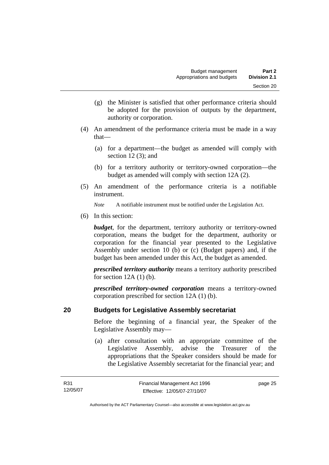- <span id="page-34-0"></span> (g) the Minister is satisfied that other performance criteria should be adopted for the provision of outputs by the department, authority or corporation.
- (4) An amendment of the performance criteria must be made in a way that—
	- (a) for a department—the budget as amended will comply with section 12 (3); and
	- (b) for a territory authority or territory-owned corporation—the budget as amended will comply with section 12A (2).
- (5) An amendment of the performance criteria is a notifiable instrument.

*Note* A notifiable instrument must be notified under the Legislation Act.

(6) In this section:

*budget*, for the department, territory authority or territory-owned corporation, means the budget for the department, authority or corporation for the financial year presented to the Legislative Assembly under section 10 (b) or (c) (Budget papers) and, if the budget has been amended under this Act, the budget as amended.

*prescribed territory authority* means a territory authority prescribed for section  $12A(1)$  (b).

*prescribed territory-owned corporation* means a territory-owned corporation prescribed for section 12A (1) (b).

#### **20 Budgets for Legislative Assembly secretariat**

Before the beginning of a financial year, the Speaker of the Legislative Assembly may—

 (a) after consultation with an appropriate committee of the Legislative Assembly, advise the Treasurer of the appropriations that the Speaker considers should be made for the Legislative Assembly secretariat for the financial year; and

page 25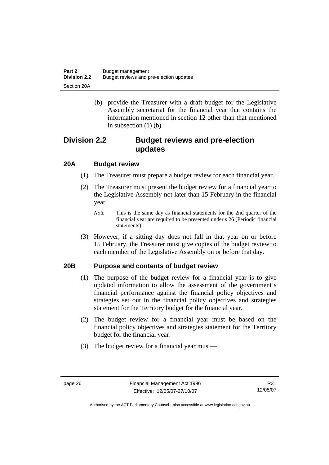<span id="page-35-0"></span>

| Part 2              | Budget management                       |
|---------------------|-----------------------------------------|
| <b>Division 2.2</b> | Budget reviews and pre-election updates |
| Section 20A         |                                         |

 (b) provide the Treasurer with a draft budget for the Legislative Assembly secretariat for the financial year that contains the information mentioned in section 12 other than that mentioned in subsection (1) (b).

### **Division 2.2 Budget reviews and pre-election updates**

#### **20A Budget review**

- (1) The Treasurer must prepare a budget review for each financial year.
- (2) The Treasurer must present the budget review for a financial year to the Legislative Assembly not later than 15 February in the financial year.
	- *Note* This is the same day as financial statements for the 2nd quarter of the financial year are required to be presented under s 26 (Periodic financial statements).
- (3) However, if a sitting day does not fall in that year on or before 15 February, the Treasurer must give copies of the budget review to each member of the Legislative Assembly on or before that day.

#### **20B Purpose and contents of budget review**

- (1) The purpose of the budget review for a financial year is to give updated information to allow the assessment of the government's financial performance against the financial policy objectives and strategies set out in the financial policy objectives and strategies statement for the Territory budget for the financial year.
- (2) The budget review for a financial year must be based on the financial policy objectives and strategies statement for the Territory budget for the financial year.
- (3) The budget review for a financial year must—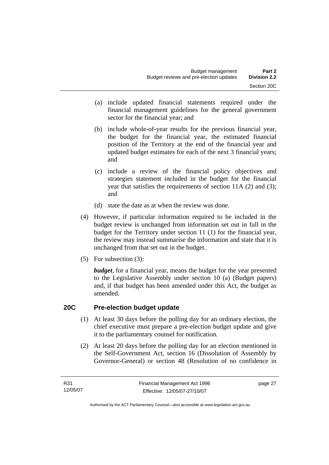- (a) include updated financial statements required under the financial management guidelines for the general government sector for the financial year; and
- (b) include whole-of-year results for the previous financial year, the budget for the financial year, the estimated financial position of the Territory at the end of the financial year and updated budget estimates for each of the next 3 financial years; and
- (c) include a review of the financial policy objectives and strategies statement included in the budget for the financial year that satisfies the requirements of section 11A (2) and (3); and
- (d) state the date as at when the review was done.
- (4) However, if particular information required to be included in the budget review is unchanged from information set out in full in the budget for the Territory under section 11 (1) for the financial year, the review may instead summarise the information and state that it is unchanged from that set out in the budget.
- (5) For subsection (3):

*budget*, for a financial year, means the budget for the year presented to the Legislative Assembly under section 10 (a) (Budget papers) and, if that budget has been amended under this Act, the budget as amended.

# **20C Pre-election budget update**

- (1) At least 30 days before the polling day for an ordinary election, the chief executive must prepare a pre-election budget update and give it to the parliamentary counsel for notification.
- (2) At least 20 days before the polling day for an election mentioned in the Self-Government Act, section 16 (Dissolution of Assembly by Governor-General) or section 48 (Resolution of no confidence in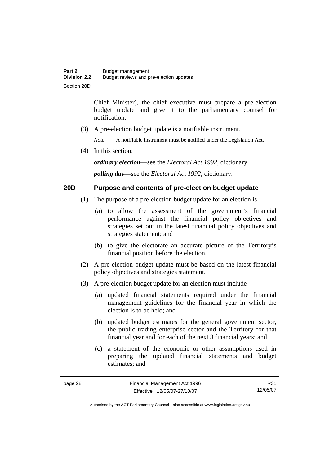Chief Minister), the chief executive must prepare a pre-election budget update and give it to the parliamentary counsel for notification.

(3) A pre-election budget update is a notifiable instrument.

*Note* A notifiable instrument must be notified under the Legislation Act.

(4) In this section:

*ordinary election*—see the *Electoral Act 1992*, dictionary.

*polling day*—see the *Electoral Act 1992*, dictionary.

# **20D Purpose and contents of pre-election budget update**

- (1) The purpose of a pre-election budget update for an election is—
	- (a) to allow the assessment of the government's financial performance against the financial policy objectives and strategies set out in the latest financial policy objectives and strategies statement; and
	- (b) to give the electorate an accurate picture of the Territory's financial position before the election.
- (2) A pre-election budget update must be based on the latest financial policy objectives and strategies statement.
- (3) A pre-election budget update for an election must include—
	- (a) updated financial statements required under the financial management guidelines for the financial year in which the election is to be held; and
	- (b) updated budget estimates for the general government sector, the public trading enterprise sector and the Territory for that financial year and for each of the next 3 financial years; and
	- (c) a statement of the economic or other assumptions used in preparing the updated financial statements and budget estimates; and

R31 12/05/07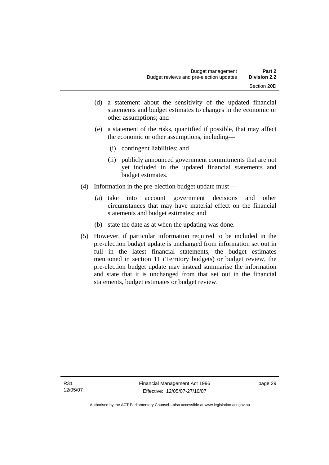- (d) a statement about the sensitivity of the updated financial statements and budget estimates to changes in the economic or other assumptions; and
- (e) a statement of the risks, quantified if possible, that may affect the economic or other assumptions, including—
	- (i) contingent liabilities; and
	- (ii) publicly announced government commitments that are not yet included in the updated financial statements and budget estimates.
- (4) Information in the pre-election budget update must—
	- (a) take into account government decisions and other circumstances that may have material effect on the financial statements and budget estimates; and
	- (b) state the date as at when the updating was done.
- (5) However, if particular information required to be included in the pre-election budget update is unchanged from information set out in full in the latest financial statements, the budget estimates mentioned in section 11 (Territory budgets) or budget review, the pre-election budget update may instead summarise the information and state that it is unchanged from that set out in the financial statements, budget estimates or budget review.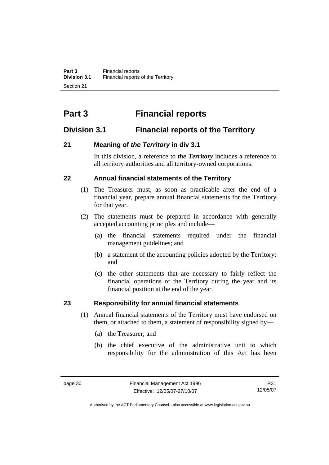# **Part 3 Financial reports**

# **Division 3.1 Financial reports of the Territory**

# **21 Meaning of** *the Territory* **in div 3.1**

In this division, a reference to *the Territory* includes a reference to all territory authorities and all territory-owned corporations.

# **22 Annual financial statements of the Territory**

- (1) The Treasurer must, as soon as practicable after the end of a financial year, prepare annual financial statements for the Territory for that year.
- (2) The statements must be prepared in accordance with generally accepted accounting principles and include—
	- (a) the financial statements required under the financial management guidelines; and
	- (b) a statement of the accounting policies adopted by the Territory; and
	- (c) the other statements that are necessary to fairly reflect the financial operations of the Territory during the year and its financial position at the end of the year.

# **23 Responsibility for annual financial statements**

- (1) Annual financial statements of the Territory must have endorsed on them, or attached to them, a statement of responsibility signed by—
	- (a) the Treasurer; and
	- (b) the chief executive of the administrative unit to which responsibility for the administration of this Act has been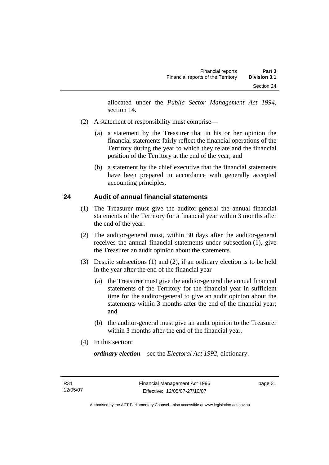allocated under the *Public Sector Management Act 1994*, section 14.

- (2) A statement of responsibility must comprise—
	- (a) a statement by the Treasurer that in his or her opinion the financial statements fairly reflect the financial operations of the Territory during the year to which they relate and the financial position of the Territory at the end of the year; and
	- (b) a statement by the chief executive that the financial statements have been prepared in accordance with generally accepted accounting principles.

# **24 Audit of annual financial statements**

- (1) The Treasurer must give the auditor-general the annual financial statements of the Territory for a financial year within 3 months after the end of the year.
- (2) The auditor-general must, within 30 days after the auditor-general receives the annual financial statements under subsection (1), give the Treasurer an audit opinion about the statements.
- (3) Despite subsections (1) and (2), if an ordinary election is to be held in the year after the end of the financial year—
	- (a) the Treasurer must give the auditor-general the annual financial statements of the Territory for the financial year in sufficient time for the auditor-general to give an audit opinion about the statements within 3 months after the end of the financial year; and
	- (b) the auditor-general must give an audit opinion to the Treasurer within 3 months after the end of the financial year.
- (4) In this section:

*ordinary election*—see the *Electoral Act 1992*, dictionary.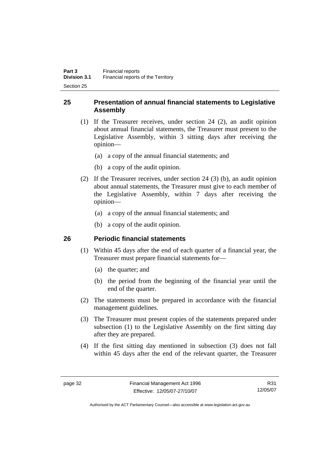# **25 Presentation of annual financial statements to Legislative Assembly**

- (1) If the Treasurer receives, under section 24 (2), an audit opinion about annual financial statements, the Treasurer must present to the Legislative Assembly, within 3 sitting days after receiving the opinion—
	- (a) a copy of the annual financial statements; and
	- (b) a copy of the audit opinion.
- (2) If the Treasurer receives, under section 24 (3) (b), an audit opinion about annual statements, the Treasurer must give to each member of the Legislative Assembly, within 7 days after receiving the opinion—
	- (a) a copy of the annual financial statements; and
	- (b) a copy of the audit opinion.

# **26 Periodic financial statements**

- (1) Within 45 days after the end of each quarter of a financial year, the Treasurer must prepare financial statements for—
	- (a) the quarter; and
	- (b) the period from the beginning of the financial year until the end of the quarter.
- (2) The statements must be prepared in accordance with the financial management guidelines.
- (3) The Treasurer must present copies of the statements prepared under subsection (1) to the Legislative Assembly on the first sitting day after they are prepared.
- (4) If the first sitting day mentioned in subsection (3) does not fall within 45 days after the end of the relevant quarter, the Treasurer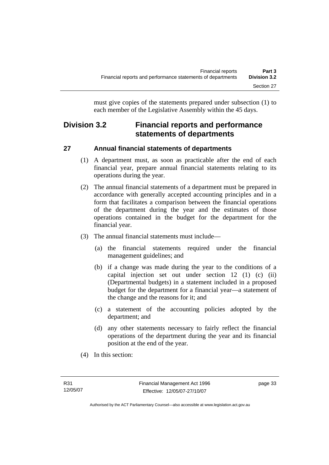must give copies of the statements prepared under subsection (1) to each member of the Legislative Assembly within the 45 days.

# **Division 3.2 Financial reports and performance statements of departments**

# **27 Annual financial statements of departments**

- (1) A department must, as soon as practicable after the end of each financial year, prepare annual financial statements relating to its operations during the year.
- (2) The annual financial statements of a department must be prepared in accordance with generally accepted accounting principles and in a form that facilitates a comparison between the financial operations of the department during the year and the estimates of those operations contained in the budget for the department for the financial year.
- (3) The annual financial statements must include—
	- (a) the financial statements required under the financial management guidelines; and
	- (b) if a change was made during the year to the conditions of a capital injection set out under section 12 (1) (c) (ii) (Departmental budgets) in a statement included in a proposed budget for the department for a financial year—a statement of the change and the reasons for it; and
	- (c) a statement of the accounting policies adopted by the department; and
	- (d) any other statements necessary to fairly reflect the financial operations of the department during the year and its financial position at the end of the year.
- (4) In this section: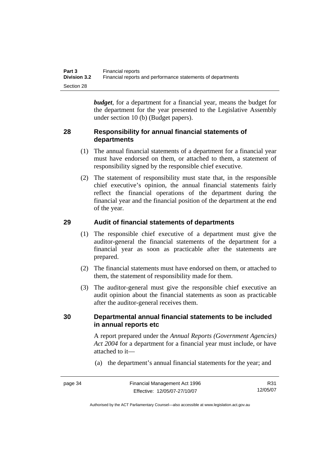| Part 3              | Financial reports                                           |
|---------------------|-------------------------------------------------------------|
| <b>Division 3.2</b> | Financial reports and performance statements of departments |
| Section 28          |                                                             |

*budget*, for a department for a financial year, means the budget for the department for the year presented to the Legislative Assembly under section 10 (b) (Budget papers).

# **28 Responsibility for annual financial statements of departments**

- (1) The annual financial statements of a department for a financial year must have endorsed on them, or attached to them, a statement of responsibility signed by the responsible chief executive.
- (2) The statement of responsibility must state that, in the responsible chief executive's opinion, the annual financial statements fairly reflect the financial operations of the department during the financial year and the financial position of the department at the end of the year.

# **29 Audit of financial statements of departments**

- (1) The responsible chief executive of a department must give the auditor-general the financial statements of the department for a financial year as soon as practicable after the statements are prepared.
- (2) The financial statements must have endorsed on them, or attached to them, the statement of responsibility made for them.
- (3) The auditor-general must give the responsible chief executive an audit opinion about the financial statements as soon as practicable after the auditor-general receives them.

# **30 Departmental annual financial statements to be included in annual reports etc**

A report prepared under the *Annual Reports (Government Agencies) Act 2004* for a department for a financial year must include, or have attached to it—

(a) the department's annual financial statements for the year; and

page 34 Financial Management Act 1996 Effective: 12/05/07-27/10/07 R31 12/05/07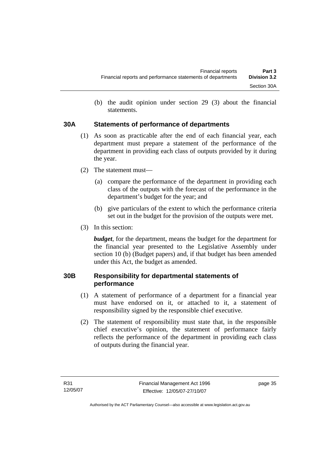(b) the audit opinion under section 29 (3) about the financial statements.

# **30A Statements of performance of departments**

- (1) As soon as practicable after the end of each financial year, each department must prepare a statement of the performance of the department in providing each class of outputs provided by it during the year.
- (2) The statement must—
	- (a) compare the performance of the department in providing each class of the outputs with the forecast of the performance in the department's budget for the year; and
	- (b) give particulars of the extent to which the performance criteria set out in the budget for the provision of the outputs were met.
- (3) In this section:

*budget*, for the department, means the budget for the department for the financial year presented to the Legislative Assembly under section 10 (b) (Budget papers) and, if that budget has been amended under this Act, the budget as amended.

# **30B Responsibility for departmental statements of performance**

- (1) A statement of performance of a department for a financial year must have endorsed on it, or attached to it, a statement of responsibility signed by the responsible chief executive.
- (2) The statement of responsibility must state that, in the responsible chief executive's opinion, the statement of performance fairly reflects the performance of the department in providing each class of outputs during the financial year.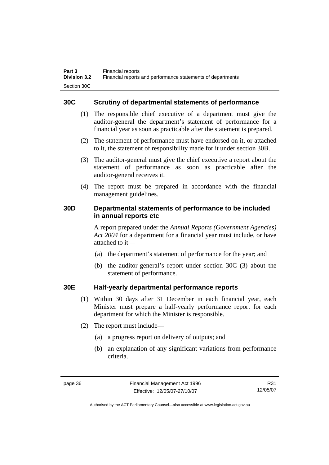# **30C Scrutiny of departmental statements of performance**

- (1) The responsible chief executive of a department must give the auditor-general the department's statement of performance for a financial year as soon as practicable after the statement is prepared.
- (2) The statement of performance must have endorsed on it, or attached to it, the statement of responsibility made for it under section 30B.
- (3) The auditor-general must give the chief executive a report about the statement of performance as soon as practicable after the auditor-general receives it.
- (4) The report must be prepared in accordance with the financial management guidelines.

# **30D Departmental statements of performance to be included in annual reports etc**

A report prepared under the *Annual Reports (Government Agencies) Act 2004* for a department for a financial year must include, or have attached to it—

- (a) the department's statement of performance for the year; and
- (b) the auditor-general's report under section 30C (3) about the statement of performance.

# **30E Half-yearly departmental performance reports**

- (1) Within 30 days after 31 December in each financial year, each Minister must prepare a half-yearly performance report for each department for which the Minister is responsible.
- (2) The report must include—
	- (a) a progress report on delivery of outputs; and
	- (b) an explanation of any significant variations from performance criteria.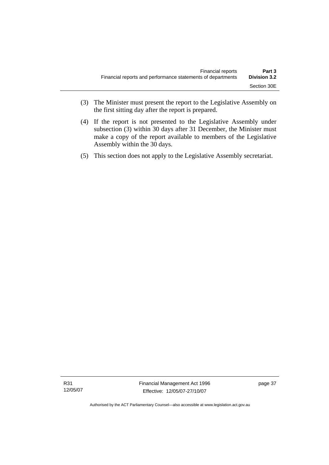- (3) The Minister must present the report to the Legislative Assembly on the first sitting day after the report is prepared.
- (4) If the report is not presented to the Legislative Assembly under subsection (3) within 30 days after 31 December, the Minister must make a copy of the report available to members of the Legislative Assembly within the 30 days.
- (5) This section does not apply to the Legislative Assembly secretariat.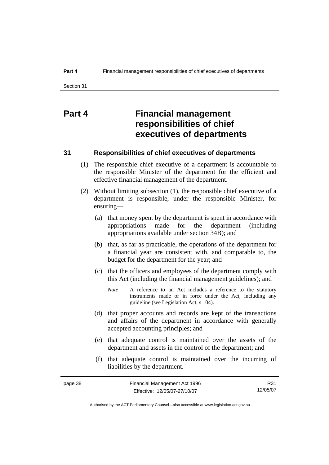# **Part 4 Financial management responsibilities of chief executives of departments**

## **31 Responsibilities of chief executives of departments**

- (1) The responsible chief executive of a department is accountable to the responsible Minister of the department for the efficient and effective financial management of the department.
- (2) Without limiting subsection (1), the responsible chief executive of a department is responsible, under the responsible Minister, for ensuring—
	- (a) that money spent by the department is spent in accordance with appropriations made for the department (including appropriations available under section 34B); and
	- (b) that, as far as practicable, the operations of the department for a financial year are consistent with, and comparable to, the budget for the department for the year; and
	- (c) that the officers and employees of the department comply with this Act (including the financial management guidelines); and
		- *Note* A reference to an Act includes a reference to the statutory instruments made or in force under the Act, including any guideline (see Legislation Act, s 104).
	- (d) that proper accounts and records are kept of the transactions and affairs of the department in accordance with generally accepted accounting principles; and
	- (e) that adequate control is maintained over the assets of the department and assets in the control of the department; and
	- (f) that adequate control is maintained over the incurring of liabilities by the department.

| page 38 | Financial Management Act 1996 | R31      |
|---------|-------------------------------|----------|
|         | Effective: 12/05/07-27/10/07  | 12/05/07 |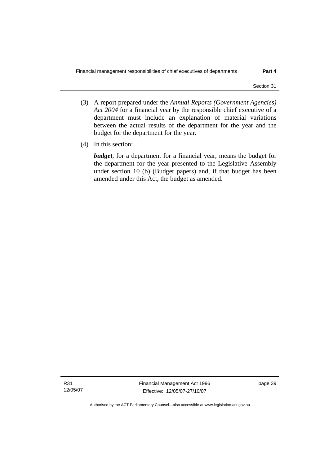- (3) A report prepared under the *Annual Reports (Government Agencies) Act 2004* for a financial year by the responsible chief executive of a department must include an explanation of material variations between the actual results of the department for the year and the budget for the department for the year.
- (4) In this section:

*budget*, for a department for a financial year, means the budget for the department for the year presented to the Legislative Assembly under section 10 (b) (Budget papers) and, if that budget has been amended under this Act, the budget as amended.

R31 12/05/07 Financial Management Act 1996 Effective: 12/05/07-27/10/07

page 39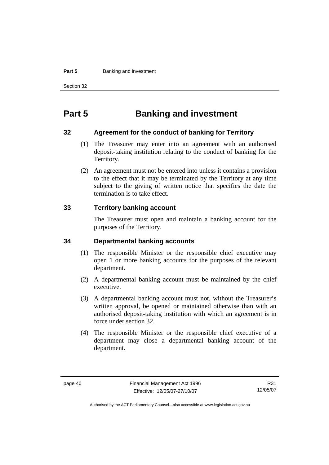#### **Part 5 Banking and investment**

Section 32

# **Part 5 Banking and investment**

#### **32 Agreement for the conduct of banking for Territory**

- (1) The Treasurer may enter into an agreement with an authorised deposit-taking institution relating to the conduct of banking for the Territory.
- (2) An agreement must not be entered into unless it contains a provision to the effect that it may be terminated by the Territory at any time subject to the giving of written notice that specifies the date the termination is to take effect.

# **33 Territory banking account**

The Treasurer must open and maintain a banking account for the purposes of the Territory.

### **34 Departmental banking accounts**

- (1) The responsible Minister or the responsible chief executive may open 1 or more banking accounts for the purposes of the relevant department.
- (2) A departmental banking account must be maintained by the chief executive.
- (3) A departmental banking account must not, without the Treasurer's written approval, be opened or maintained otherwise than with an authorised deposit-taking institution with which an agreement is in force under section 32.
- (4) The responsible Minister or the responsible chief executive of a department may close a departmental banking account of the department.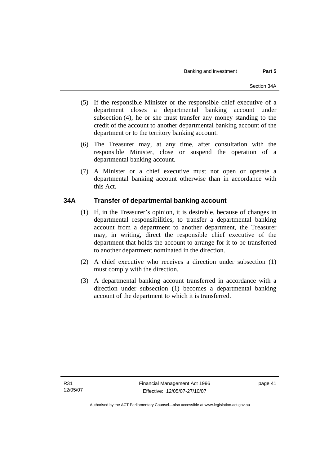- (5) If the responsible Minister or the responsible chief executive of a department closes a departmental banking account under subsection (4), he or she must transfer any money standing to the credit of the account to another departmental banking account of the department or to the territory banking account.
- (6) The Treasurer may, at any time, after consultation with the responsible Minister, close or suspend the operation of a departmental banking account.
- (7) A Minister or a chief executive must not open or operate a departmental banking account otherwise than in accordance with this Act.

# **34A Transfer of departmental banking account**

- (1) If, in the Treasurer's opinion, it is desirable, because of changes in departmental responsibilities, to transfer a departmental banking account from a department to another department, the Treasurer may, in writing, direct the responsible chief executive of the department that holds the account to arrange for it to be transferred to another department nominated in the direction.
- (2) A chief executive who receives a direction under subsection (1) must comply with the direction.
- (3) A departmental banking account transferred in accordance with a direction under subsection (1) becomes a departmental banking account of the department to which it is transferred.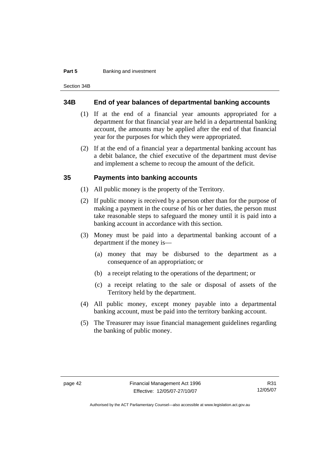#### **Part 5 Banking and investment**

Section 34B

#### **34B End of year balances of departmental banking accounts**

- (1) If at the end of a financial year amounts appropriated for a department for that financial year are held in a departmental banking account, the amounts may be applied after the end of that financial year for the purposes for which they were appropriated.
- (2) If at the end of a financial year a departmental banking account has a debit balance, the chief executive of the department must devise and implement a scheme to recoup the amount of the deficit.

### **35 Payments into banking accounts**

- (1) All public money is the property of the Territory.
- (2) If public money is received by a person other than for the purpose of making a payment in the course of his or her duties, the person must take reasonable steps to safeguard the money until it is paid into a banking account in accordance with this section.
- (3) Money must be paid into a departmental banking account of a department if the money is—
	- (a) money that may be disbursed to the department as a consequence of an appropriation; or
	- (b) a receipt relating to the operations of the department; or
	- (c) a receipt relating to the sale or disposal of assets of the Territory held by the department.
- (4) All public money, except money payable into a departmental banking account, must be paid into the territory banking account.
- (5) The Treasurer may issue financial management guidelines regarding the banking of public money.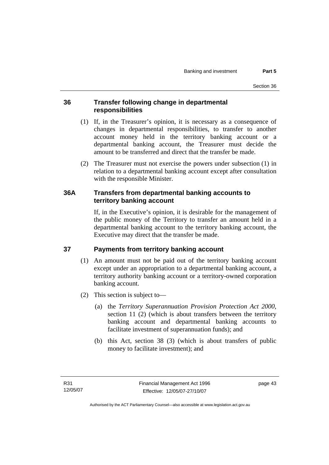# **36 Transfer following change in departmental responsibilities**

- (1) If, in the Treasurer's opinion, it is necessary as a consequence of changes in departmental responsibilities, to transfer to another account money held in the territory banking account or a departmental banking account, the Treasurer must decide the amount to be transferred and direct that the transfer be made.
- (2) The Treasurer must not exercise the powers under subsection (1) in relation to a departmental banking account except after consultation with the responsible Minister.

# **36A Transfers from departmental banking accounts to territory banking account**

If, in the Executive's opinion, it is desirable for the management of the public money of the Territory to transfer an amount held in a departmental banking account to the territory banking account, the Executive may direct that the transfer be made.

# **37 Payments from territory banking account**

- (1) An amount must not be paid out of the territory banking account except under an appropriation to a departmental banking account, a territory authority banking account or a territory-owned corporation banking account.
- (2) This section is subject to—
	- (a) the *Territory Superannuation Provision Protection Act 2000*, section 11 (2) (which is about transfers between the territory banking account and departmental banking accounts to facilitate investment of superannuation funds); and
	- (b) this Act, section 38 (3) (which is about transfers of public money to facilitate investment); and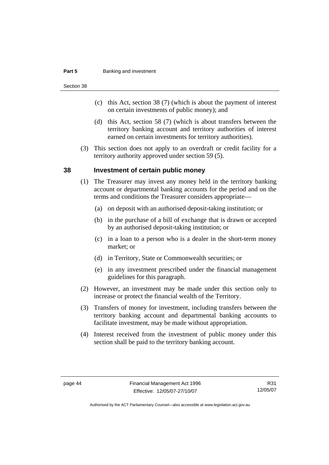#### **Part 5 Banking and investment**

Section 38

- (c) this Act, section 38 (7) (which is about the payment of interest on certain investments of public money); and
- (d) this Act, section 58 (7) (which is about transfers between the territory banking account and territory authorities of interest earned on certain investments for territory authorities).
- (3) This section does not apply to an overdraft or credit facility for a territory authority approved under section 59 (5).

### **38 Investment of certain public money**

- (1) The Treasurer may invest any money held in the territory banking account or departmental banking accounts for the period and on the terms and conditions the Treasurer considers appropriate—
	- (a) on deposit with an authorised deposit-taking institution; or
	- (b) in the purchase of a bill of exchange that is drawn or accepted by an authorised deposit-taking institution; or
	- (c) in a loan to a person who is a dealer in the short-term money market; or
	- (d) in Territory, State or Commonwealth securities; or
	- (e) in any investment prescribed under the financial management guidelines for this paragraph.
- (2) However, an investment may be made under this section only to increase or protect the financial wealth of the Territory.
- (3) Transfers of money for investment, including transfers between the territory banking account and departmental banking accounts to facilitate investment, may be made without appropriation.
- (4) Interest received from the investment of public money under this section shall be paid to the territory banking account.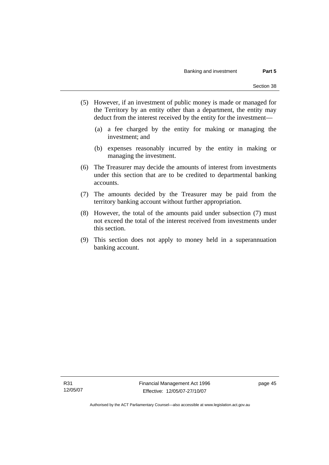- (5) However, if an investment of public money is made or managed for the Territory by an entity other than a department, the entity may deduct from the interest received by the entity for the investment—
	- (a) a fee charged by the entity for making or managing the investment; and
	- (b) expenses reasonably incurred by the entity in making or managing the investment.
- (6) The Treasurer may decide the amounts of interest from investments under this section that are to be credited to departmental banking accounts.
- (7) The amounts decided by the Treasurer may be paid from the territory banking account without further appropriation.
- (8) However, the total of the amounts paid under subsection (7) must not exceed the total of the interest received from investments under this section.
- (9) This section does not apply to money held in a superannuation banking account.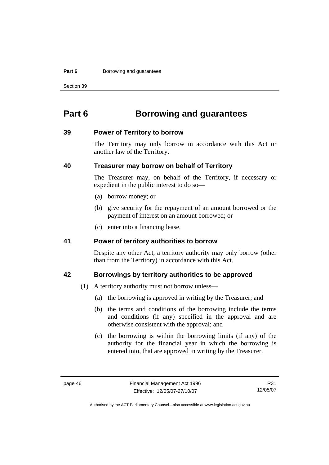#### **Part 6 Borrowing and guarantees**

Section 39

# **Part 6 Borrowing and guarantees**

#### **39 Power of Territory to borrow**

The Territory may only borrow in accordance with this Act or another law of the Territory.

### **40 Treasurer may borrow on behalf of Territory**

The Treasurer may, on behalf of the Territory, if necessary or expedient in the public interest to do so—

- (a) borrow money; or
- (b) give security for the repayment of an amount borrowed or the payment of interest on an amount borrowed; or
- (c) enter into a financing lease.

#### **41 Power of territory authorities to borrow**

Despite any other Act, a territory authority may only borrow (other than from the Territory) in accordance with this Act.

## **42 Borrowings by territory authorities to be approved**

- (1) A territory authority must not borrow unless—
	- (a) the borrowing is approved in writing by the Treasurer; and
	- (b) the terms and conditions of the borrowing include the terms and conditions (if any) specified in the approval and are otherwise consistent with the approval; and
	- (c) the borrowing is within the borrowing limits (if any) of the authority for the financial year in which the borrowing is entered into, that are approved in writing by the Treasurer.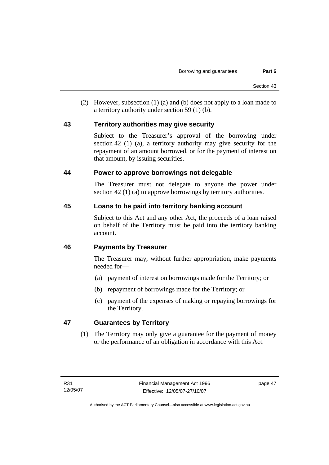(2) However, subsection (1) (a) and (b) does not apply to a loan made to a territory authority under section 59 (1) (b).

# **43 Territory authorities may give security**

Subject to the Treasurer's approval of the borrowing under section 42 (1) (a), a territory authority may give security for the repayment of an amount borrowed, or for the payment of interest on that amount, by issuing securities.

# **44 Power to approve borrowings not delegable**

The Treasurer must not delegate to anyone the power under section 42 (1) (a) to approve borrowings by territory authorities.

# **45 Loans to be paid into territory banking account**

Subject to this Act and any other Act, the proceeds of a loan raised on behalf of the Territory must be paid into the territory banking account.

# **46 Payments by Treasurer**

The Treasurer may, without further appropriation, make payments needed for—

- (a) payment of interest on borrowings made for the Territory; or
- (b) repayment of borrowings made for the Territory; or
- (c) payment of the expenses of making or repaying borrowings for the Territory.

# **47 Guarantees by Territory**

 (1) The Territory may only give a guarantee for the payment of money or the performance of an obligation in accordance with this Act.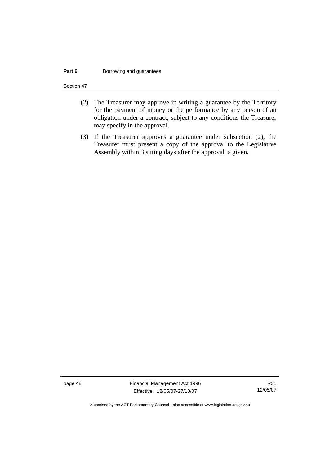#### **Part 6 Borrowing and guarantees**

Section 47

- (2) The Treasurer may approve in writing a guarantee by the Territory for the payment of money or the performance by any person of an obligation under a contract, subject to any conditions the Treasurer may specify in the approval.
- (3) If the Treasurer approves a guarantee under subsection (2), the Treasurer must present a copy of the approval to the Legislative Assembly within 3 sitting days after the approval is given.

page 48 Financial Management Act 1996 Effective: 12/05/07-27/10/07

R31 12/05/07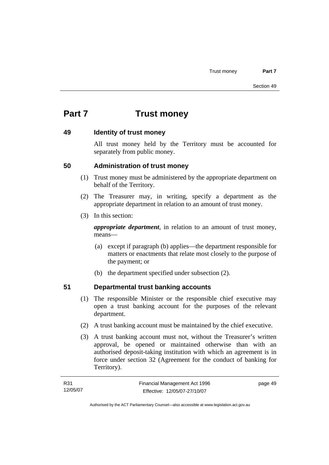# **Part 7 Trust money**

# **49 Identity of trust money**

All trust money held by the Territory must be accounted for separately from public money.

# **50 Administration of trust money**

- (1) Trust money must be administered by the appropriate department on behalf of the Territory.
- (2) The Treasurer may, in writing, specify a department as the appropriate department in relation to an amount of trust money.
- (3) In this section:

*appropriate department*, in relation to an amount of trust money, means—

- (a) except if paragraph (b) applies—the department responsible for matters or enactments that relate most closely to the purpose of the payment; or
- (b) the department specified under subsection (2).

# **51 Departmental trust banking accounts**

- (1) The responsible Minister or the responsible chief executive may open a trust banking account for the purposes of the relevant department.
- (2) A trust banking account must be maintained by the chief executive.
- (3) A trust banking account must not, without the Treasurer's written approval, be opened or maintained otherwise than with an authorised deposit-taking institution with which an agreement is in force under section 32 (Agreement for the conduct of banking for Territory).

| R31      | Financial Management Act 1996 | page 49 |
|----------|-------------------------------|---------|
| 12/05/07 | Effective: 12/05/07-27/10/07  |         |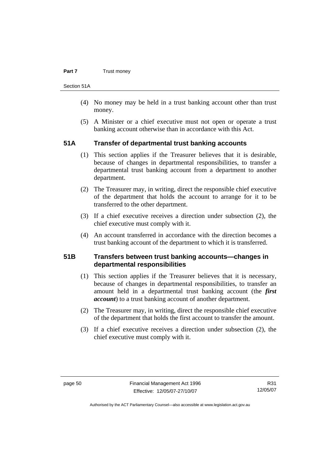#### **Part 7 Trust money**

Section 51A

- (4) No money may be held in a trust banking account other than trust money.
- (5) A Minister or a chief executive must not open or operate a trust banking account otherwise than in accordance with this Act.

# **51A Transfer of departmental trust banking accounts**

- (1) This section applies if the Treasurer believes that it is desirable, because of changes in departmental responsibilities, to transfer a departmental trust banking account from a department to another department.
- (2) The Treasurer may, in writing, direct the responsible chief executive of the department that holds the account to arrange for it to be transferred to the other department.
- (3) If a chief executive receives a direction under subsection (2), the chief executive must comply with it.
- (4) An account transferred in accordance with the direction becomes a trust banking account of the department to which it is transferred.

# **51B Transfers between trust banking accounts—changes in departmental responsibilities**

- (1) This section applies if the Treasurer believes that it is necessary, because of changes in departmental responsibilities, to transfer an amount held in a departmental trust banking account (the *first account*) to a trust banking account of another department.
- (2) The Treasurer may, in writing, direct the responsible chief executive of the department that holds the first account to transfer the amount.
- (3) If a chief executive receives a direction under subsection (2), the chief executive must comply with it.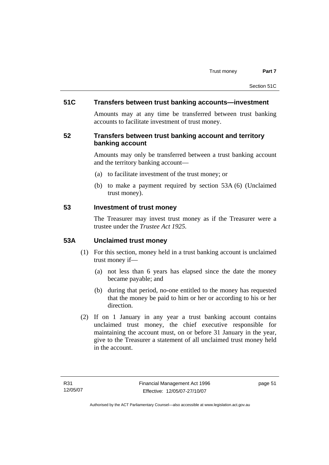# **51C Transfers between trust banking accounts—investment**

Amounts may at any time be transferred between trust banking accounts to facilitate investment of trust money.

# **52 Transfers between trust banking account and territory banking account**

Amounts may only be transferred between a trust banking account and the territory banking account—

- (a) to facilitate investment of the trust money; or
- (b) to make a payment required by section 53A (6) (Unclaimed trust money).

### **53 Investment of trust money**

The Treasurer may invest trust money as if the Treasurer were a trustee under the *Trustee Act 1925.*

# **53A Unclaimed trust money**

- (1) For this section, money held in a trust banking account is unclaimed trust money if—
	- (a) not less than 6 years has elapsed since the date the money became payable; and
	- (b) during that period, no-one entitled to the money has requested that the money be paid to him or her or according to his or her direction.
- (2) If on 1 January in any year a trust banking account contains unclaimed trust money, the chief executive responsible for maintaining the account must, on or before 31 January in the year, give to the Treasurer a statement of all unclaimed trust money held in the account.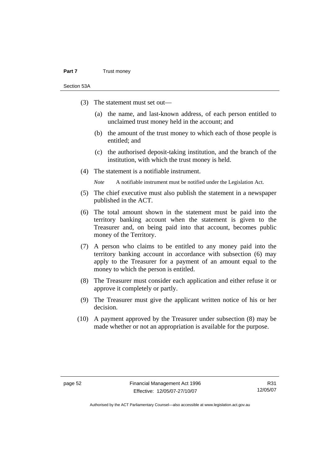#### **Part 7** Trust money

Section 53A

- (3) The statement must set out—
	- (a) the name, and last-known address, of each person entitled to unclaimed trust money held in the account; and
	- (b) the amount of the trust money to which each of those people is entitled; and
	- (c) the authorised deposit-taking institution, and the branch of the institution, with which the trust money is held.
- (4) The statement is a notifiable instrument.

*Note* A notifiable instrument must be notified under the Legislation Act.

- (5) The chief executive must also publish the statement in a newspaper published in the ACT.
- (6) The total amount shown in the statement must be paid into the territory banking account when the statement is given to the Treasurer and, on being paid into that account, becomes public money of the Territory.
- (7) A person who claims to be entitled to any money paid into the territory banking account in accordance with subsection (6) may apply to the Treasurer for a payment of an amount equal to the money to which the person is entitled.
- (8) The Treasurer must consider each application and either refuse it or approve it completely or partly.
- (9) The Treasurer must give the applicant written notice of his or her decision.
- (10) A payment approved by the Treasurer under subsection (8) may be made whether or not an appropriation is available for the purpose.

R31 12/05/07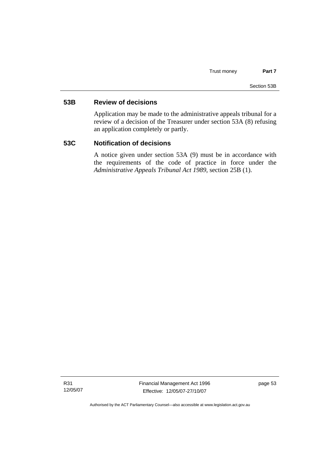# **53B Review of decisions**

Application may be made to the administrative appeals tribunal for a review of a decision of the Treasurer under section 53A (8) refusing an application completely or partly.

# **53C Notification of decisions**

A notice given under section 53A (9) must be in accordance with the requirements of the code of practice in force under the *Administrative Appeals Tribunal Act 1989*, section 25B (1).

R31 12/05/07 Financial Management Act 1996 Effective: 12/05/07-27/10/07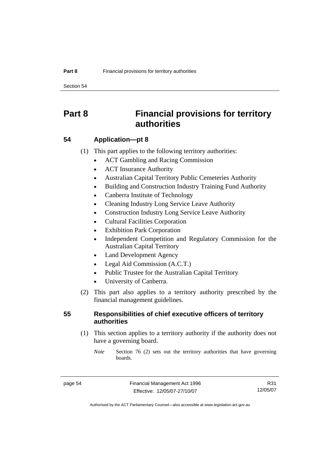Section 54

# **Part 8 Financial provisions for territory authorities**

# **54 Application—pt 8**

(1) This part applies to the following territory authorities:

- ACT Gambling and Racing Commission
- ACT Insurance Authority
- Australian Capital Territory Public Cemeteries Authority
- Building and Construction Industry Training Fund Authority
- Canberra Institute of Technology
- Cleaning Industry Long Service Leave Authority
- Construction Industry Long Service Leave Authority
- Cultural Facilities Corporation
- **Exhibition Park Corporation**
- Independent Competition and Regulatory Commission for the Australian Capital Territory
- Land Development Agency
- Legal Aid Commission (A.C.T.)
- Public Trustee for the Australian Capital Territory
- University of Canberra.
- (2) This part also applies to a territory authority prescribed by the financial management guidelines.

# **55 Responsibilities of chief executive officers of territory authorities**

 (1) This section applies to a territory authority if the authority does not have a governing board.

*Note* Section 76 (2) sets out the territory authorities that have governing boards.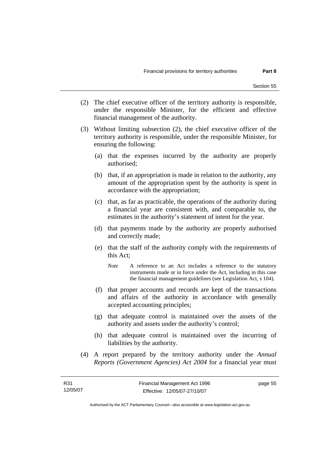- (2) The chief executive officer of the territory authority is responsible, under the responsible Minister, for the efficient and effective financial management of the authority.
- (3) Without limiting subsection (2), the chief executive officer of the territory authority is responsible, under the responsible Minister, for ensuring the following:
	- (a) that the expenses incurred by the authority are properly authorised;
	- (b) that, if an appropriation is made in relation to the authority, any amount of the appropriation spent by the authority is spent in accordance with the appropriation;
	- (c) that, as far as practicable, the operations of the authority during a financial year are consistent with, and comparable to, the estimates in the authority's statement of intent for the year.
	- (d) that payments made by the authority are properly authorised and correctly made;
	- (e) that the staff of the authority comply with the requirements of this Act;
		- *Note* A reference to an Act includes a reference to the statutory instruments made or in force under the Act, including in this case the financial management guidelines (see Legislation Act, s 104).
	- (f) that proper accounts and records are kept of the transactions and affairs of the authority in accordance with generally accepted accounting principles;
	- (g) that adequate control is maintained over the assets of the authority and assets under the authority's control;
	- (h) that adequate control is maintained over the incurring of liabilities by the authority.
- (4) A report prepared by the territory authority under the *Annual Reports (Government Agencies) Act 2004* for a financial year must

Authorised by the ACT Parliamentary Counsel—also accessible at www.legislation.act.gov.au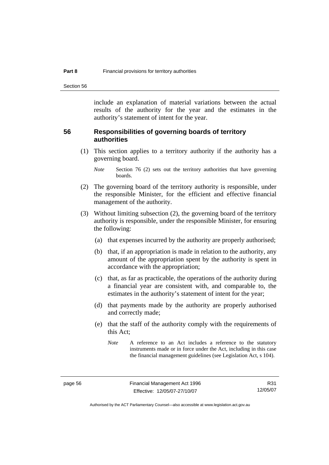Section 56

include an explanation of material variations between the actual results of the authority for the year and the estimates in the authority's statement of intent for the year.

### **56 Responsibilities of governing boards of territory authorities**

 (1) This section applies to a territory authority if the authority has a governing board.

- (2) The governing board of the territory authority is responsible, under the responsible Minister, for the efficient and effective financial management of the authority.
- (3) Without limiting subsection (2), the governing board of the territory authority is responsible, under the responsible Minister, for ensuring the following:
	- (a) that expenses incurred by the authority are properly authorised;
	- (b) that, if an appropriation is made in relation to the authority, any amount of the appropriation spent by the authority is spent in accordance with the appropriation;
	- (c) that, as far as practicable, the operations of the authority during a financial year are consistent with, and comparable to, the estimates in the authority's statement of intent for the year;
	- (d) that payments made by the authority are properly authorised and correctly made;
	- (e) that the staff of the authority comply with the requirements of this Act;

*Note* Section 76 (2) sets out the territory authorities that have governing boards.

*Note* A reference to an Act includes a reference to the statutory instruments made or in force under the Act, including in this case the financial management guidelines (see Legislation Act, s 104).

Authorised by the ACT Parliamentary Counsel—also accessible at www.legislation.act.gov.au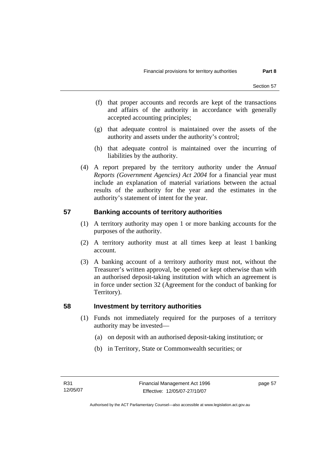- (f) that proper accounts and records are kept of the transactions and affairs of the authority in accordance with generally accepted accounting principles;
- (g) that adequate control is maintained over the assets of the authority and assets under the authority's control;
- (h) that adequate control is maintained over the incurring of liabilities by the authority.
- (4) A report prepared by the territory authority under the *Annual Reports (Government Agencies) Act 2004* for a financial year must include an explanation of material variations between the actual results of the authority for the year and the estimates in the authority's statement of intent for the year.

# **57 Banking accounts of territory authorities**

- (1) A territory authority may open 1 or more banking accounts for the purposes of the authority.
- (2) A territory authority must at all times keep at least 1 banking account.
- (3) A banking account of a territory authority must not, without the Treasurer's written approval, be opened or kept otherwise than with an authorised deposit-taking institution with which an agreement is in force under section 32 (Agreement for the conduct of banking for Territory).

# **58 Investment by territory authorities**

- (1) Funds not immediately required for the purposes of a territory authority may be invested—
	- (a) on deposit with an authorised deposit-taking institution; or
	- (b) in Territory, State or Commonwealth securities; or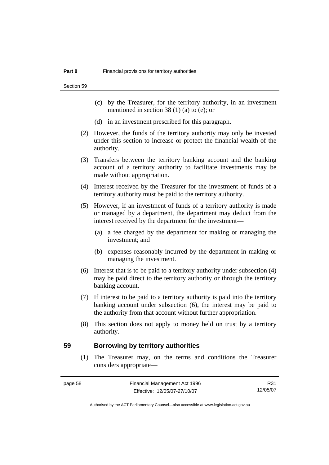Section 59

- (c) by the Treasurer, for the territory authority, in an investment mentioned in section 38 (1) (a) to (e); or
- (d) in an investment prescribed for this paragraph.
- (2) However, the funds of the territory authority may only be invested under this section to increase or protect the financial wealth of the authority.
- (3) Transfers between the territory banking account and the banking account of a territory authority to facilitate investments may be made without appropriation.
- (4) Interest received by the Treasurer for the investment of funds of a territory authority must be paid to the territory authority.
- (5) However, if an investment of funds of a territory authority is made or managed by a department, the department may deduct from the interest received by the department for the investment—
	- (a) a fee charged by the department for making or managing the investment; and
	- (b) expenses reasonably incurred by the department in making or managing the investment.
- (6) Interest that is to be paid to a territory authority under subsection (4) may be paid direct to the territory authority or through the territory banking account.
- (7) If interest to be paid to a territory authority is paid into the territory banking account under subsection (6), the interest may be paid to the authority from that account without further appropriation.
- (8) This section does not apply to money held on trust by a territory authority.

#### **59 Borrowing by territory authorities**

 (1) The Treasurer may, on the terms and conditions the Treasurer considers appropriate—

| page | r |
|------|---|
|------|---|

R31 12/05/07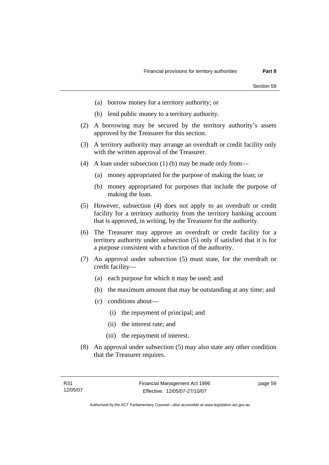- (a) borrow money for a territory authority; or
- (b) lend public money to a territory authority.
- (2) A borrowing may be secured by the territory authority's assets approved by the Treasurer for this section.
- (3) A territory authority may arrange an overdraft or credit facility only with the written approval of the Treasurer.
- (4) A loan under subsection (1) (b) may be made only from—
	- (a) money appropriated for the purpose of making the loan; or
	- (b) money appropriated for purposes that include the purpose of making the loan.
- (5) However, subsection (4) does not apply to an overdraft or credit facility for a territory authority from the territory banking account that is approved, in writing, by the Treasurer for the authority.
- (6) The Treasurer may approve an overdraft or credit facility for a territory authority under subsection (5) only if satisfied that it is for a purpose consistent with a function of the authority.
- (7) An approval under subsection (5) must state, for the overdraft or credit facility—
	- (a) each purpose for which it may be used; and
	- (b) the maximum amount that may be outstanding at any time; and
	- (c) conditions about—
		- (i) the repayment of principal; and
		- (ii) the interest rate; and
		- (iii) the repayment of interest.
- (8) An approval under subsection (5) may also state any other condition that the Treasurer requires.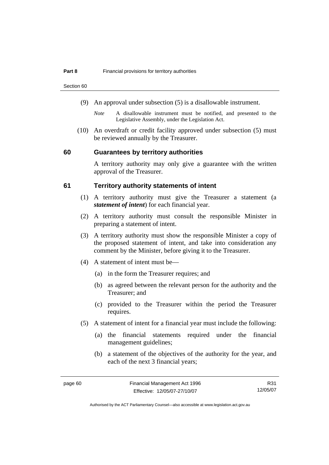Section 60

- (9) An approval under subsection (5) is a disallowable instrument.
	- *Note* A disallowable instrument must be notified, and presented to the Legislative Assembly, under the Legislation Act.
- (10) An overdraft or credit facility approved under subsection (5) must be reviewed annually by the Treasurer.

#### **60 Guarantees by territory authorities**

A territory authority may only give a guarantee with the written approval of the Treasurer.

### **61 Territory authority statements of intent**

- (1) A territory authority must give the Treasurer a statement (a *statement of intent*) for each financial year.
- (2) A territory authority must consult the responsible Minister in preparing a statement of intent.
- (3) A territory authority must show the responsible Minister a copy of the proposed statement of intent, and take into consideration any comment by the Minister, before giving it to the Treasurer.
- (4) A statement of intent must be—
	- (a) in the form the Treasurer requires; and
	- (b) as agreed between the relevant person for the authority and the Treasurer; and
	- (c) provided to the Treasurer within the period the Treasurer requires.
- (5) A statement of intent for a financial year must include the following:
	- (a) the financial statements required under the financial management guidelines;
	- (b) a statement of the objectives of the authority for the year, and each of the next 3 financial years;

R31 12/05/07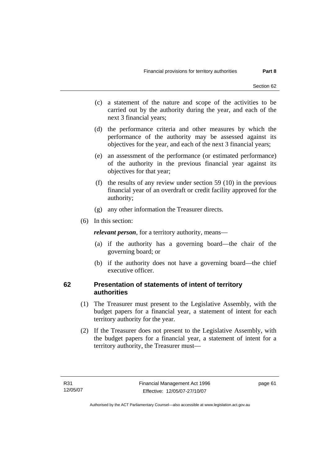- (c) a statement of the nature and scope of the activities to be carried out by the authority during the year, and each of the next 3 financial years;
- (d) the performance criteria and other measures by which the performance of the authority may be assessed against its objectives for the year, and each of the next 3 financial years;
- (e) an assessment of the performance (or estimated performance) of the authority in the previous financial year against its objectives for that year;
- (f) the results of any review under section 59 (10) in the previous financial year of an overdraft or credit facility approved for the authority;
- (g) any other information the Treasurer directs.
- (6) In this section:

*relevant person*, for a territory authority, means—

- (a) if the authority has a governing board—the chair of the governing board; or
- (b) if the authority does not have a governing board—the chief executive officer.

# **62 Presentation of statements of intent of territory authorities**

- (1) The Treasurer must present to the Legislative Assembly, with the budget papers for a financial year, a statement of intent for each territory authority for the year.
- (2) If the Treasurer does not present to the Legislative Assembly, with the budget papers for a financial year, a statement of intent for a territory authority, the Treasurer must—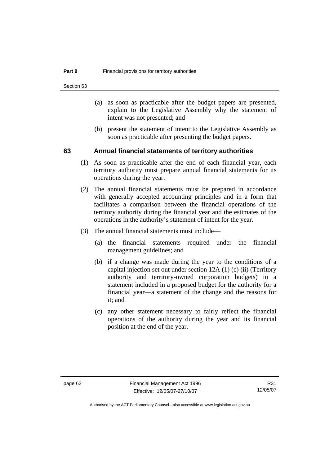Section 63

- (a) as soon as practicable after the budget papers are presented, explain to the Legislative Assembly why the statement of intent was not presented; and
- (b) present the statement of intent to the Legislative Assembly as soon as practicable after presenting the budget papers.

### **63 Annual financial statements of territory authorities**

- (1) As soon as practicable after the end of each financial year, each territory authority must prepare annual financial statements for its operations during the year.
- (2) The annual financial statements must be prepared in accordance with generally accepted accounting principles and in a form that facilitates a comparison between the financial operations of the territory authority during the financial year and the estimates of the operations in the authority's statement of intent for the year.
- (3) The annual financial statements must include—
	- (a) the financial statements required under the financial management guidelines; and
	- (b) if a change was made during the year to the conditions of a capital injection set out under section 12A (1) (c) (ii) (Territory authority and territory-owned corporation budgets) in a statement included in a proposed budget for the authority for a financial year—a statement of the change and the reasons for it; and
	- (c) any other statement necessary to fairly reflect the financial operations of the authority during the year and its financial position at the end of the year.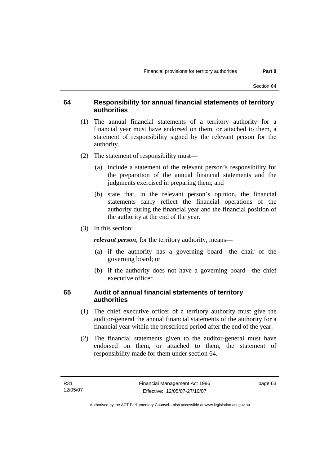#### **64 Responsibility for annual financial statements of territory authorities**

- (1) The annual financial statements of a territory authority for a financial year must have endorsed on them, or attached to them, a statement of responsibility signed by the relevant person for the authority.
- (2) The statement of responsibility must—
	- (a) include a statement of the relevant person's responsibility for the preparation of the annual financial statements and the judgments exercised in preparing them; and
	- (b) state that, in the relevant person's opinion, the financial statements fairly reflect the financial operations of the authority during the financial year and the financial position of the authority at the end of the year.
- (3) In this section:

*relevant person*, for the territory authority, means—

- (a) if the authority has a governing board—the chair of the governing board; or
- (b) if the authority does not have a governing board—the chief executive officer.

## **65 Audit of annual financial statements of territory authorities**

- (1) The chief executive officer of a territory authority must give the auditor-general the annual financial statements of the authority for a financial year within the prescribed period after the end of the year.
- (2) The financial statements given to the auditor-general must have endorsed on them, or attached to them, the statement of responsibility made for them under section 64.

page 63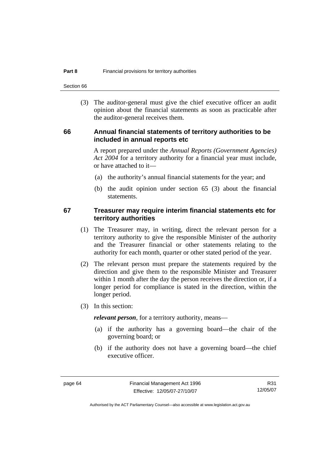Section 66

 (3) The auditor-general must give the chief executive officer an audit opinion about the financial statements as soon as practicable after the auditor-general receives them.

#### **66 Annual financial statements of territory authorities to be included in annual reports etc**

A report prepared under the *Annual Reports (Government Agencies) Act 2004* for a territory authority for a financial year must include, or have attached to it—

- (a) the authority's annual financial statements for the year; and
- (b) the audit opinion under section 65 (3) about the financial statements.

#### **67 Treasurer may require interim financial statements etc for territory authorities**

- (1) The Treasurer may, in writing, direct the relevant person for a territory authority to give the responsible Minister of the authority and the Treasurer financial or other statements relating to the authority for each month, quarter or other stated period of the year.
- (2) The relevant person must prepare the statements required by the direction and give them to the responsible Minister and Treasurer within 1 month after the day the person receives the direction or, if a longer period for compliance is stated in the direction, within the longer period.
- (3) In this section:

*relevant person*, for a territory authority, means—

- (a) if the authority has a governing board—the chair of the governing board; or
- (b) if the authority does not have a governing board—the chief executive officer.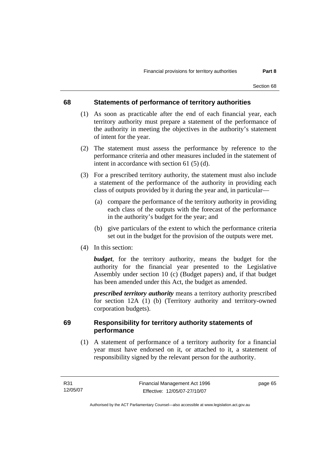#### **68 Statements of performance of territory authorities**

- (1) As soon as practicable after the end of each financial year, each territory authority must prepare a statement of the performance of the authority in meeting the objectives in the authority's statement of intent for the year.
- (2) The statement must assess the performance by reference to the performance criteria and other measures included in the statement of intent in accordance with section 61 (5) (d).
- (3) For a prescribed territory authority, the statement must also include a statement of the performance of the authority in providing each class of outputs provided by it during the year and, in particular—
	- (a) compare the performance of the territory authority in providing each class of the outputs with the forecast of the performance in the authority's budget for the year; and
	- (b) give particulars of the extent to which the performance criteria set out in the budget for the provision of the outputs were met.
- (4) In this section:

*budget*, for the territory authority, means the budget for the authority for the financial year presented to the Legislative Assembly under section 10 (c) (Budget papers) and, if that budget has been amended under this Act, the budget as amended.

*prescribed territory authority* means a territory authority prescribed for section 12A (1) (b) (Territory authority and territory-owned corporation budgets).

### **69 Responsibility for territory authority statements of performance**

 (1) A statement of performance of a territory authority for a financial year must have endorsed on it, or attached to it, a statement of responsibility signed by the relevant person for the authority.

page 65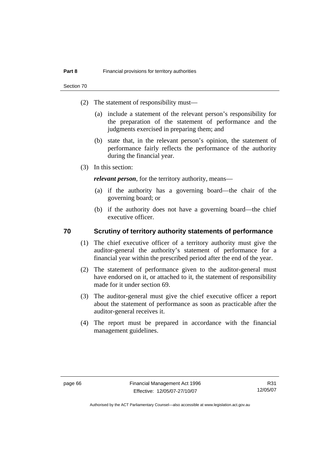Section 70

- (2) The statement of responsibility must—
	- (a) include a statement of the relevant person's responsibility for the preparation of the statement of performance and the judgments exercised in preparing them; and
	- (b) state that, in the relevant person's opinion, the statement of performance fairly reflects the performance of the authority during the financial year.
- (3) In this section:

*relevant person*, for the territory authority, means—

- (a) if the authority has a governing board—the chair of the governing board; or
- (b) if the authority does not have a governing board—the chief executive officer.

#### **70 Scrutiny of territory authority statements of performance**

- (1) The chief executive officer of a territory authority must give the auditor-general the authority's statement of performance for a financial year within the prescribed period after the end of the year.
- (2) The statement of performance given to the auditor-general must have endorsed on it, or attached to it, the statement of responsibility made for it under section 69.
- (3) The auditor-general must give the chief executive officer a report about the statement of performance as soon as practicable after the auditor-general receives it.
- (4) The report must be prepared in accordance with the financial management guidelines.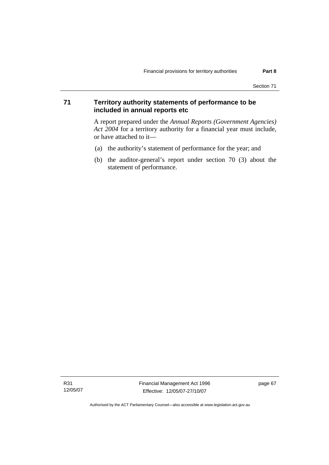## **71 Territory authority statements of performance to be included in annual reports etc**

A report prepared under the *Annual Reports (Government Agencies) Act 2004* for a territory authority for a financial year must include, or have attached to it—

- (a) the authority's statement of performance for the year; and
- (b) the auditor-general's report under section 70 (3) about the statement of performance.

Authorised by the ACT Parliamentary Counsel—also accessible at www.legislation.act.gov.au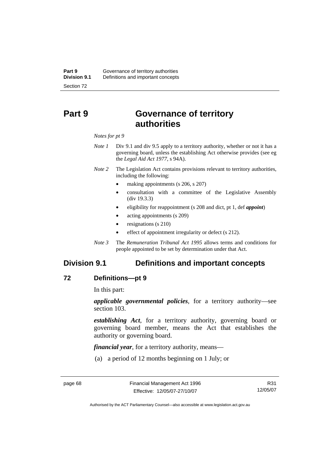# **Part 9 Governance of territory authorities**

#### *Notes for pt 9*

- *Note 1* Div 9.1 and div 9.5 apply to a territory authority, whether or not it has a governing board, unless the establishing Act otherwise provides (see eg the *Legal Aid Act 1977*, s 94A).
- *Note 2* The Legislation Act contains provisions relevant to territory authorities, including the following:
	- making appointments (s 206, s 207)
	- consultation with a committee of the Legislative Assembly (div 19.3.3)
	- eligibility for reappointment (s 208 and dict, pt 1, def *appoint*)
	- acting appointments (s 209)
	- resignations (s 210)
	- effect of appointment irregularity or defect (s 212).
- *Note 3* The *Remuneration Tribunal Act 1995* allows terms and conditions for people appointed to be set by determination under that Act.

# **Division 9.1 Definitions and important concepts**

#### **72 Definitions—pt 9**

In this part:

*applicable governmental policies*, for a territory authority—see section 103.

*establishing Act*, for a territory authority, governing board or governing board member, means the Act that establishes the authority or governing board.

*financial year*, for a territory authority, means—

(a) a period of 12 months beginning on 1 July; or

R31 12/05/07

Authorised by the ACT Parliamentary Counsel—also accessible at www.legislation.act.gov.au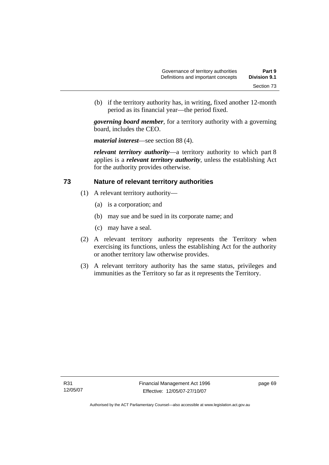(b) if the territory authority has, in writing, fixed another 12-month period as its financial year—the period fixed.

*governing board member*, for a territory authority with a governing board, includes the CEO.

*material interest*—see section 88 (4).

*relevant territory authority*—a territory authority to which part 8 applies is a *relevant territory authority*, unless the establishing Act for the authority provides otherwise.

#### **73 Nature of relevant territory authorities**

- (1) A relevant territory authority—
	- (a) is a corporation; and
	- (b) may sue and be sued in its corporate name; and
	- (c) may have a seal.
- (2) A relevant territory authority represents the Territory when exercising its functions, unless the establishing Act for the authority or another territory law otherwise provides.
- (3) A relevant territory authority has the same status, privileges and immunities as the Territory so far as it represents the Territory.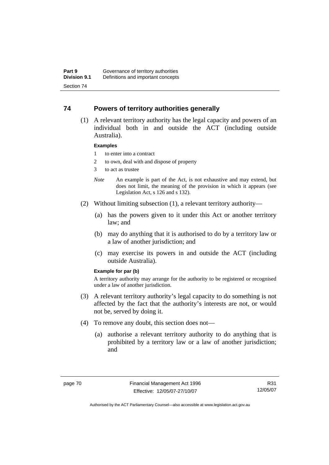#### **74 Powers of territory authorities generally**

 (1) A relevant territory authority has the legal capacity and powers of an individual both in and outside the ACT (including outside Australia).

#### **Examples**

- 1 to enter into a contract
- 2 to own, deal with and dispose of property
- 3 to act as trustee
- *Note* An example is part of the Act, is not exhaustive and may extend, but does not limit, the meaning of the provision in which it appears (see Legislation Act, s 126 and s 132).
- (2) Without limiting subsection (1), a relevant territory authority—
	- (a) has the powers given to it under this Act or another territory law; and
	- (b) may do anything that it is authorised to do by a territory law or a law of another jurisdiction; and
	- (c) may exercise its powers in and outside the ACT (including outside Australia).

#### **Example for par (b)**

A territory authority may arrange for the authority to be registered or recognised under a law of another jurisdiction.

- (3) A relevant territory authority's legal capacity to do something is not affected by the fact that the authority's interests are not, or would not be, served by doing it.
- (4) To remove any doubt, this section does not—
	- (a) authorise a relevant territory authority to do anything that is prohibited by a territory law or a law of another jurisdiction; and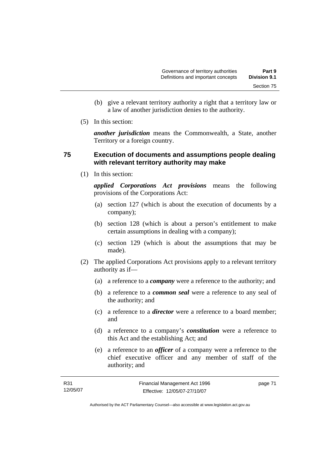- (b) give a relevant territory authority a right that a territory law or a law of another jurisdiction denies to the authority.
- (5) In this section:

*another jurisdiction* means the Commonwealth, a State, another Territory or a foreign country.

### **75 Execution of documents and assumptions people dealing with relevant territory authority may make**

(1) In this section:

*applied Corporations Act provisions* means the following provisions of the Corporations Act:

- (a) section 127 (which is about the execution of documents by a company);
- (b) section 128 (which is about a person's entitlement to make certain assumptions in dealing with a company);
- (c) section 129 (which is about the assumptions that may be made).
- (2) The applied Corporations Act provisions apply to a relevant territory authority as if—
	- (a) a reference to a *company* were a reference to the authority; and
	- (b) a reference to a *common seal* were a reference to any seal of the authority; and
	- (c) a reference to a *director* were a reference to a board member; and
	- (d) a reference to a company's *constitution* were a reference to this Act and the establishing Act; and
	- (e) a reference to an *officer* of a company were a reference to the chief executive officer and any member of staff of the authority; and

| R31      | Financial Management Act 1996 | page 71 |
|----------|-------------------------------|---------|
| 12/05/07 | Effective: 12/05/07-27/10/07  |         |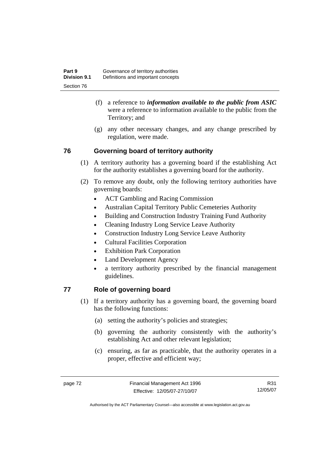- (f) a reference to *information available to the public from ASIC*  were a reference to information available to the public from the Territory; and
- (g) any other necessary changes, and any change prescribed by regulation, were made.

## **76 Governing board of territory authority**

- (1) A territory authority has a governing board if the establishing Act for the authority establishes a governing board for the authority.
- (2) To remove any doubt, only the following territory authorities have governing boards:
	- ACT Gambling and Racing Commission
	- Australian Capital Territory Public Cemeteries Authority
	- Building and Construction Industry Training Fund Authority
	- Cleaning Industry Long Service Leave Authority
	- Construction Industry Long Service Leave Authority
	- Cultural Facilities Corporation
	- Exhibition Park Corporation
	- Land Development Agency
	- a territory authority prescribed by the financial management guidelines.

# **77 Role of governing board**

- (1) If a territory authority has a governing board, the governing board has the following functions:
	- (a) setting the authority's policies and strategies;
	- (b) governing the authority consistently with the authority's establishing Act and other relevant legislation;
	- (c) ensuring, as far as practicable, that the authority operates in a proper, effective and efficient way;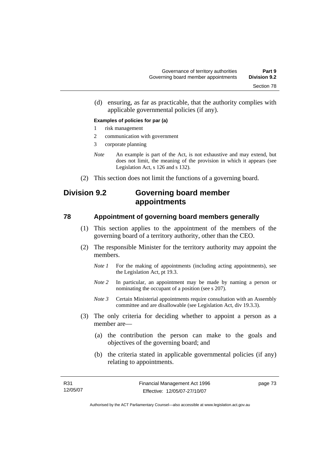(d) ensuring, as far as practicable, that the authority complies with applicable governmental policies (if any).

#### **Examples of policies for par (a)**

- 1 risk management
- 2 communication with government
- 3 corporate planning
- *Note* An example is part of the Act, is not exhaustive and may extend, but does not limit, the meaning of the provision in which it appears (see Legislation Act, s 126 and s 132).
- (2) This section does not limit the functions of a governing board.

# **Division 9.2 Governing board member appointments**

#### **78 Appointment of governing board members generally**

- (1) This section applies to the appointment of the members of the governing board of a territory authority, other than the CEO.
- (2) The responsible Minister for the territory authority may appoint the members.
	- *Note 1* For the making of appointments (including acting appointments), see the Legislation Act, pt 19.3.
	- *Note 2* In particular, an appointment may be made by naming a person or nominating the occupant of a position (see s 207).
	- *Note 3* Certain Ministerial appointments require consultation with an Assembly committee and are disallowable (see Legislation Act, div 19.3.3).
- (3) The only criteria for deciding whether to appoint a person as a member are—
	- (a) the contribution the person can make to the goals and objectives of the governing board; and
	- (b) the criteria stated in applicable governmental policies (if any) relating to appointments.

page 73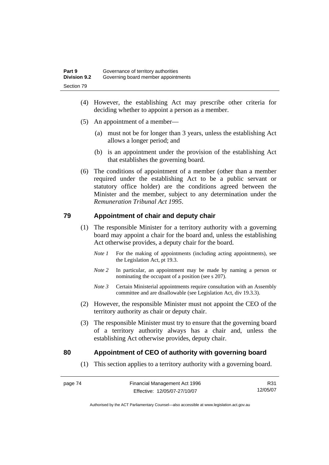- (4) However, the establishing Act may prescribe other criteria for deciding whether to appoint a person as a member.
- (5) An appointment of a member—
	- (a) must not be for longer than 3 years, unless the establishing Act allows a longer period; and
	- (b) is an appointment under the provision of the establishing Act that establishes the governing board.
- (6) The conditions of appointment of a member (other than a member required under the establishing Act to be a public servant or statutory office holder) are the conditions agreed between the Minister and the member, subject to any determination under the *Remuneration Tribunal Act 1995*.

#### **79 Appointment of chair and deputy chair**

- (1) The responsible Minister for a territory authority with a governing board may appoint a chair for the board and, unless the establishing Act otherwise provides, a deputy chair for the board.
	- *Note 1* For the making of appointments (including acting appointments), see the Legislation Act, pt 19.3.
	- *Note 2* In particular, an appointment may be made by naming a person or nominating the occupant of a position (see s 207).
	- *Note 3* Certain Ministerial appointments require consultation with an Assembly committee and are disallowable (see Legislation Act, div 19.3.3).
- (2) However, the responsible Minister must not appoint the CEO of the territory authority as chair or deputy chair.
- (3) The responsible Minister must try to ensure that the governing board of a territory authority always has a chair and, unless the establishing Act otherwise provides, deputy chair.

#### **80 Appointment of CEO of authority with governing board**

(1) This section applies to a territory authority with a governing board.

R31 12/05/07

Authorised by the ACT Parliamentary Counsel—also accessible at www.legislation.act.gov.au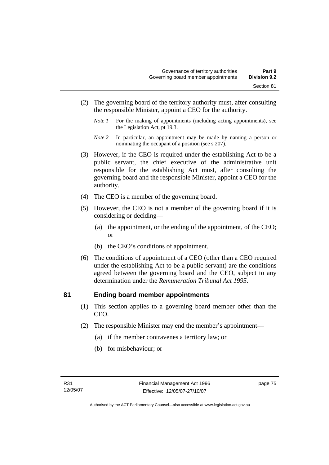- (2) The governing board of the territory authority must, after consulting the responsible Minister, appoint a CEO for the authority.
	- *Note 1* For the making of appointments (including acting appointments), see the Legislation Act, pt 19.3.
	- *Note 2* In particular, an appointment may be made by naming a person or nominating the occupant of a position (see s 207).
- (3) However, if the CEO is required under the establishing Act to be a public servant, the chief executive of the administrative unit responsible for the establishing Act must, after consulting the governing board and the responsible Minister, appoint a CEO for the authority.
- (4) The CEO is a member of the governing board.
- (5) However, the CEO is not a member of the governing board if it is considering or deciding—
	- (a) the appointment, or the ending of the appointment, of the CEO; or
	- (b) the CEO's conditions of appointment.
- (6) The conditions of appointment of a CEO (other than a CEO required under the establishing Act to be a public servant) are the conditions agreed between the governing board and the CEO, subject to any determination under the *Remuneration Tribunal Act 1995*.

#### **81 Ending board member appointments**

- (1) This section applies to a governing board member other than the CEO.
- (2) The responsible Minister may end the member's appointment—
	- (a) if the member contravenes a territory law; or
	- (b) for misbehaviour; or

page 75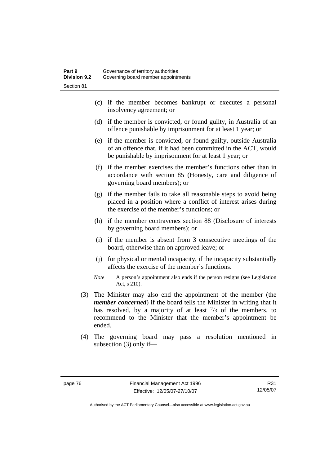- (c) if the member becomes bankrupt or executes a personal insolvency agreement; or
- (d) if the member is convicted, or found guilty, in Australia of an offence punishable by imprisonment for at least 1 year; or
- (e) if the member is convicted, or found guilty, outside Australia of an offence that, if it had been committed in the ACT, would be punishable by imprisonment for at least 1 year; or
- (f) if the member exercises the member's functions other than in accordance with section 85 (Honesty, care and diligence of governing board members); or
- (g) if the member fails to take all reasonable steps to avoid being placed in a position where a conflict of interest arises during the exercise of the member's functions; or
- (h) if the member contravenes section 88 (Disclosure of interests by governing board members); or
- (i) if the member is absent from 3 consecutive meetings of the board, otherwise than on approved leave; or
- (j) for physical or mental incapacity, if the incapacity substantially affects the exercise of the member's functions.
- *Note* A person's appointment also ends if the person resigns (see Legislation Act, s 210).
- (3) The Minister may also end the appointment of the member (the *member concerned*) if the board tells the Minister in writing that it has resolved, by a majority of at least  $\frac{2}{3}$  of the members, to recommend to the Minister that the member's appointment be ended.
- (4) The governing board may pass a resolution mentioned in subsection (3) only if—

Authorised by the ACT Parliamentary Counsel—also accessible at www.legislation.act.gov.au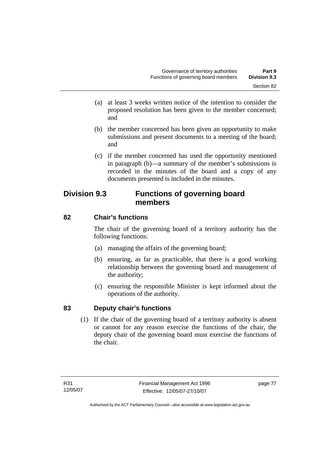- (a) at least 3 weeks written notice of the intention to consider the proposed resolution has been given to the member concerned; and
- (b) the member concerned has been given an opportunity to make submissions and present documents to a meeting of the board; and
- (c) if the member concerned has used the opportunity mentioned in paragraph (b)—a summary of the member's submissions is recorded in the minutes of the board and a copy of any documents presented is included in the minutes.

# **Division 9.3 Functions of governing board members**

# **82 Chair's functions**

The chair of the governing board of a territory authority has the following functions:

- (a) managing the affairs of the governing board;
- (b) ensuring, as far as practicable, that there is a good working relationship between the governing board and management of the authority;
- (c) ensuring the responsible Minister is kept informed about the operations of the authority.

# **83 Deputy chair's functions**

 (1) If the chair of the governing board of a territory authority is absent or cannot for any reason exercise the functions of the chair, the deputy chair of the governing board must exercise the functions of the chair.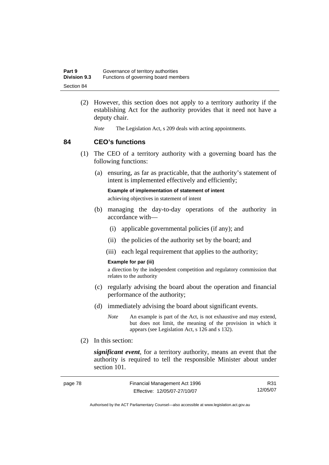| Part 9              | Governance of territory authorities  |
|---------------------|--------------------------------------|
| <b>Division 9.3</b> | Functions of governing board members |
| Section 84          |                                      |

- (2) However, this section does not apply to a territory authority if the establishing Act for the authority provides that it need not have a deputy chair.
	- *Note* The Legislation Act, s 209 deals with acting appointments.

#### **84 CEO's functions**

- (1) The CEO of a territory authority with a governing board has the following functions:
	- (a) ensuring, as far as practicable, that the authority's statement of intent is implemented effectively and efficiently;

**Example of implementation of statement of intent** 

achieving objectives in statement of intent

- (b) managing the day-to-day operations of the authority in accordance with—
	- (i) applicable governmental policies (if any); and
	- (ii) the policies of the authority set by the board; and
	- (iii) each legal requirement that applies to the authority;

#### **Example for par (iii)**

a direction by the independent competition and regulatory commission that relates to the authority

- (c) regularly advising the board about the operation and financial performance of the authority;
- (d) immediately advising the board about significant events.
	- *Note* An example is part of the Act, is not exhaustive and may extend, but does not limit, the meaning of the provision in which it appears (see Legislation Act, s 126 and s 132).
- (2) In this section:

*significant event*, for a territory authority, means an event that the authority is required to tell the responsible Minister about under section 101.

| page 78 | Financial Management Act 1996 | R31      |
|---------|-------------------------------|----------|
|         | Effective: 12/05/07-27/10/07  | 12/05/07 |

Authorised by the ACT Parliamentary Counsel—also accessible at www.legislation.act.gov.au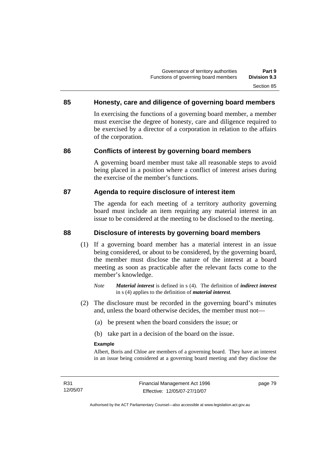## **85 Honesty, care and diligence of governing board members**

In exercising the functions of a governing board member, a member must exercise the degree of honesty, care and diligence required to be exercised by a director of a corporation in relation to the affairs of the corporation.

## **86 Conflicts of interest by governing board members**

A governing board member must take all reasonable steps to avoid being placed in a position where a conflict of interest arises during the exercise of the member's functions.

#### **87 Agenda to require disclosure of interest item**

The agenda for each meeting of a territory authority governing board must include an item requiring any material interest in an issue to be considered at the meeting to be disclosed to the meeting.

### **88 Disclosure of interests by governing board members**

- (1) If a governing board member has a material interest in an issue being considered, or about to be considered, by the governing board, the member must disclose the nature of the interest at a board meeting as soon as practicable after the relevant facts come to the member's knowledge.
	- *Note Material interest* is defined in s (4). The definition of *indirect interest* in s (4) applies to the definition of *material interest*.
- (2) The disclosure must be recorded in the governing board's minutes and, unless the board otherwise decides, the member must not—
	- (a) be present when the board considers the issue; or
	- (b) take part in a decision of the board on the issue.

#### **Example**

Albert, Boris and Chloe are members of a governing board. They have an interest in an issue being considered at a governing board meeting and they disclose the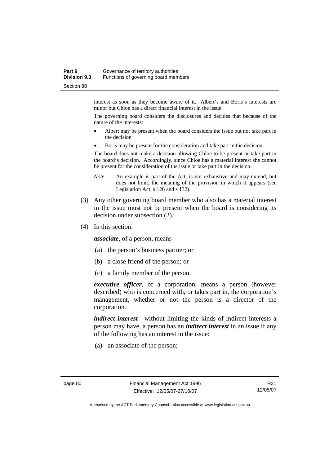#### **Part 9 Governance of territory authorities Division 9.3** Functions of governing board members Section 88

interest as soon as they become aware of it. Albert's and Boris's interests are minor but Chloe has a direct financial interest in the issue.

The governing board considers the disclosures and decides that because of the nature of the interests:

- Albert may be present when the board considers the issue but not take part in the decision
- Boris may be present for the consideration and take part in the decision.

The board does not make a decision allowing Chloe to be present or take part in the board's decision. Accordingly, since Chloe has a material interest she cannot be present for the consideration of the issue or take part in the decision.

- *Note* An example is part of the Act, is not exhaustive and may extend, but does not limit, the meaning of the provision in which it appears (see Legislation Act, s 126 and s 132).
- (3) Any other governing board member who also has a material interest in the issue must not be present when the board is considering its decision under subsection (2).
- (4) In this section:

*associate*, of a person, means—

- (a) the person's business partner; or
- (b) a close friend of the person; or
- (c) a family member of the person.

*executive officer*, of a corporation, means a person (however described) who is concerned with, or takes part in, the corporation's management, whether or not the person is a director of the corporation.

*indirect interest*—without limiting the kinds of indirect interests a person may have, a person has an *indirect interest* in an issue if any of the following has an interest in the issue:

(a) an associate of the person;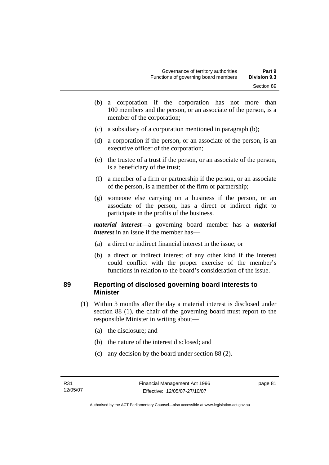- (b) a corporation if the corporation has not more than 100 members and the person, or an associate of the person, is a member of the corporation;
- (c) a subsidiary of a corporation mentioned in paragraph (b);
- (d) a corporation if the person, or an associate of the person, is an executive officer of the corporation;
- (e) the trustee of a trust if the person, or an associate of the person, is a beneficiary of the trust;
- (f) a member of a firm or partnership if the person, or an associate of the person, is a member of the firm or partnership;
- (g) someone else carrying on a business if the person, or an associate of the person, has a direct or indirect right to participate in the profits of the business.

*material interest*—a governing board member has a *material interest* in an issue if the member has—

- (a) a direct or indirect financial interest in the issue; or
- (b) a direct or indirect interest of any other kind if the interest could conflict with the proper exercise of the member's functions in relation to the board's consideration of the issue.

#### **89 Reporting of disclosed governing board interests to Minister**

- (1) Within 3 months after the day a material interest is disclosed under section 88 (1), the chair of the governing board must report to the responsible Minister in writing about—
	- (a) the disclosure; and
	- (b) the nature of the interest disclosed; and
	- (c) any decision by the board under section 88 (2).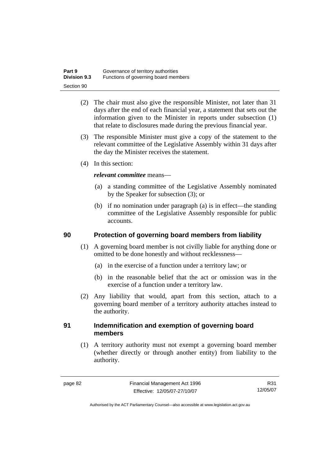| Part 9              | Governance of territory authorities  |
|---------------------|--------------------------------------|
| <b>Division 9.3</b> | Functions of governing board members |
| Section 90          |                                      |

- (2) The chair must also give the responsible Minister, not later than 31 days after the end of each financial year, a statement that sets out the information given to the Minister in reports under subsection (1) that relate to disclosures made during the previous financial year.
- (3) The responsible Minister must give a copy of the statement to the relevant committee of the Legislative Assembly within 31 days after the day the Minister receives the statement.
- (4) In this section:

#### *relevant committee* means—

- (a) a standing committee of the Legislative Assembly nominated by the Speaker for subsection (3); or
- (b) if no nomination under paragraph (a) is in effect—the standing committee of the Legislative Assembly responsible for public accounts.

#### **90 Protection of governing board members from liability**

- (1) A governing board member is not civilly liable for anything done or omitted to be done honestly and without recklessness—
	- (a) in the exercise of a function under a territory law; or
	- (b) in the reasonable belief that the act or omission was in the exercise of a function under a territory law.
- (2) Any liability that would, apart from this section, attach to a governing board member of a territory authority attaches instead to the authority.

#### **91 Indemnification and exemption of governing board members**

 (1) A territory authority must not exempt a governing board member (whether directly or through another entity) from liability to the authority.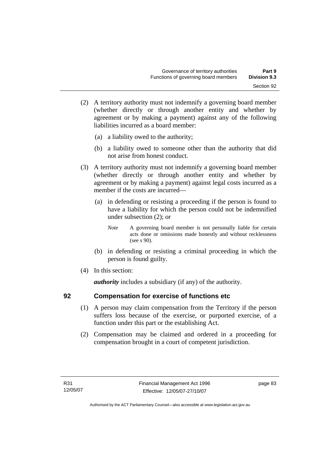- (2) A territory authority must not indemnify a governing board member (whether directly or through another entity and whether by agreement or by making a payment) against any of the following liabilities incurred as a board member:
	- (a) a liability owed to the authority;
	- (b) a liability owed to someone other than the authority that did not arise from honest conduct.
- (3) A territory authority must not indemnify a governing board member (whether directly or through another entity and whether by agreement or by making a payment) against legal costs incurred as a member if the costs are incurred—
	- (a) in defending or resisting a proceeding if the person is found to have a liability for which the person could not be indemnified under subsection (2); or
		- *Note* A governing board member is not personally liable for certain acts done or omissions made honestly and without recklessness (see s 90).
	- (b) in defending or resisting a criminal proceeding in which the person is found guilty.
- (4) In this section:

*authority* includes a subsidiary (if any) of the authority.

## **92 Compensation for exercise of functions etc**

- (1) A person may claim compensation from the Territory if the person suffers loss because of the exercise, or purported exercise, of a function under this part or the establishing Act.
- (2) Compensation may be claimed and ordered in a proceeding for compensation brought in a court of competent jurisdiction.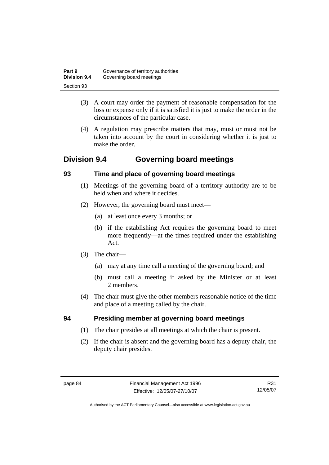| Part 9              | Governance of territory authorities |
|---------------------|-------------------------------------|
| <b>Division 9.4</b> | Governing board meetings            |
| Section 93          |                                     |

- (3) A court may order the payment of reasonable compensation for the loss or expense only if it is satisfied it is just to make the order in the circumstances of the particular case.
- (4) A regulation may prescribe matters that may, must or must not be taken into account by the court in considering whether it is just to make the order.

# **Division 9.4 Governing board meetings**

## **93 Time and place of governing board meetings**

- (1) Meetings of the governing board of a territory authority are to be held when and where it decides.
- (2) However, the governing board must meet—
	- (a) at least once every 3 months; or
	- (b) if the establishing Act requires the governing board to meet more frequently—at the times required under the establishing Act.
- (3) The chair—
	- (a) may at any time call a meeting of the governing board; and
	- (b) must call a meeting if asked by the Minister or at least 2 members.
- (4) The chair must give the other members reasonable notice of the time and place of a meeting called by the chair.

# **94 Presiding member at governing board meetings**

- (1) The chair presides at all meetings at which the chair is present.
- (2) If the chair is absent and the governing board has a deputy chair, the deputy chair presides.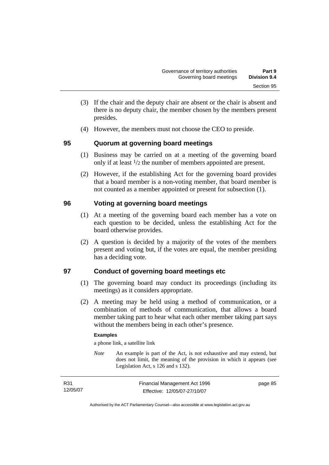- (3) If the chair and the deputy chair are absent or the chair is absent and there is no deputy chair, the member chosen by the members present presides.
- (4) However, the members must not choose the CEO to preside.

## **95 Quorum at governing board meetings**

- (1) Business may be carried on at a meeting of the governing board only if at least 1/2 the number of members appointed are present.
- (2) However, if the establishing Act for the governing board provides that a board member is a non-voting member, that board member is not counted as a member appointed or present for subsection (1).

## **96 Voting at governing board meetings**

- (1) At a meeting of the governing board each member has a vote on each question to be decided, unless the establishing Act for the board otherwise provides.
- (2) A question is decided by a majority of the votes of the members present and voting but, if the votes are equal, the member presiding has a deciding vote.

# **97 Conduct of governing board meetings etc**

- (1) The governing board may conduct its proceedings (including its meetings) as it considers appropriate.
- (2) A meeting may be held using a method of communication, or a combination of methods of communication, that allows a board member taking part to hear what each other member taking part says without the members being in each other's presence.

#### **Examples**

a phone link, a satellite link

*Note* An example is part of the Act, is not exhaustive and may extend, but does not limit, the meaning of the provision in which it appears (see Legislation Act, s 126 and s 132).

| R31      | Financial Management Act 1996 | page 85 |
|----------|-------------------------------|---------|
| 12/05/07 | Effective: 12/05/07-27/10/07  |         |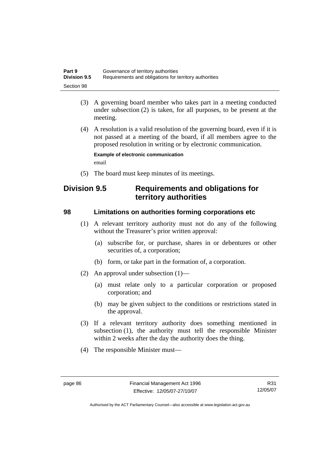| Part 9              | Governance of territory authorities                    |
|---------------------|--------------------------------------------------------|
| <b>Division 9.5</b> | Requirements and obligations for territory authorities |
| Section 98          |                                                        |

- (3) A governing board member who takes part in a meeting conducted under subsection (2) is taken, for all purposes, to be present at the meeting.
- (4) A resolution is a valid resolution of the governing board, even if it is not passed at a meeting of the board, if all members agree to the proposed resolution in writing or by electronic communication.

**Example of electronic communication**  email

(5) The board must keep minutes of its meetings.

# **Division 9.5 Requirements and obligations for territory authorities**

#### **98 Limitations on authorities forming corporations etc**

- (1) A relevant territory authority must not do any of the following without the Treasurer's prior written approval:
	- (a) subscribe for, or purchase, shares in or debentures or other securities of, a corporation;
	- (b) form, or take part in the formation of, a corporation.
- (2) An approval under subsection (1)—
	- (a) must relate only to a particular corporation or proposed corporation; and
	- (b) may be given subject to the conditions or restrictions stated in the approval.
- (3) If a relevant territory authority does something mentioned in subsection (1), the authority must tell the responsible Minister within 2 weeks after the day the authority does the thing.
- (4) The responsible Minister must—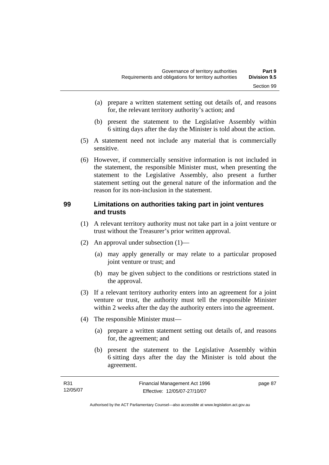- (a) prepare a written statement setting out details of, and reasons for, the relevant territory authority's action; and
- (b) present the statement to the Legislative Assembly within 6 sitting days after the day the Minister is told about the action.
- (5) A statement need not include any material that is commercially sensitive.
- (6) However, if commercially sensitive information is not included in the statement, the responsible Minister must, when presenting the statement to the Legislative Assembly, also present a further statement setting out the general nature of the information and the reason for its non-inclusion in the statement.

#### **99 Limitations on authorities taking part in joint ventures and trusts**

- (1) A relevant territory authority must not take part in a joint venture or trust without the Treasurer's prior written approval.
- (2) An approval under subsection (1)—
	- (a) may apply generally or may relate to a particular proposed joint venture or trust; and
	- (b) may be given subject to the conditions or restrictions stated in the approval.
- (3) If a relevant territory authority enters into an agreement for a joint venture or trust, the authority must tell the responsible Minister within 2 weeks after the day the authority enters into the agreement.
- (4) The responsible Minister must—
	- (a) prepare a written statement setting out details of, and reasons for, the agreement; and
	- (b) present the statement to the Legislative Assembly within 6 sitting days after the day the Minister is told about the agreement.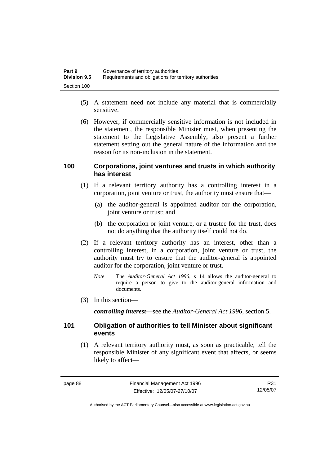| Part 9              | Governance of territory authorities                    |
|---------------------|--------------------------------------------------------|
| <b>Division 9.5</b> | Requirements and obligations for territory authorities |
| Section 100         |                                                        |

- (5) A statement need not include any material that is commercially sensitive.
- (6) However, if commercially sensitive information is not included in the statement, the responsible Minister must, when presenting the statement to the Legislative Assembly, also present a further statement setting out the general nature of the information and the reason for its non-inclusion in the statement.

#### **100 Corporations, joint ventures and trusts in which authority has interest**

- (1) If a relevant territory authority has a controlling interest in a corporation, joint venture or trust, the authority must ensure that—
	- (a) the auditor-general is appointed auditor for the corporation, joint venture or trust; and
	- (b) the corporation or joint venture, or a trustee for the trust, does not do anything that the authority itself could not do.
- (2) If a relevant territory authority has an interest, other than a controlling interest, in a corporation, joint venture or trust, the authority must try to ensure that the auditor-general is appointed auditor for the corporation, joint venture or trust.
	- *Note* The *Auditor-General Act 1996*, s 14 allows the auditor-general to require a person to give to the auditor-general information and documents.
- (3) In this section—

*controlling interest*—see the *Auditor-General Act 1996*, section 5.

#### **101 Obligation of authorities to tell Minister about significant events**

 (1) A relevant territory authority must, as soon as practicable, tell the responsible Minister of any significant event that affects, or seems likely to affect—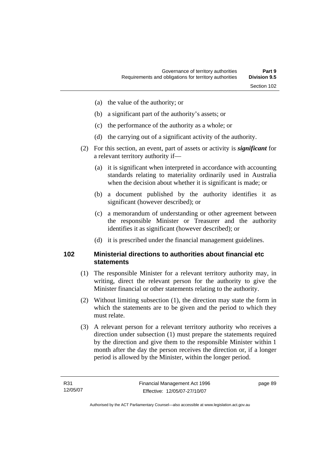- (a) the value of the authority; or
- (b) a significant part of the authority's assets; or
- (c) the performance of the authority as a whole; or
- (d) the carrying out of a significant activity of the authority.
- (2) For this section, an event, part of assets or activity is *significant* for a relevant territory authority if—
	- (a) it is significant when interpreted in accordance with accounting standards relating to materiality ordinarily used in Australia when the decision about whether it is significant is made; or
	- (b) a document published by the authority identifies it as significant (however described); or
	- (c) a memorandum of understanding or other agreement between the responsible Minister or Treasurer and the authority identifies it as significant (however described); or
	- (d) it is prescribed under the financial management guidelines.

#### **102 Ministerial directions to authorities about financial etc statements**

- (1) The responsible Minister for a relevant territory authority may, in writing, direct the relevant person for the authority to give the Minister financial or other statements relating to the authority.
- (2) Without limiting subsection (1), the direction may state the form in which the statements are to be given and the period to which they must relate.
- (3) A relevant person for a relevant territory authority who receives a direction under subsection (1) must prepare the statements required by the direction and give them to the responsible Minister within 1 month after the day the person receives the direction or, if a longer period is allowed by the Minister, within the longer period.

page 89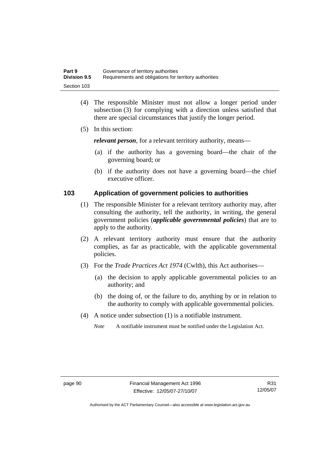| Part 9              | Governance of territory authorities                    |
|---------------------|--------------------------------------------------------|
| <b>Division 9.5</b> | Requirements and obligations for territory authorities |
| Section 103         |                                                        |

- (4) The responsible Minister must not allow a longer period under subsection (3) for complying with a direction unless satisfied that there are special circumstances that justify the longer period.
- (5) In this section:

*relevant person*, for a relevant territory authority, means—

- (a) if the authority has a governing board—the chair of the governing board; or
- (b) if the authority does not have a governing board—the chief executive officer.

#### **103 Application of government policies to authorities**

- (1) The responsible Minister for a relevant territory authority may, after consulting the authority, tell the authority, in writing, the general government policies (*applicable governmental policies*) that are to apply to the authority.
- (2) A relevant territory authority must ensure that the authority complies, as far as practicable, with the applicable governmental policies.
- (3) For the *Trade Practices Act 1974* (Cwlth), this Act authorises—
	- (a) the decision to apply applicable governmental policies to an authority; and
	- (b) the doing of, or the failure to do, anything by or in relation to the authority to comply with applicable governmental policies.
- (4) A notice under subsection (1) is a notifiable instrument.

*Note* A notifiable instrument must be notified under the Legislation Act.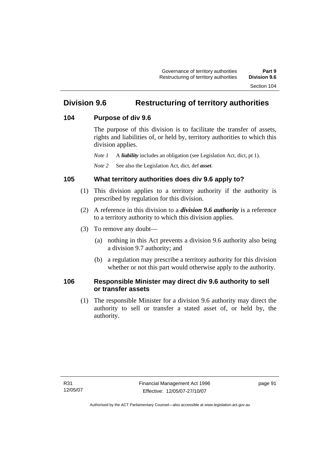# **Division 9.6 Restructuring of territory authorities**

#### **104 Purpose of div 9.6**

The purpose of this division is to facilitate the transfer of assets, rights and liabilities of, or held by, territory authorities to which this division applies.

*Note 1* A *liability* includes an obligation (see Legislation Act, dict, pt 1).

*Note 2* See also the Legislation Act, dict, def *asset*.

## **105 What territory authorities does div 9.6 apply to?**

- (1) This division applies to a territory authority if the authority is prescribed by regulation for this division.
- (2) A reference in this division to a *division 9.6 authority* is a reference to a territory authority to which this division applies.
- (3) To remove any doubt—
	- (a) nothing in this Act prevents a division 9.6 authority also being a division 9.7 authority; and
	- (b) a regulation may prescribe a territory authority for this division whether or not this part would otherwise apply to the authority.

## **106 Responsible Minister may direct div 9.6 authority to sell or transfer assets**

 (1) The responsible Minister for a division 9.6 authority may direct the authority to sell or transfer a stated asset of, or held by, the authority.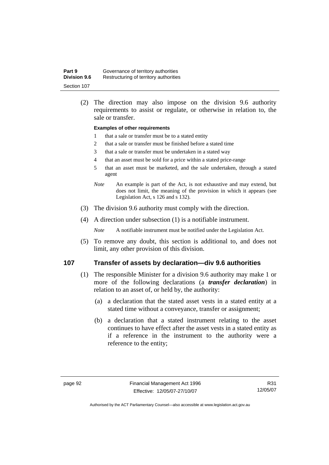| Part 9              | Governance of territory authorities    |
|---------------------|----------------------------------------|
| <b>Division 9.6</b> | Restructuring of territory authorities |
| Section 107         |                                        |

 (2) The direction may also impose on the division 9.6 authority requirements to assist or regulate, or otherwise in relation to, the sale or transfer.

#### **Examples of other requirements**

- 1 that a sale or transfer must be to a stated entity
- 2 that a sale or transfer must be finished before a stated time
- 3 that a sale or transfer must be undertaken in a stated way
- 4 that an asset must be sold for a price within a stated price-range
- 5 that an asset must be marketed, and the sale undertaken, through a stated agent
- *Note* An example is part of the Act, is not exhaustive and may extend, but does not limit, the meaning of the provision in which it appears (see Legislation Act, s 126 and s 132).
- (3) The division 9.6 authority must comply with the direction.
- (4) A direction under subsection (1) is a notifiable instrument.

*Note* A notifiable instrument must be notified under the Legislation Act.

 (5) To remove any doubt, this section is additional to, and does not limit, any other provision of this division.

#### **107 Transfer of assets by declaration—div 9.6 authorities**

- (1) The responsible Minister for a division 9.6 authority may make 1 or more of the following declarations (a *transfer declaration*) in relation to an asset of, or held by, the authority:
	- (a) a declaration that the stated asset vests in a stated entity at a stated time without a conveyance, transfer or assignment;
	- (b) a declaration that a stated instrument relating to the asset continues to have effect after the asset vests in a stated entity as if a reference in the instrument to the authority were a reference to the entity;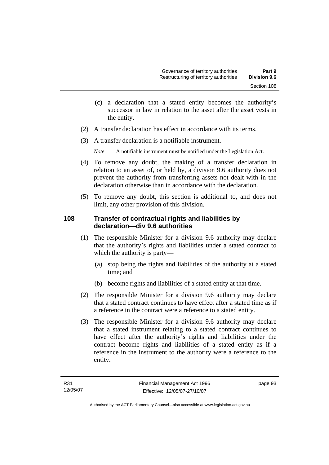- (c) a declaration that a stated entity becomes the authority's successor in law in relation to the asset after the asset vests in the entity.
- (2) A transfer declaration has effect in accordance with its terms.
- (3) A transfer declaration is a notifiable instrument.

*Note* A notifiable instrument must be notified under the Legislation Act.

- (4) To remove any doubt, the making of a transfer declaration in relation to an asset of, or held by, a division 9.6 authority does not prevent the authority from transferring assets not dealt with in the declaration otherwise than in accordance with the declaration.
- (5) To remove any doubt, this section is additional to, and does not limit, any other provision of this division.

## **108 Transfer of contractual rights and liabilities by declaration—div 9.6 authorities**

- (1) The responsible Minister for a division 9.6 authority may declare that the authority's rights and liabilities under a stated contract to which the authority is party—
	- (a) stop being the rights and liabilities of the authority at a stated time; and
	- (b) become rights and liabilities of a stated entity at that time.
- (2) The responsible Minister for a division 9.6 authority may declare that a stated contract continues to have effect after a stated time as if a reference in the contract were a reference to a stated entity.
- (3) The responsible Minister for a division 9.6 authority may declare that a stated instrument relating to a stated contract continues to have effect after the authority's rights and liabilities under the contract become rights and liabilities of a stated entity as if a reference in the instrument to the authority were a reference to the entity.

page 93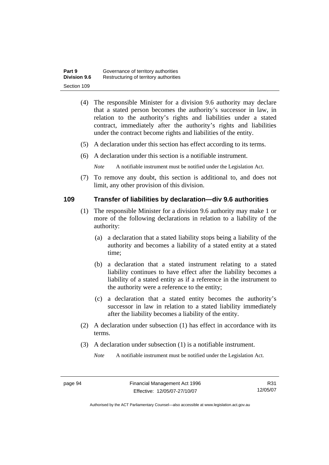| Part 9              | Governance of territory authorities    |
|---------------------|----------------------------------------|
| <b>Division 9.6</b> | Restructuring of territory authorities |
| Section 109         |                                        |

- (4) The responsible Minister for a division 9.6 authority may declare that a stated person becomes the authority's successor in law, in relation to the authority's rights and liabilities under a stated contract, immediately after the authority's rights and liabilities under the contract become rights and liabilities of the entity.
- (5) A declaration under this section has effect according to its terms.
- (6) A declaration under this section is a notifiable instrument.

*Note* A notifiable instrument must be notified under the Legislation Act.

 (7) To remove any doubt, this section is additional to, and does not limit, any other provision of this division.

#### **109 Transfer of liabilities by declaration—div 9.6 authorities**

- (1) The responsible Minister for a division 9.6 authority may make 1 or more of the following declarations in relation to a liability of the authority:
	- (a) a declaration that a stated liability stops being a liability of the authority and becomes a liability of a stated entity at a stated time;
	- (b) a declaration that a stated instrument relating to a stated liability continues to have effect after the liability becomes a liability of a stated entity as if a reference in the instrument to the authority were a reference to the entity;
	- (c) a declaration that a stated entity becomes the authority's successor in law in relation to a stated liability immediately after the liability becomes a liability of the entity.
- (2) A declaration under subsection (1) has effect in accordance with its terms.
- (3) A declaration under subsection (1) is a notifiable instrument.

*Note* A notifiable instrument must be notified under the Legislation Act.

R31 12/05/07

Authorised by the ACT Parliamentary Counsel—also accessible at www.legislation.act.gov.au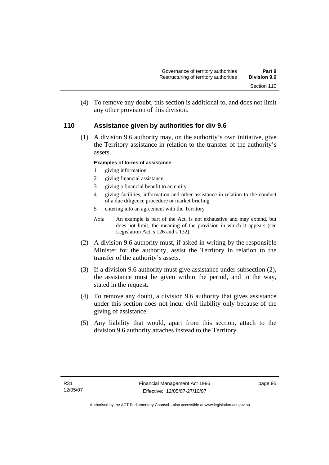(4) To remove any doubt, this section is additional to, and does not limit any other provision of this division.

## **110 Assistance given by authorities for div 9.6**

 (1) A division 9.6 authority may, on the authority's own initiative, give the Territory assistance in relation to the transfer of the authority's assets.

#### **Examples of forms of assistance**

- 1 giving information
- 2 giving financial assistance
- 3 giving a financial benefit to an entity
- 4 giving facilities, information and other assistance in relation to the conduct of a due diligence procedure or market briefing
- 5 entering into an agreement with the Territory
- *Note* An example is part of the Act, is not exhaustive and may extend, but does not limit, the meaning of the provision in which it appears (see Legislation Act, s 126 and s 132).
- (2) A division 9.6 authority must, if asked in writing by the responsible Minister for the authority, assist the Territory in relation to the transfer of the authority's assets.
- (3) If a division 9.6 authority must give assistance under subsection (2), the assistance must be given within the period, and in the way, stated in the request.
- (4) To remove any doubt, a division 9.6 authority that gives assistance under this section does not incur civil liability only because of the giving of assistance.
- (5) Any liability that would, apart from this section, attach to the division 9.6 authority attaches instead to the Territory.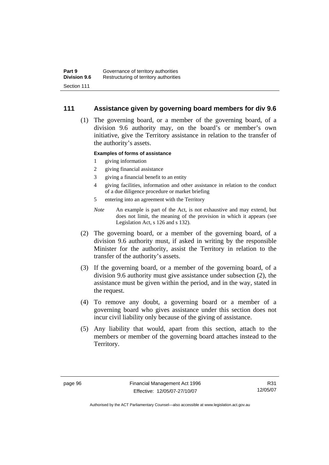### **111 Assistance given by governing board members for div 9.6**

 (1) The governing board, or a member of the governing board, of a division 9.6 authority may, on the board's or member's own initiative, give the Territory assistance in relation to the transfer of the authority's assets.

#### **Examples of forms of assistance**

- 1 giving information
- 2 giving financial assistance
- 3 giving a financial benefit to an entity
- 4 giving facilities, information and other assistance in relation to the conduct of a due diligence procedure or market briefing
- 5 entering into an agreement with the Territory
- *Note* An example is part of the Act, is not exhaustive and may extend, but does not limit, the meaning of the provision in which it appears (see Legislation Act, s 126 and s 132).
- (2) The governing board, or a member of the governing board, of a division 9.6 authority must, if asked in writing by the responsible Minister for the authority, assist the Territory in relation to the transfer of the authority's assets.
- (3) If the governing board, or a member of the governing board, of a division 9.6 authority must give assistance under subsection (2), the assistance must be given within the period, and in the way, stated in the request.
- (4) To remove any doubt, a governing board or a member of a governing board who gives assistance under this section does not incur civil liability only because of the giving of assistance.
- (5) Any liability that would, apart from this section, attach to the members or member of the governing board attaches instead to the Territory.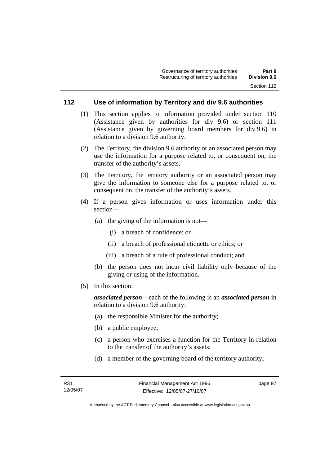## **112 Use of information by Territory and div 9.6 authorities**

- (1) This section applies to information provided under section 110 (Assistance given by authorities for div 9.6) or section 111 (Assistance given by governing board members for div 9.6) in relation to a division 9.6 authority.
- (2) The Territory, the division 9.6 authority or an associated person may use the information for a purpose related to, or consequent on, the transfer of the authority's assets.
- (3) The Territory, the territory authority or an associated person may give the information to someone else for a purpose related to, or consequent on, the transfer of the authority's assets.
- (4) If a person gives information or uses information under this section—
	- (a) the giving of the information is not—
		- (i) a breach of confidence; or
		- (ii) a breach of professional etiquette or ethics; or
		- (iii) a breach of a rule of professional conduct; and
	- (b) the person does not incur civil liability only because of the giving or using of the information.
- (5) In this section:

*associated person*—each of the following is an *associated person* in relation to a division 9.6 authority:

- (a) the responsible Minister for the authority;
- (b) a public employee;
- (c) a person who exercises a function for the Territory in relation to the transfer of the authority's assets;
- (d) a member of the governing board of the territory authority;

page 97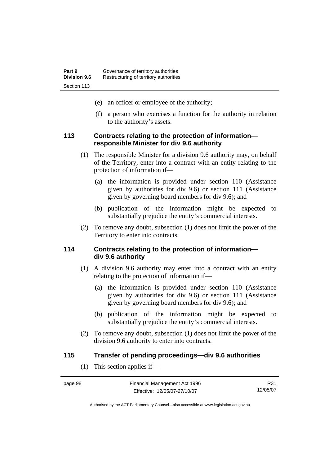- (e) an officer or employee of the authority;
- (f) a person who exercises a function for the authority in relation to the authority's assets.

#### **113 Contracts relating to the protection of information responsible Minister for div 9.6 authority**

- (1) The responsible Minister for a division 9.6 authority may, on behalf of the Territory, enter into a contract with an entity relating to the protection of information if—
	- (a) the information is provided under section 110 (Assistance given by authorities for div 9.6) or section 111 (Assistance given by governing board members for div 9.6); and
	- (b) publication of the information might be expected to substantially prejudice the entity's commercial interests.
- (2) To remove any doubt, subsection (1) does not limit the power of the Territory to enter into contracts.

#### **114 Contracts relating to the protection of information div 9.6 authority**

- (1) A division 9.6 authority may enter into a contract with an entity relating to the protection of information if—
	- (a) the information is provided under section 110 (Assistance given by authorities for div 9.6) or section 111 (Assistance given by governing board members for div 9.6); and
	- (b) publication of the information might be expected to substantially prejudice the entity's commercial interests.
- (2) To remove any doubt, subsection (1) does not limit the power of the division 9.6 authority to enter into contracts.

#### **115 Transfer of pending proceedings—div 9.6 authorities**

(1) This section applies if—

| page 98 | Financial Management Act 1996 | R31      |
|---------|-------------------------------|----------|
|         | Effective: 12/05/07-27/10/07  | 12/05/07 |

Authorised by the ACT Parliamentary Counsel—also accessible at www.legislation.act.gov.au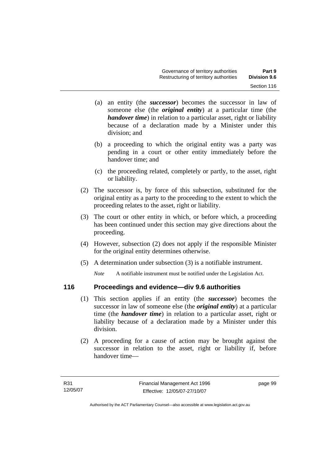- (a) an entity (the *successor*) becomes the successor in law of someone else (the *original entity*) at a particular time (the *handover time*) in relation to a particular asset, right or liability because of a declaration made by a Minister under this division; and
- (b) a proceeding to which the original entity was a party was pending in a court or other entity immediately before the handover time; and
- (c) the proceeding related, completely or partly, to the asset, right or liability.
- (2) The successor is, by force of this subsection, substituted for the original entity as a party to the proceeding to the extent to which the proceeding relates to the asset, right or liability.
- (3) The court or other entity in which, or before which, a proceeding has been continued under this section may give directions about the proceeding.
- (4) However, subsection (2) does not apply if the responsible Minister for the original entity determines otherwise.
- (5) A determination under subsection (3) is a notifiable instrument.

*Note* A notifiable instrument must be notified under the Legislation Act.

# **116 Proceedings and evidence—div 9.6 authorities**

- (1) This section applies if an entity (the *successor*) becomes the successor in law of someone else (the *original entity*) at a particular time (the *handover time*) in relation to a particular asset, right or liability because of a declaration made by a Minister under this division.
- (2) A proceeding for a cause of action may be brought against the successor in relation to the asset, right or liability if, before handover time—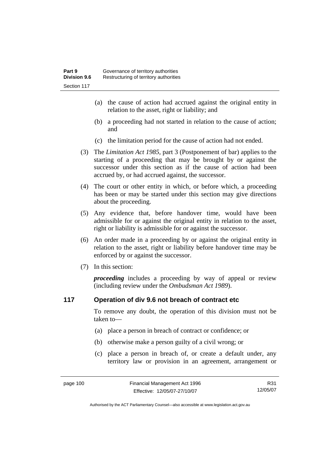- (a) the cause of action had accrued against the original entity in relation to the asset, right or liability; and
- (b) a proceeding had not started in relation to the cause of action; and
- (c) the limitation period for the cause of action had not ended.
- (3) The *Limitation Act 1985,* part 3 (Postponement of bar) applies to the starting of a proceeding that may be brought by or against the successor under this section as if the cause of action had been accrued by, or had accrued against, the successor.
- (4) The court or other entity in which, or before which, a proceeding has been or may be started under this section may give directions about the proceeding.
- (5) Any evidence that, before handover time, would have been admissible for or against the original entity in relation to the asset, right or liability is admissible for or against the successor.
- (6) An order made in a proceeding by or against the original entity in relation to the asset, right or liability before handover time may be enforced by or against the successor.
- (7) In this section:

*proceeding* includes a proceeding by way of appeal or review (including review under the *Ombudsman Act 1989*).

## **117 Operation of div 9.6 not breach of contract etc**

To remove any doubt, the operation of this division must not be taken to—

- (a) place a person in breach of contract or confidence; or
- (b) otherwise make a person guilty of a civil wrong; or
- (c) place a person in breach of, or create a default under, any territory law or provision in an agreement, arrangement or

R31 12/05/07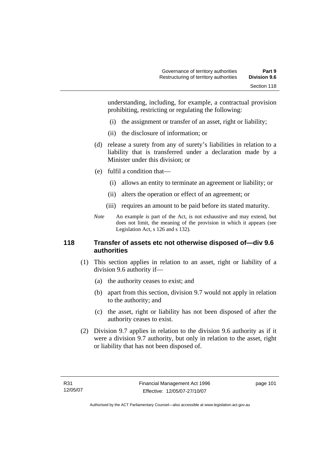understanding, including, for example, a contractual provision prohibiting, restricting or regulating the following:

- (i) the assignment or transfer of an asset, right or liability;
- (ii) the disclosure of information; or
- (d) release a surety from any of surety's liabilities in relation to a liability that is transferred under a declaration made by a Minister under this division; or
- (e) fulfil a condition that—
	- (i) allows an entity to terminate an agreement or liability; or
	- (ii) alters the operation or effect of an agreement; or
	- (iii) requires an amount to be paid before its stated maturity.
- *Note* An example is part of the Act, is not exhaustive and may extend, but does not limit, the meaning of the provision in which it appears (see Legislation Act, s 126 and s 132).

## **118 Transfer of assets etc not otherwise disposed of—div 9.6 authorities**

- (1) This section applies in relation to an asset, right or liability of a division 9.6 authority if—
	- (a) the authority ceases to exist; and
	- (b) apart from this section, division 9.7 would not apply in relation to the authority; and
	- (c) the asset, right or liability has not been disposed of after the authority ceases to exist.
- (2) Division 9.7 applies in relation to the division 9.6 authority as if it were a division 9.7 authority, but only in relation to the asset, right or liability that has not been disposed of.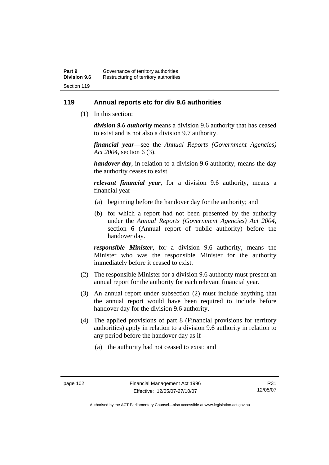# **119 Annual reports etc for div 9.6 authorities**

(1) In this section:

*division 9.6 authority* means a division 9.6 authority that has ceased to exist and is not also a division 9.7 authority.

*financial year*––see the *Annual Reports (Government Agencies) Act 2004*, section 6 (3).

*handover day*, in relation to a division 9.6 authority, means the day the authority ceases to exist.

*relevant financial year*, for a division 9.6 authority, means a financial year—

- (a) beginning before the handover day for the authority; and
- (b) for which a report had not been presented by the authority under the *Annual Reports (Government Agencies) Act 2004*, section 6 (Annual report of public authority) before the handover day.

*responsible Minister*, for a division 9.6 authority, means the Minister who was the responsible Minister for the authority immediately before it ceased to exist.

- (2) The responsible Minister for a division 9.6 authority must present an annual report for the authority for each relevant financial year.
- (3) An annual report under subsection (2) must include anything that the annual report would have been required to include before handover day for the division 9.6 authority.
- (4) The applied provisions of part 8 (Financial provisions for territory authorities) apply in relation to a division 9.6 authority in relation to any period before the handover day as if—
	- (a) the authority had not ceased to exist; and

R31 12/05/07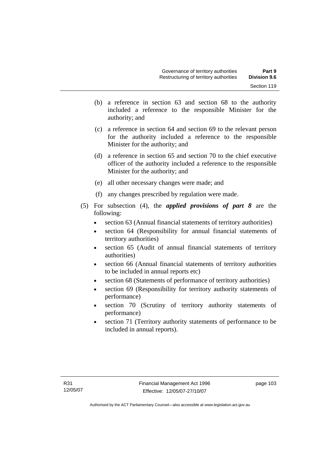- (b) a reference in section 63 and section 68 to the authority included a reference to the responsible Minister for the authority; and
- (c) a reference in section 64 and section 69 to the relevant person for the authority included a reference to the responsible Minister for the authority; and
- (d) a reference in section 65 and section 70 to the chief executive officer of the authority included a reference to the responsible Minister for the authority; and
- (e) all other necessary changes were made; and
- (f) any changes prescribed by regulation were made.
- (5) For subsection (4), the *applied provisions of part 8* are the following:
	- section 63 (Annual financial statements of territory authorities)
	- section 64 (Responsibility for annual financial statements of territory authorities)
	- section 65 (Audit of annual financial statements of territory authorities)
	- section 66 (Annual financial statements of territory authorities to be included in annual reports etc)
	- section 68 (Statements of performance of territory authorities)
	- section 69 (Responsibility for territory authority statements of performance)
	- section 70 (Scrutiny of territory authority statements of performance)
	- section 71 (Territory authority statements of performance to be included in annual reports).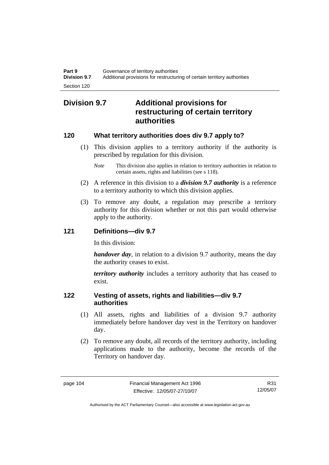# **Division 9.7 Additional provisions for restructuring of certain territory authorities**

# **120 What territory authorities does div 9.7 apply to?**

- (1) This division applies to a territory authority if the authority is prescribed by regulation for this division.
	- *Note* This division also applies in relation to territory authorities in relation to certain assets, rights and liabilities (see s 118).
- (2) A reference in this division to a *division 9.7 authority* is a reference to a territory authority to which this division applies.
- (3) To remove any doubt, a regulation may prescribe a territory authority for this division whether or not this part would otherwise apply to the authority.

# **121 Definitions—div 9.7**

In this division:

*handover day*, in relation to a division 9.7 authority, means the day the authority ceases to exist.

*territory authority* includes a territory authority that has ceased to exist.

# **122 Vesting of assets, rights and liabilities—div 9.7 authorities**

- (1) All assets, rights and liabilities of a division 9.7 authority immediately before handover day vest in the Territory on handover day.
- (2) To remove any doubt, all records of the territory authority, including applications made to the authority, become the records of the Territory on handover day.

R31 12/05/07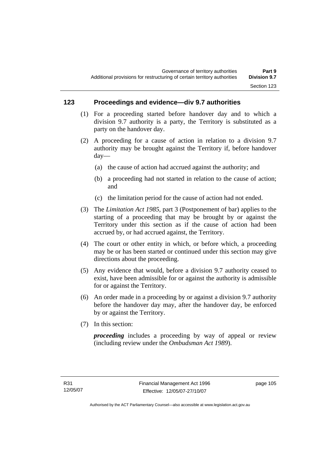# **123 Proceedings and evidence—div 9.7 authorities**

- (1) For a proceeding started before handover day and to which a division 9.7 authority is a party, the Territory is substituted as a party on the handover day.
- (2) A proceeding for a cause of action in relation to a division 9.7 authority may be brought against the Territory if, before handover day—
	- (a) the cause of action had accrued against the authority; and
	- (b) a proceeding had not started in relation to the cause of action; and
	- (c) the limitation period for the cause of action had not ended.
- (3) The *Limitation Act 1985,* part 3 (Postponement of bar) applies to the starting of a proceeding that may be brought by or against the Territory under this section as if the cause of action had been accrued by, or had accrued against, the Territory.
- (4) The court or other entity in which, or before which, a proceeding may be or has been started or continued under this section may give directions about the proceeding.
- (5) Any evidence that would, before a division 9.7 authority ceased to exist, have been admissible for or against the authority is admissible for or against the Territory.
- (6) An order made in a proceeding by or against a division 9.7 authority before the handover day may, after the handover day, be enforced by or against the Territory.
- (7) In this section:

*proceeding* includes a proceeding by way of appeal or review (including review under the *Ombudsman Act 1989*).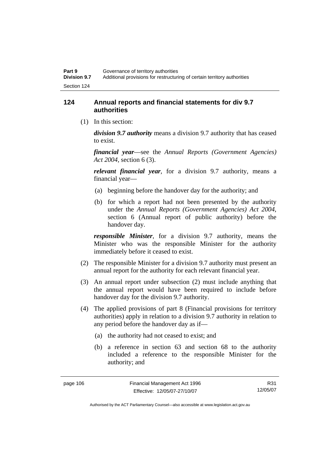# **124 Annual reports and financial statements for div 9.7 authorities**

(1) In this section:

*division 9.7 authority* means a division 9.7 authority that has ceased to exist.

*financial year*––see the *Annual Reports (Government Agencies) Act 2004*, section 6 (3).

*relevant financial year*, for a division 9.7 authority, means a financial year—

- (a) beginning before the handover day for the authority; and
- (b) for which a report had not been presented by the authority under the *Annual Reports (Government Agencies) Act 2004*, section 6 (Annual report of public authority) before the handover day.

*responsible Minister*, for a division 9.7 authority, means the Minister who was the responsible Minister for the authority immediately before it ceased to exist.

- (2) The responsible Minister for a division 9.7 authority must present an annual report for the authority for each relevant financial year.
- (3) An annual report under subsection (2) must include anything that the annual report would have been required to include before handover day for the division 9.7 authority.
- (4) The applied provisions of part 8 (Financial provisions for territory authorities) apply in relation to a division 9.7 authority in relation to any period before the handover day as if—
	- (a) the authority had not ceased to exist; and
	- (b) a reference in section 63 and section 68 to the authority included a reference to the responsible Minister for the authority; and

R31 12/05/07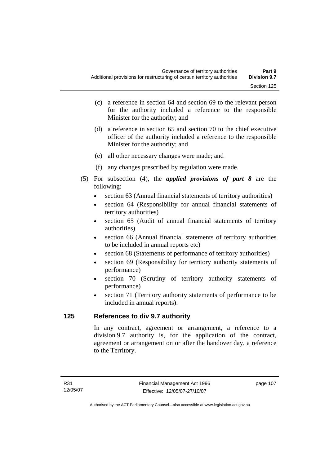- (c) a reference in section 64 and section 69 to the relevant person for the authority included a reference to the responsible Minister for the authority; and
- (d) a reference in section 65 and section 70 to the chief executive officer of the authority included a reference to the responsible Minister for the authority; and
- (e) all other necessary changes were made; and
- (f) any changes prescribed by regulation were made.
- (5) For subsection (4), the *applied provisions of part 8* are the following:
	- section 63 (Annual financial statements of territory authorities)
	- section 64 (Responsibility for annual financial statements of territory authorities)
	- section 65 (Audit of annual financial statements of territory authorities)
	- section 66 (Annual financial statements of territory authorities to be included in annual reports etc)
	- section 68 (Statements of performance of territory authorities)
	- section 69 (Responsibility for territory authority statements of performance)
	- section 70 (Scrutiny of territory authority statements of performance)
	- section 71 (Territory authority statements of performance to be included in annual reports).

# **125 References to div 9.7 authority**

In any contract, agreement or arrangement, a reference to a division 9.7 authority is, for the application of the contract, agreement or arrangement on or after the handover day, a reference to the Territory.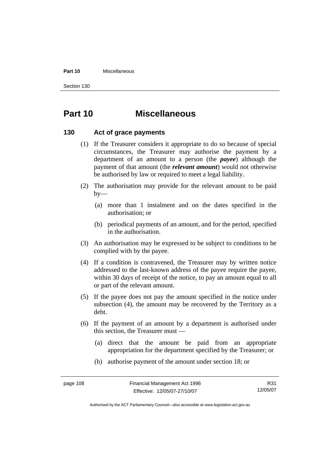#### **Part 10** Miscellaneous

Section 130

# **Part 10 Miscellaneous**

## **130 Act of grace payments**

- (1) If the Treasurer considers it appropriate to do so because of special circumstances, the Treasurer may authorise the payment by a department of an amount to a person (the *payee*) although the payment of that amount (the *relevant amount*) would not otherwise be authorised by law or required to meet a legal liability.
- (2) The authorisation may provide for the relevant amount to be paid  $by-$ 
	- (a) more than 1 instalment and on the dates specified in the authorisation; or
	- (b) periodical payments of an amount, and for the period, specified in the authorisation.
- (3) An authorisation may be expressed to be subject to conditions to be complied with by the payee.
- (4) If a condition is contravened, the Treasurer may by written notice addressed to the last-known address of the payee require the payee, within 30 days of receipt of the notice, to pay an amount equal to all or part of the relevant amount.
- (5) If the payee does not pay the amount specified in the notice under subsection (4), the amount may be recovered by the Territory as a debt.
- (6) If the payment of an amount by a department is authorised under this section, the Treasurer must —
	- (a) direct that the amount be paid from an appropriate appropriation for the department specified by the Treasurer; or
	- (b) authorise payment of the amount under section 18; or

R31 12/05/07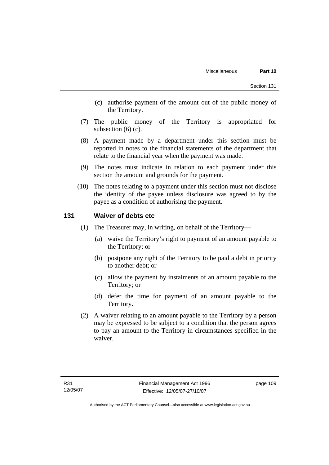- (c) authorise payment of the amount out of the public money of the Territory.
- (7) The public money of the Territory is appropriated for subsection  $(6)$  (c).
- (8) A payment made by a department under this section must be reported in notes to the financial statements of the department that relate to the financial year when the payment was made.
- (9) The notes must indicate in relation to each payment under this section the amount and grounds for the payment.
- (10) The notes relating to a payment under this section must not disclose the identity of the payee unless disclosure was agreed to by the payee as a condition of authorising the payment.

## **131 Waiver of debts etc**

- (1) The Treasurer may, in writing, on behalf of the Territory—
	- (a) waive the Territory's right to payment of an amount payable to the Territory; or
	- (b) postpone any right of the Territory to be paid a debt in priority to another debt; or
	- (c) allow the payment by instalments of an amount payable to the Territory; or
	- (d) defer the time for payment of an amount payable to the Territory.
- (2) A waiver relating to an amount payable to the Territory by a person may be expressed to be subject to a condition that the person agrees to pay an amount to the Territory in circumstances specified in the waiver.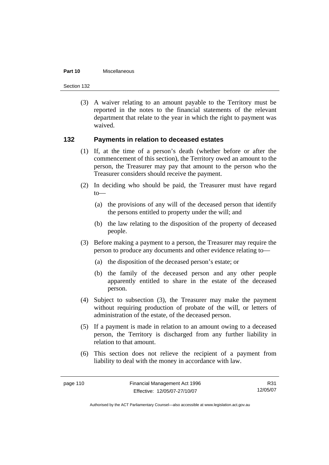#### **Part 10** Miscellaneous

Section 132

 (3) A waiver relating to an amount payable to the Territory must be reported in the notes to the financial statements of the relevant department that relate to the year in which the right to payment was waived.

## **132 Payments in relation to deceased estates**

- (1) If, at the time of a person's death (whether before or after the commencement of this section), the Territory owed an amount to the person, the Treasurer may pay that amount to the person who the Treasurer considers should receive the payment.
- (2) In deciding who should be paid, the Treasurer must have regard  $to$ —
	- (a) the provisions of any will of the deceased person that identify the persons entitled to property under the will; and
	- (b) the law relating to the disposition of the property of deceased people.
- (3) Before making a payment to a person, the Treasurer may require the person to produce any documents and other evidence relating to—
	- (a) the disposition of the deceased person's estate; or
	- (b) the family of the deceased person and any other people apparently entitled to share in the estate of the deceased person.
- (4) Subject to subsection (3), the Treasurer may make the payment without requiring production of probate of the will, or letters of administration of the estate, of the deceased person.
- (5) If a payment is made in relation to an amount owing to a deceased person, the Territory is discharged from any further liability in relation to that amount.
- (6) This section does not relieve the recipient of a payment from liability to deal with the money in accordance with law.

R31 12/05/07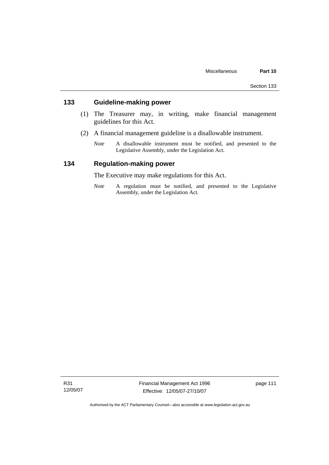# **133 Guideline-making power**

- (1) The Treasurer may, in writing, make financial management guidelines for this Act.
- (2) A financial management guideline is a disallowable instrument.
	- *Note* A disallowable instrument must be notified, and presented to the Legislative Assembly, under the Legislation Act.

# **134 Regulation-making power**

The Executive may make regulations for this Act.

*Note* A regulation must be notified, and presented to the Legislative Assembly, under the Legislation Act.

R31 12/05/07 Financial Management Act 1996 Effective: 12/05/07-27/10/07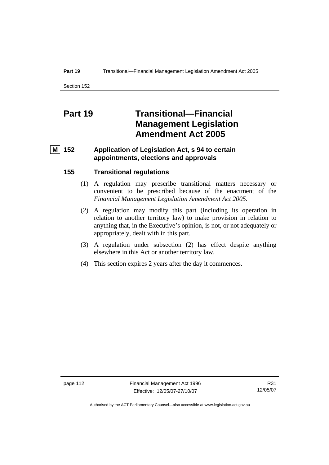#### **Part 19 Transitional—Financial Management Legislation Amendment Act 2005**

Section 152

# **Part 19 Transitional—Financial Management Legislation Amendment Act 2005**

# **M 152 Application of Legislation Act, s 94 to certain appointments, elections and approvals**

## **155 Transitional regulations**

- (1) A regulation may prescribe transitional matters necessary or convenient to be prescribed because of the enactment of the *Financial Management Legislation Amendment Act 2005*.
- (2) A regulation may modify this part (including its operation in relation to another territory law) to make provision in relation to anything that, in the Executive's opinion, is not, or not adequately or appropriately, dealt with in this part.
- (3) A regulation under subsection (2) has effect despite anything elsewhere in this Act or another territory law.
- (4) This section expires 2 years after the day it commences.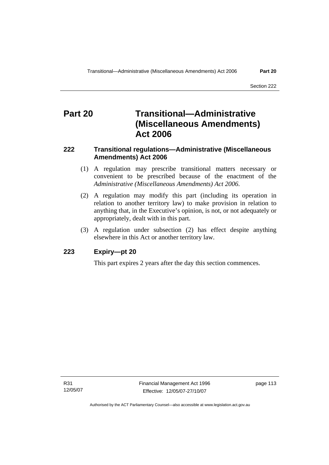# **Part 20 Transitional—Administrative (Miscellaneous Amendments) Act 2006**

# **222 Transitional regulations—Administrative (Miscellaneous Amendments) Act 2006**

- (1) A regulation may prescribe transitional matters necessary or convenient to be prescribed because of the enactment of the *Administrative (Miscellaneous Amendments) Act 2006*.
- (2) A regulation may modify this part (including its operation in relation to another territory law) to make provision in relation to anything that, in the Executive's opinion, is not, or not adequately or appropriately, dealt with in this part.
- (3) A regulation under subsection (2) has effect despite anything elsewhere in this Act or another territory law.

# **223 Expiry—pt 20**

This part expires 2 years after the day this section commences.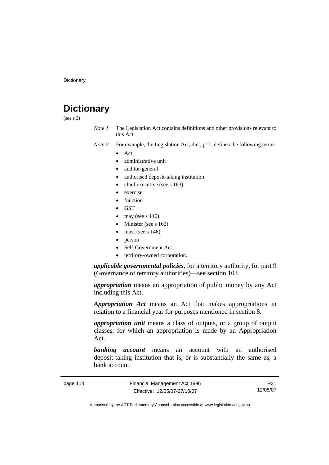# **Dictionary**

(see s 3)

*Note 1* The Legislation Act contains definitions and other provisions relevant to this Act.

*Note 2* For example, the Legislation Act, dict, pt 1, defines the following terms:

- Act
	- administrative unit
	- auditor-general
	- authorised deposit-taking institution
	- chief executive (see s 163)
	- exercise
	- **function**
	- GST
	- may (see s  $146$ )
	- Minister (see s 162)
	- must (see s  $146$ )
	- person
	- Self-Government Act
	- territory-owned corporation.

*applicable governmental policies*, for a territory authority, for part 9 (Governance of territory authorities)—see section 103.

*appropriation* means an appropriation of public money by any Act including this Act.

*Appropriation Act* means an Act that makes appropriations in relation to a financial year for purposes mentioned in section 8.

*appropriation unit* means a class of outputs, or a group of output classes, for which an appropriation is made by an Appropriation Act.

*banking account* means an account with an authorised deposit-taking institution that is, or is substantially the same as, a bank account.

R31 12/05/07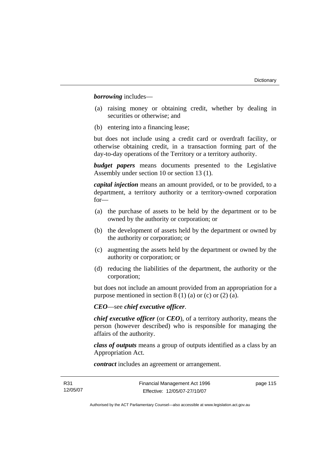*borrowing* includes—

- (a) raising money or obtaining credit, whether by dealing in securities or otherwise; and
- (b) entering into a financing lease;

but does not include using a credit card or overdraft facility, or otherwise obtaining credit, in a transaction forming part of the day-to-day operations of the Territory or a territory authority.

*budget papers* means documents presented to the Legislative Assembly under section 10 or section 13 (1).

*capital injection* means an amount provided, or to be provided, to a department, a territory authority or a territory-owned corporation for—

- (a) the purchase of assets to be held by the department or to be owned by the authority or corporation; or
- (b) the development of assets held by the department or owned by the authority or corporation; or
- (c) augmenting the assets held by the department or owned by the authority or corporation; or
- (d) reducing the liabilities of the department, the authority or the corporation;

but does not include an amount provided from an appropriation for a purpose mentioned in section  $8(1)(a)$  or (c) or (2) (a).

*CEO*—see *chief executive officer*.

*chief executive officer* (or *CEO*), of a territory authority, means the person (however described) who is responsible for managing the affairs of the authority.

*class of outputs* means a group of outputs identified as a class by an Appropriation Act.

*contract* includes an agreement or arrangement.

page 115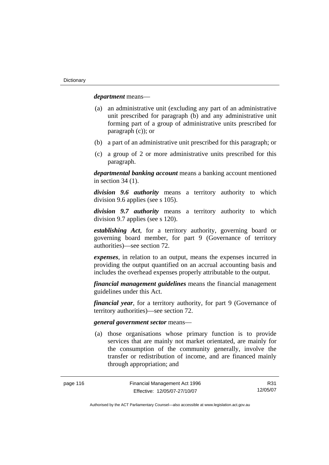*department* means—

- (a) an administrative unit (excluding any part of an administrative unit prescribed for paragraph (b) and any administrative unit forming part of a group of administrative units prescribed for paragraph (c)); or
- (b) a part of an administrative unit prescribed for this paragraph; or
- (c) a group of 2 or more administrative units prescribed for this paragraph.

*departmental banking account* means a banking account mentioned in section 34 (1).

*division 9.6 authority* means a territory authority to which division 9.6 applies (see s 105).

*division 9.7 authority* means a territory authority to which division 9.7 applies (see s 120).

*establishing Act*, for a territory authority, governing board or governing board member, for part 9 (Governance of territory authorities)—see section 72.

*expenses*, in relation to an output, means the expenses incurred in providing the output quantified on an accrual accounting basis and includes the overhead expenses properly attributable to the output.

*financial management guidelines* means the financial management guidelines under this Act.

*financial year*, for a territory authority, for part 9 (Governance of territory authorities)—see section 72.

#### *general government sector* means—

 (a) those organisations whose primary function is to provide services that are mainly not market orientated, are mainly for the consumption of the community generally, involve the transfer or redistribution of income, and are financed mainly through appropriation; and

R31 12/05/07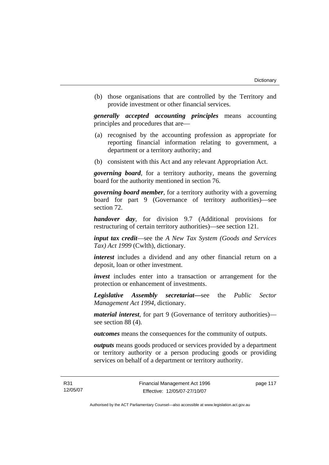(b) those organisations that are controlled by the Territory and provide investment or other financial services.

*generally accepted accounting principles* means accounting principles and procedures that are—

- (a) recognised by the accounting profession as appropriate for reporting financial information relating to government, a department or a territory authority; and
- (b) consistent with this Act and any relevant Appropriation Act.

*governing board*, for a territory authority, means the governing board for the authority mentioned in section 76.

*governing board member*, for a territory authority with a governing board for part 9 (Governance of territory authorities)—see section 72.

*handover day*, for division 9.7 (Additional provisions for restructuring of certain territory authorities)—see section 121.

*input tax credit*—see the *A New Tax System (Goods and Services Tax) Act 1999* (Cwlth), dictionary.

*interest* includes a dividend and any other financial return on a deposit, loan or other investment.

*invest* includes enter into a transaction or arrangement for the protection or enhancement of investments.

*Legislative Assembly secretariat***—**see the *Public Sector Management Act 1994*, dictionary.

*material interest*, for part 9 (Governance of territory authorities) see section 88 (4).

*outcomes* means the consequences for the community of outputs.

*outputs* means goods produced or services provided by a department or territory authority or a person producing goods or providing services on behalf of a department or territory authority.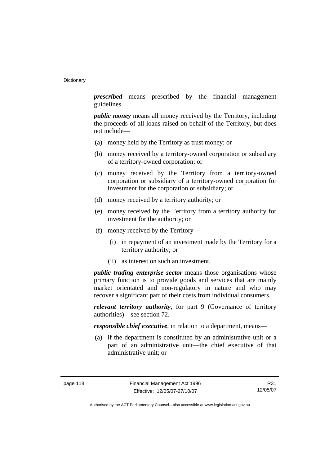*prescribed* means prescribed by the financial management guidelines.

*public money* means all money received by the Territory, including the proceeds of all loans raised on behalf of the Territory, but does not include—

- (a) money held by the Territory as trust money; or
- (b) money received by a territory-owned corporation or subsidiary of a territory-owned corporation; or
- (c) money received by the Territory from a territory-owned corporation or subsidiary of a territory-owned corporation for investment for the corporation or subsidiary; or
- (d) money received by a territory authority; or
- (e) money received by the Territory from a territory authority for investment for the authority; or
- (f) money received by the Territory—
	- (i) in repayment of an investment made by the Territory for a territory authority; or
	- (ii) as interest on such an investment.

*public trading enterprise sector* means those organisations whose primary function is to provide goods and services that are mainly market orientated and non-regulatory in nature and who may recover a significant part of their costs from individual consumers.

*relevant territory authority*, for part 9 (Governance of territory authorities)—see section 72.

*responsible chief executive*, in relation to a department, means—

 (a) if the department is constituted by an administrative unit or a part of an administrative unit—the chief executive of that administrative unit; or

R31 12/05/07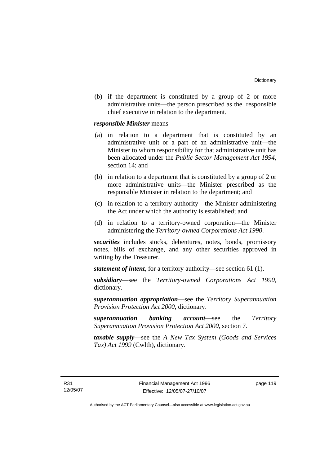(b) if the department is constituted by a group of 2 or more administrative units—the person prescribed as the responsible chief executive in relation to the department.

*responsible Minister* means—

- (a) in relation to a department that is constituted by an administrative unit or a part of an administrative unit—the Minister to whom responsibility for that administrative unit has been allocated under the *Public Sector Management Act 1994*, section 14; and
- (b) in relation to a department that is constituted by a group of 2 or more administrative units—the Minister prescribed as the responsible Minister in relation to the department; and
- (c) in relation to a territory authority—the Minister administering the Act under which the authority is established; and
- (d) in relation to a territory-owned corporation—the Minister administering the *Territory-owned Corporations Act 1990*.

*securities* includes stocks, debentures, notes, bonds, promissory notes, bills of exchange, and any other securities approved in writing by the Treasurer.

*statement of intent*, for a territory authority—see section 61 (1).

*subsidiary*—see the *Territory-owned Corporations Act 1990*, dictionary.

*superannuation appropriation*—see the *Territory Superannuation Provision Protection Act 2000*, dictionary.

*superannuation banking account*—see the *Territory Superannuation Provision Protection Act 2000*, section 7.

*taxable supply*—see the *A New Tax System (Goods and Services Tax) Act 1999* (Cwlth), dictionary.

R31 12/05/07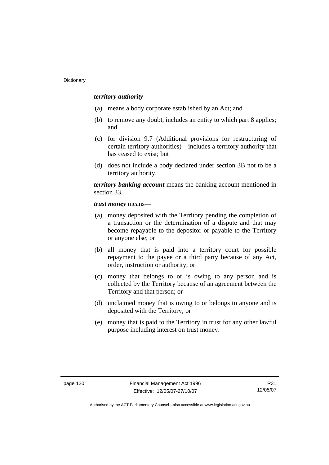### *territory authority*—

- (a) means a body corporate established by an Act; and
- (b) to remove any doubt, includes an entity to which part 8 applies; and
- (c) for division 9.7 (Additional provisions for restructuring of certain territory authorities)—includes a territory authority that has ceased to exist; but
- (d) does not include a body declared under section 3B not to be a territory authority.

*territory banking account* means the banking account mentioned in section 33.

*trust money* means—

- (a) money deposited with the Territory pending the completion of a transaction or the determination of a dispute and that may become repayable to the depositor or payable to the Territory or anyone else; or
- (b) all money that is paid into a territory court for possible repayment to the payee or a third party because of any Act, order, instruction or authority; or
- (c) money that belongs to or is owing to any person and is collected by the Territory because of an agreement between the Territory and that person; or
- (d) unclaimed money that is owing to or belongs to anyone and is deposited with the Territory; or
- (e) money that is paid to the Territory in trust for any other lawful purpose including interest on trust money.

R31 12/05/07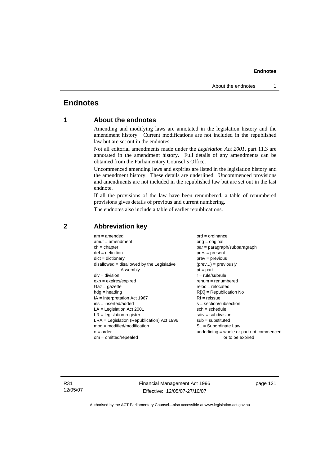# **Endnotes**

# **1 About the endnotes**

Amending and modifying laws are annotated in the legislation history and the amendment history. Current modifications are not included in the republished law but are set out in the endnotes.

Not all editorial amendments made under the *Legislation Act 2001*, part 11.3 are annotated in the amendment history. Full details of any amendments can be obtained from the Parliamentary Counsel's Office.

Uncommenced amending laws and expiries are listed in the legislation history and the amendment history. These details are underlined. Uncommenced provisions and amendments are not included in the republished law but are set out in the last endnote.

If all the provisions of the law have been renumbered, a table of renumbered provisions gives details of previous and current numbering.

The endnotes also include a table of earlier republications.

| $am = amended$                               | $ord = ordinance$                         |
|----------------------------------------------|-------------------------------------------|
| $amdt = amendment$                           | $orig = original$                         |
| $ch = chapter$                               | $par = paragraph/subparagraph$            |
| $def = definition$                           | $pres = present$                          |
| $dict = dictionary$                          | $prev = previous$                         |
| disallowed = disallowed by the Legislative   | $(\text{prev}) = \text{previously}$       |
| Assembly                                     | $pt = part$                               |
| $div = division$                             | $r = rule/subrule$                        |
| $exp = expires/expired$                      | $renum = renumbered$                      |
| $Gaz = gazette$                              | $reloc = relocated$                       |
| $hdg =$ heading                              | $R[X]$ = Republication No                 |
| $IA = Interpretation Act 1967$               | $RI = reissue$                            |
| $ins = inserted/added$                       | $s = section/subsection$                  |
| $LA =$ Legislation Act 2001                  | $sch = schedule$                          |
| $LR =$ legislation register                  | $sdiv = subdivision$                      |
| $LRA =$ Legislation (Republication) Act 1996 | $sub =$ substituted                       |
| $mod = modified/modification$                | SL = Subordinate Law                      |
| $o = order$                                  | underlining = whole or part not commenced |
| $om = omitted/repealed$                      | or to be expired                          |
|                                              |                                           |

## **2 Abbreviation key**

R31 12/05/07 Financial Management Act 1996 Effective: 12/05/07-27/10/07

page 121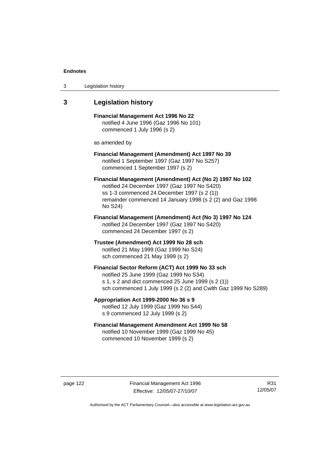| 3 | Legislation history |  |
|---|---------------------|--|
|---|---------------------|--|

## **3 Legislation history**

**Financial Management Act 1996 No 22**  notified 4 June 1996 (Gaz 1996 No 101) commenced 1 July 1996 (s 2)

as amended by

### **Financial Management (Amendment) Act 1997 No 39**  notified 1 September 1997 (Gaz 1997 No S257) commenced 1 September 1997 (s 2)

**Financial Management (Amendment) Act (No 2) 1997 No 102**  notified 24 December 1997 (Gaz 1997 No S420) ss 1-3 commenced 24 December 1997 (s 2 (1)) remainder commenced 14 January 1998 (s 2 (2) and Gaz 1998 No S24)

**Financial Management (Amendment) Act (No 3) 1997 No 124**  notified 24 December 1997 (Gaz 1997 No S420) commenced 24 December 1997 (s 2)

**Trustee (Amendment) Act 1999 No 28 sch**  notified 21 May 1999 (Gaz 1999 No S24) sch commenced 21 May 1999 (s 2)

#### **Financial Sector Reform (ACT) Act 1999 No 33 sch**  notified 25 June 1999 (Gaz 1999 No S34)

s 1, s 2 and dict commenced 25 June 1999 (s 2 (1)) sch commenced 1 July 1999 (s 2 (2) and Cwlth Gaz 1999 No S289)

#### **Appropriation Act 1999-2000 No 36 s 9**  notified 12 July 1999 (Gaz 1999 No S44)

s 9 commenced 12 July 1999 (s 2)

## **Financial Management Amendment Act 1999 No 58**  notified 10 November 1999 (Gaz 1999 No 45) commenced 10 November 1999 (s 2)

page 122 Financial Management Act 1996 Effective: 12/05/07-27/10/07

R31 12/05/07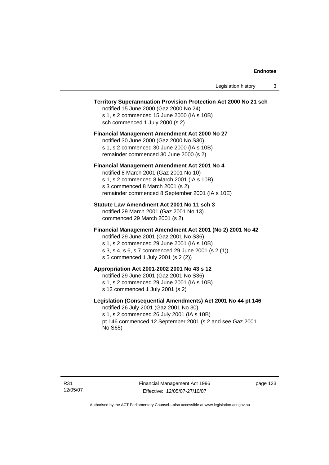#### **Territory Superannuation Provision Protection Act 2000 No 21 sch**

notified 15 June 2000 (Gaz 2000 No 24) s 1, s 2 commenced 15 June 2000 (IA s 10B) sch commenced 1 July 2000 (s 2)

#### **Financial Management Amendment Act 2000 No 27**

notified 30 June 2000 (Gaz 2000 No S30) s 1, s 2 commenced 30 June 2000 (IA s 10B) remainder commenced 30 June 2000 (s 2)

#### **Financial Management Amendment Act 2001 No 4**

notified 8 March 2001 (Gaz 2001 No 10) s 1, s 2 commenced 8 March 2001 (IA s 10B) s 3 commenced 8 March 2001 (s 2) remainder commenced 8 September 2001 (IA s 10E)

#### **Statute Law Amendment Act 2001 No 11 sch 3**

notified 29 March 2001 (Gaz 2001 No 13) commenced 29 March 2001 (s 2)

#### **Financial Management Amendment Act 2001 (No 2) 2001 No 42**

notified 29 June 2001 (Gaz 2001 No S36)

- s 1, s 2 commenced 29 June 2001 (IA s 10B)
- s 3, s 4, s 6, s 7 commenced 29 June 2001 (s 2 (1))
- s 5 commenced 1 July 2001 (s 2 (2))

## **Appropriation Act 2001-2002 2001 No 43 s 12**

notified 29 June 2001 (Gaz 2001 No S36)

- s 1, s 2 commenced 29 June 2001 (IA s 10B)
- s 12 commenced 1 July 2001 (s 2)

### **Legislation (Consequential Amendments) Act 2001 No 44 pt 146**

notified 26 July 2001 (Gaz 2001 No 30) s 1, s 2 commenced 26 July 2001 (IA s 10B) pt 146 commenced 12 September 2001 (s 2 and see Gaz 2001 No S65)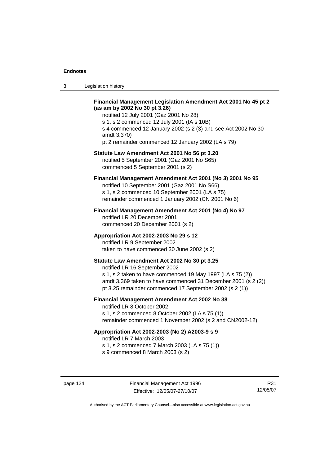3 Legislation history

### **Financial Management Legislation Amendment Act 2001 No 45 pt 2 (as am by 2002 No 30 pt 3.26)**

notified 12 July 2001 (Gaz 2001 No 28) s 1, s 2 commenced 12 July 2001 (IA s 10B) s 4 commenced 12 January 2002 (s 2 (3) and see Act 2002 No 30 amdt 3.370) pt 2 remainder commenced 12 January 2002 (LA s 79)

#### **Statute Law Amendment Act 2001 No 56 pt 3.20**

notified 5 September 2001 (Gaz 2001 No S65) commenced 5 September 2001 (s 2)

## **Financial Management Amendment Act 2001 (No 3) 2001 No 95**

notified 10 September 2001 (Gaz 2001 No S66) s 1, s 2 commenced 10 September 2001 (LA s 75) remainder commenced 1 January 2002 (CN 2001 No 6)

#### **Financial Management Amendment Act 2001 (No 4) No 97**

notified LR 20 December 2001 commenced 20 December 2001 (s 2)

#### **Appropriation Act 2002-2003 No 29 s 12**

notified LR 9 September 2002 taken to have commenced 30 June 2002 (s 2)

## **Statute Law Amendment Act 2002 No 30 pt 3.25**

notified LR 16 September 2002 s 1, s 2 taken to have commenced 19 May 1997 (LA s 75 (2)) amdt 3.369 taken to have commenced 31 December 2001 (s 2 (2)) pt 3.25 remainder commenced 17 September 2002 (s 2 (1))

#### **Financial Management Amendment Act 2002 No 38**

notified LR 8 October 2002 s 1, s 2 commenced 8 October 2002 (LA s 75 (1))

remainder commenced 1 November 2002 (s 2 and CN2002-12)

### **Appropriation Act 2002-2003 (No 2) A2003-9 s 9**

notified LR 7 March 2003

s 1, s 2 commenced 7 March 2003 (LA s 75 (1))

s 9 commenced 8 March 2003 (s 2)

R31 12/05/07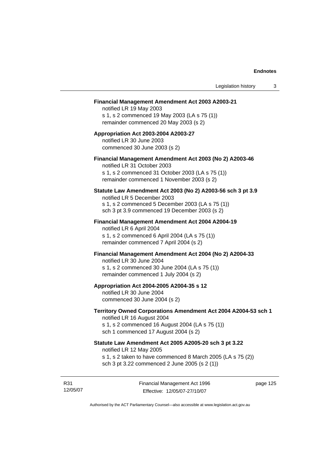#### **Financial Management Amendment Act 2003 A2003-21**

notified LR 19 May 2003 s 1, s 2 commenced 19 May 2003 (LA s 75 (1)) remainder commenced 20 May 2003 (s 2)

#### **Appropriation Act 2003-2004 A2003-27**  notified LR 30 June 2003 commenced 30 June 2003 (s 2)

### **Financial Management Amendment Act 2003 (No 2) A2003-46**

notified LR 31 October 2003 s 1, s 2 commenced 31 October 2003 (LA s 75 (1)) remainder commenced 1 November 2003 (s 2)

#### **Statute Law Amendment Act 2003 (No 2) A2003-56 sch 3 pt 3.9**

notified LR 5 December 2003 s 1, s 2 commenced 5 December 2003 (LA s 75 (1)) sch 3 pt 3.9 commenced 19 December 2003 (s 2)

#### **Financial Management Amendment Act 2004 A2004-19**  notified LR 6 April 2004

s 1, s 2 commenced 6 April 2004 (LA s 75 (1)) remainder commenced 7 April 2004 (s 2)

#### **Financial Management Amendment Act 2004 (No 2) A2004-33**

notified LR 30 June 2004 s 1, s 2 commenced 30 June 2004 (LA s 75 (1)) remainder commenced 1 July 2004 (s 2)

#### **Appropriation Act 2004-2005 A2004-35 s 12**

notified LR 30 June 2004 commenced 30 June 2004 (s 2)

#### **Territory Owned Corporations Amendment Act 2004 A2004-53 sch 1**  notified LR 16 August 2004

s 1, s 2 commenced 16 August 2004 (LA s 75 (1)) sch 1 commenced 17 August 2004 (s 2)

## **Statute Law Amendment Act 2005 A2005-20 sch 3 pt 3.22**

notified LR 12 May 2005

- s 1, s 2 taken to have commenced 8 March 2005 (LA s 75 (2))
- sch 3 pt 3.22 commenced 2 June 2005 (s 2 (1))

R31 12/05/07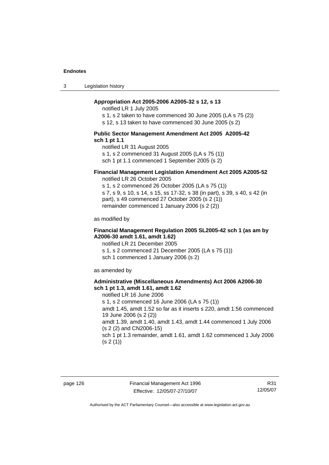3 Legislation history

#### **Appropriation Act 2005-2006 A2005-32 s 12, s 13**

notified LR 1 July 2005

s 1, s 2 taken to have commenced 30 June 2005 (LA s 75 (2))

s 12, s 13 taken to have commenced 30 June 2005 (s 2)

#### **Public Sector Management Amendment Act 2005 A2005-42 sch 1 pt 1.1**

notified LR 31 August 2005 s 1, s 2 commenced 31 August 2005 (LA s 75 (1)) sch 1 pt 1.1 commenced 1 September 2005 (s 2)

## **Financial Management Legislation Amendment Act 2005 A2005-52**

notified LR 26 October 2005

s 1, s 2 commenced 26 October 2005 (LA s 75 (1)) s 7, s 9, s 10, s 14, s 15, ss 17-32, s 38 (in part), s 39, s 40, s 42 (in part), s 49 commenced 27 October 2005 (s 2 (1)) remainder commenced 1 January 2006 (s 2 (2))

as modified by

#### **Financial Management Regulation 2005 SL2005-42 sch 1 (as am by A2006-30 amdt 1.61, amdt 1.62)**

notified LR 21 December 2005 s 1, s 2 commenced 21 December 2005 (LA s 75 (1)) sch 1 commenced 1 January 2006 (s 2)

as amended by

#### **Administrative (Miscellaneous Amendments) Act 2006 A2006-30 sch 1 pt 1.3, amdt 1.61, amdt 1.62**

notified LR 16 June 2006 s 1, s 2 commenced 16 June 2006 (LA s 75 (1)) amdt 1.45, amdt 1.52 so far as it inserts s 220, amdt 1.56 commenced 19 June 2006 (s 2 (2)) amdt 1.39, amdt 1.40, amdt 1.43, amdt 1.44 commenced 1 July 2006 (s 2 (2) and CN2006-15) sch 1 pt 1.3 remainder, amdt 1.61, amdt 1.62 commenced 1 July 2006  $(s 2(1))$ 

page 126 Financial Management Act 1996 Effective: 12/05/07-27/10/07

R31 12/05/07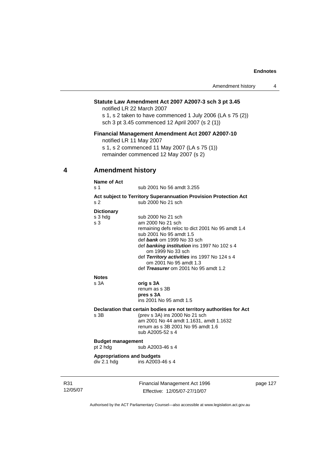#### **Statute Law Amendment Act 2007 A2007-3 sch 3 pt 3.45**

notified LR 22 March 2007 s 1, s 2 taken to have commenced 1 July 2006 (LA s 75 (2)) sch 3 pt 3.45 commenced 12 April 2007 (s 2 (1))

#### **Financial Management Amendment Act 2007 A2007-10**

notified LR 11 May 2007

s 1, s 2 commenced 11 May 2007 (LA s 75 (1)) remainder commenced 12 May 2007 (s 2)

## **4 Amendment history**

## **Name of Act**  s 1 sub 2001 No 56 amdt 3.255 **Act subject to Territory Superannuation Provision Protection Act** s 2 sub 2000 No 21 sch **Dictionary** s 3 hdg sub 2000 No 21 sch s 3 am 2000 No 21 sch remaining defs reloc to dict 2001 No 95 amdt 1.4 sub 2001 No 95 amdt 1.5 def *bank* om 1999 No 33 sch def *banking institution* ins 1997 No 102 s 4 om 1999 No 33 sch def *Territory activities* ins 1997 No 124 s 4 om 2001 No 95 amdt 1.3 def *Treasurer* om 2001 No 95 amdt 1.2 **Notes**  s 3A **orig s 3A** renum as s 3B **pres s 3A**  ins 2001 No 95 amdt 1.5 **Declaration that certain bodies are not territory authorities for Act**  s 3B (prev s 3A) ins 2000 No 21 sch am 2001 No 44 amdt 1.1631, amdt 1.1632 renum as s 3B 2001 No 95 amdt 1.6 sub A2005-52 s 4 **Budget management**  pt 2 hdg sub A2003-46 s 4 **Appropriations and budgets**  div 2.1 hdg ins A2003-46 s 4

R31 12/05/07 Financial Management Act 1996 Effective: 12/05/07-27/10/07

page 127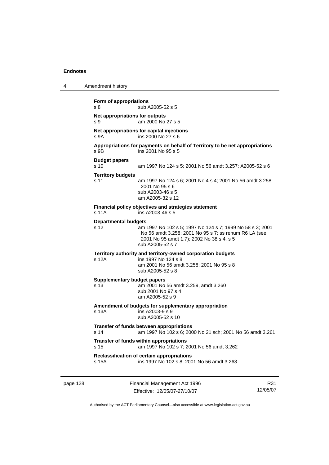| 4        | Amendment history                                                                                                                                                                                                          |
|----------|----------------------------------------------------------------------------------------------------------------------------------------------------------------------------------------------------------------------------|
|          | Form of appropriations<br>sub A2005-52 s 5<br>s 8                                                                                                                                                                          |
|          | Net appropriations for outputs<br>s 9<br>am 2000 No 27 s 5                                                                                                                                                                 |
|          | Net appropriations for capital injections<br>ins 2000 No 27 s 6<br>s 9A                                                                                                                                                    |
|          | Appropriations for payments on behalf of Territory to be net appropriations<br>ins 2001 No 95 s 5<br>s 9B                                                                                                                  |
|          | <b>Budget papers</b><br>s <sub>10</sub><br>am 1997 No 124 s 5; 2001 No 56 amdt 3.257; A2005-52 s 6                                                                                                                         |
|          | <b>Territory budgets</b><br>s 11<br>am 1997 No 124 s 6; 2001 No 4 s 4; 2001 No 56 amdt 3.258;<br>2001 No 95 s 6<br>sub A2003-46 s 5<br>am A2005-32 s 12                                                                    |
|          | Financial policy objectives and strategies statement<br>ins A2003-46 s 5<br>s 11A                                                                                                                                          |
|          | <b>Departmental budgets</b><br>am 1997 No 102 s 5; 1997 No 124 s 7; 1999 No 58 s 3; 2001<br>s 12<br>No 56 amdt 3.258; 2001 No 95 s 7; ss renum R6 LA (see<br>2001 No 95 amdt 1.7); 2002 No 38 s 4, s 5<br>sub A2005-52 s 7 |
|          | Territory authority and territory-owned corporation budgets<br>s 12A<br>ins 1997 No 124 s 8<br>am 2001 No 56 amdt 3.258; 2001 No 95 s 8<br>sub A2005-52 s 8                                                                |
|          | <b>Supplementary budget papers</b><br>s 13<br>am 2001 No 56 amdt 3.259, amdt 3.260<br>sub 2001 No 97 s 4<br>am A2005-52 s 9                                                                                                |
|          | Amendment of budgets for supplementary appropriation<br>s 13A<br>ins A2003-9 s 9<br>sub A2005-52 s 10                                                                                                                      |
|          | Transfer of funds between appropriations<br>s 14<br>am 1997 No 102 s 6; 2000 No 21 sch; 2001 No 56 amdt 3.261                                                                                                              |
|          | Transfer of funds within appropriations<br>s 15<br>am 1997 No 102 s 7; 2001 No 56 amdt 3.262                                                                                                                               |
|          | Reclassification of certain appropriations<br>ins 1997 No 102 s 8; 2001 No 56 amdt 3.263<br>s 15A                                                                                                                          |
| page 128 | Financial Management Act 1996<br>R31                                                                                                                                                                                       |

Authorised by the ACT Parliamentary Counsel—also accessible at www.legislation.act.gov.au

12/05/07

Effective: 12/05/07-27/10/07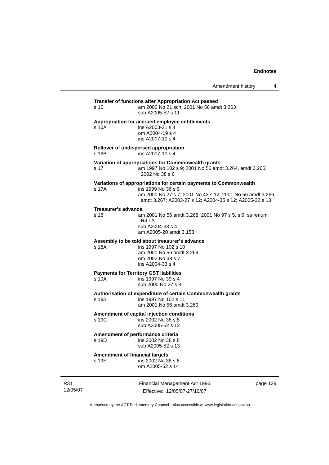## **Transfer of functions after Appropriation Act passed**  s 16 am 2000 No 21 sch; 2001 No 56 amdt 3.263 sub A2005-52 s 11 **Appropriation for accrued employee entitlements**  s 16A ins A2003-21 s 4 om A2004-19 s 4 ins A2007-10 s 4 **Rollover of undispersed appropriation**   $ins$  A2007-10 s 4 **Variation of appropriations for Commonwealth grants** s 17 am 1997 No 102 s 9; 2001 No 56 amdt 3.264, amdt 3.265; 2002 No 38 s 6 **Variations of appropriations for certain payments to Commonwealth** s 17A ins 1999 No 36 s 9 am 2000 No 27 s 7; 2001 No 43 s 12; 2001 No 56 amdt 3.266, amdt 3.267; A2003-27 s 12; A2004-35 s 12; A2005-32 s 13 **Treasurer's advance**  s 18 am 2001 No 56 amdt 3.268; 2001 No 97 s 5, s 6; ss renum R4 LA sub A2004-33 s 4 am A2005-20 amdt 3.153 **Assembly to be told about treasurer's advance** s 18A ins 1997 No 102 s 10 am 2001 No 56 amdt 3.269 om 2002 No 38 s 7 ins A2004-33 s 4 **Payments for Territory GST liabilities** s 19A ins 1997 No 39 s 4 sub 2000 No 27 s 8 **Authorisation of expenditure of certain Commonwealth grants**  ins 1997 No 102 s 11 am 2001 No 56 amdt 3.269 **Amendment of capital injection conditions**  s 19C ins 2002 No 38 s 8 sub A2005-52 s 12 **Amendment of performance criteria**  s 19D ins 2002 No 38 s 8 sub A2005-52 s 13 **Amendment of financial targets**<br>s 19F ins 2002 No 3  $ins$  2002 No 38 s 8 om A2005-52 s 14

R31 12/05/07 Financial Management Act 1996 Effective: 12/05/07-27/10/07

page 129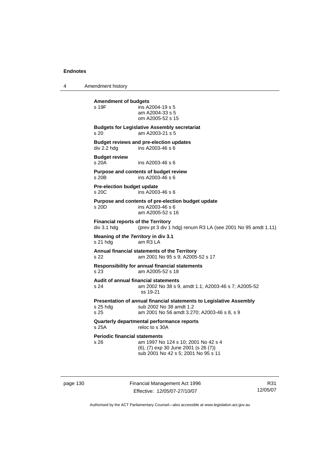4 Amendment history

**Amendment of budgets**   $ins$  A2004-19 s 5 am A2004-33 s 5 om A2005-52 s 15 **Budgets for Legislative Assembly secretariat**  s 20 am A2003-21 s 5 **Budget reviews and pre-election updates**  div 2.2 hdg ins A2003-46 s 6 **Budget review**  s 20A ins A2003-46 s 6 **Purpose and contents of budget review**   $ins$  A2003-46 s 6 **Pre-election budget update**  s 20C ins A2003-46 s 6 **Purpose and contents of pre-election budget update**  s 20D ins A2003-46 s 6 am A2005-52 s 16 **Financial reports of the Territory**  div 3.1 hdg (prev pt 3 div 1 hdg) renum R3 LA (see 2001 No 95 amdt 1.11) **Meaning of** *the Territory* **in div 3.1**  s 21 hdg am R3 LA **Annual financial statements of the Territory**  s 22 am 2001 No 95 s 9; A2005-52 s 17 **Responsibility for annual financial statements**  s 23 am A2005-52 s 18 **Audit of annual financial statements**  s 24 am 2002 No 38 s 9, amdt 1.1; A2003-46 s 7; A2005-52 ss 19-21 **Presentation of annual financial statements to Legislative Assembly**  s 25 hdg sub 2002 No 38 amdt 1.2<br>s 25 september 2001 No 56 amdt 3.2 am 2001 No 56 amdt 3.270; A2003-46 s 8, s 9 **Quarterly departmental performance reports**  s 25A reloc to s 30A **Periodic financial statements** s 26 am 1997 No 124 s 10; 2001 No 42 s 4 (6), (7) exp 30 June 2001 (s 26 (7)) sub 2001 No 42 s 5; 2001 No 95 s 11

page 130 Financial Management Act 1996 Effective: 12/05/07-27/10/07

R31 12/05/07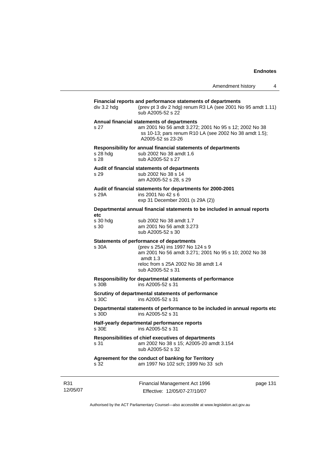|                         | Amendment history                                                                                                                                                                                                | 4 |
|-------------------------|------------------------------------------------------------------------------------------------------------------------------------------------------------------------------------------------------------------|---|
| div 3.2 hdg             | Financial reports and performance statements of departments<br>(prev pt 3 div 2 hdg) renum R3 LA (see 2001 No 95 amdt 1.11)<br>sub A2005-52 s 22                                                                 |   |
| s 27                    | Annual financial statements of departments<br>am 2001 No 56 amdt 3.272; 2001 No 95 s 12; 2002 No 38<br>ss 10-13; pars renum R10 LA (see 2002 No 38 amdt 1.5);<br>A2005-52 ss 23-26                               |   |
| s 28 hdg<br>s 28        | Responsibility for annual financial statements of departments<br>sub 2002 No 38 amdt 1.6<br>sub A2005-52 s 27                                                                                                    |   |
| s 29                    | Audit of financial statements of departments<br>sub 2002 No 38 s 14<br>am A2005-52 s 28, s 29                                                                                                                    |   |
| s 29A                   | Audit of financial statements for departments for 2000-2001<br>ins 2001 No 42 s 6<br>exp 31 December 2001 (s 29A (2))                                                                                            |   |
|                         | Departmental annual financial statements to be included in annual reports                                                                                                                                        |   |
| etc<br>s 30 hdg<br>s 30 | sub 2002 No 38 amdt 1.7<br>am 2001 No 56 amdt 3.273<br>sub A2005-52 s 30                                                                                                                                         |   |
| s 30A                   | Statements of performance of departments<br>(prev s 25A) ins 1997 No 124 s 9<br>am 2001 No 56 amdt 3.271; 2001 No 95 s 10; 2002 No 38<br>amdt $1.3$<br>reloc from s 25A 2002 No 38 amdt 1.4<br>sub A2005-52 s 31 |   |
| s 30B                   | Responsibility for departmental statements of performance<br>ins A2005-52 s 31                                                                                                                                   |   |
| s 30C                   | Scrutiny of departmental statements of performance<br>ins A2005-52 s 31                                                                                                                                          |   |
| s 30D                   | Departmental statements of performance to be included in annual reports etc<br>ins A2005-52 s 31                                                                                                                 |   |
| s 30E                   | Half-yearly departmental performance reports<br>ins A2005-52 s 31                                                                                                                                                |   |
| s 31                    | Responsibilities of chief executives of departments<br>am 2002 No 38 s 15; A2005-20 amdt 3.154<br>sub A2005-52 s 32                                                                                              |   |
| s 32                    | Agreement for the conduct of banking for Territory<br>am 1997 No 102 sch; 1999 No 33 sch                                                                                                                         |   |

R31 12/05/07 Financial Management Act 1996 Effective: 12/05/07-27/10/07

page 131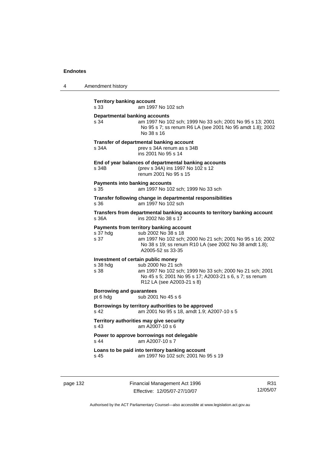| 4 | Amendment history |
|---|-------------------|
|---|-------------------|

| <b>Territory banking account</b><br>s 33               | am 1997 No 102 sch                                                                                                                                                                                         |
|--------------------------------------------------------|------------------------------------------------------------------------------------------------------------------------------------------------------------------------------------------------------------|
| <b>Departmental banking accounts</b><br>s 34           | am 1997 No 102 sch; 1999 No 33 sch; 2001 No 95 s 13; 2001<br>No 95 s 7; ss renum R6 LA (see 2001 No 95 amdt 1.8); 2002<br>No 38 s 16                                                                       |
| s 34A                                                  | Transfer of departmental banking account<br>prev s 34A renum as s 34B<br>ins 2001 No 95 s 14                                                                                                               |
| s 34B                                                  | End of year balances of departmental banking accounts<br>(prev s 34A) ins 1997 No 102 s 12<br>renum 2001 No 95 s 15                                                                                        |
| <b>Payments into banking accounts</b><br>s 35          | am 1997 No 102 sch; 1999 No 33 sch                                                                                                                                                                         |
| s 36                                                   | Transfer following change in departmental responsibilities<br>am 1997 No 102 sch                                                                                                                           |
| s 36A                                                  | Transfers from departmental banking accounts to territory banking account<br>ins 2002 No 38 s 17                                                                                                           |
| s 37 hdg<br>s 37                                       | Payments from territory banking account<br>sub 2002 No 38 s 18<br>am 1997 No 102 sch; 2000 No 21 sch; 2001 No 95 s 16; 2002<br>No 38 s 19; ss renum R10 LA (see 2002 No 38 amdt 1.8);<br>A2005-52 ss 33-35 |
| Investment of certain public money<br>s 38 hdg<br>s 38 | sub 2000 No 21 sch<br>am 1997 No 102 sch; 1999 No 33 sch; 2000 No 21 sch; 2001<br>No 45 s 5; 2001 No 95 s 17; A2003-21 s 6, s 7; ss renum<br>R12 LA (see A2003-21 s 8)                                     |
| <b>Borrowing and guarantees</b><br>pt 6 hdg            | sub 2001 No 45 s 6                                                                                                                                                                                         |
| s 42                                                   | Borrowings by territory authorities to be approved<br>am 2001 No 95 s 18, amdt 1.9; A2007-10 s 5                                                                                                           |
| s 43                                                   | Territory authorities may give security<br>am A2007-10 s 6                                                                                                                                                 |
| s 44                                                   | Power to approve borrowings not delegable<br>am A2007-10 s 7                                                                                                                                               |
| s 45                                                   | Loans to be paid into territory banking account<br>am 1997 No 102 sch; 2001 No 95 s 19                                                                                                                     |

page 132 Financial Management Act 1996 Effective: 12/05/07-27/10/07

R31 12/05/07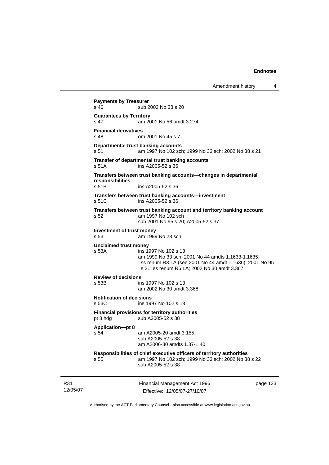```
Financial Management Act 1996 
                  Effective: 12/05/07-27/10/07 
                                                              page 133 
Payments by Treasurer 
s 46 sub 2002 No 38 s 20
Guarantees by Territory 
s 47 am 2001 No 56 amdt 3.274 
Financial derivatives<br>s 48 on
                 om 2001 No 45 s 7
Departmental trust banking accounts
s 51 am 1997 No 102 sch; 1999 No 33 sch; 2002 No 38 s 21 
Transfer of departmental trust banking accounts 
s 51A ins A2005-52 s 36 
Transfers between trust banking accounts—changes in departmental 
responsibilities 
                 ins A2005-52 s 36
Transfers between trust banking accounts—investment 
s 51C ins A2005-52 s 36 
Transfers between trust banking account and territory banking account 
s 52 am 1997 No 102 sch 
                  sub 2001 No 95 s 20; A2005-52 s 37 
Investment of trust money 
s 53 am 1999 No 28 sch 
Unclaimed trust money 
s 53A ins 1997 No 102 s 13 
                  am 1999 No 33 sch; 2001 No 44 amdts 1.1633-1.1635; 
                  ss renum R3 LA (see 2001 No 44 amdt 1.1636); 2001 No 95 
                  s 21; ss renum R6 LA; 2002 No 30 amdt 3.367 
Review of decisions 
s 53B ins 1997 No 102 s 13 
                  am 2002 No 30 amdt 3.368 
Notification of decisions 
s 53C ins 1997 No 102 s 13 
Financial provisions for territory authorities 
pt 8 hdg sub A2005-52 s 38
Application—pt 8 
s 54 am A2005-20 amdt 3.155 
                  sub A2005-52 s 38 
                  am A2006-30 amdts 1.37-1.40 
Responsibilities of chief executive officers of territory authorities 
s 55 am 1997 No 102 sch; 1999 No 33 sch; 2002 No 38 s 22 
                  sub A2005-52 s 38
```
Authorised by the ACT Parliamentary Counsel—also accessible at www.legislation.act.gov.au

R31 12/05/07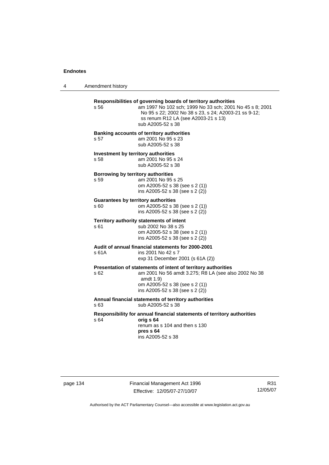4 Amendment history

| s 56                                       | Responsibilities of governing boards of territory authorities<br>am 1997 No 102 sch; 1999 No 33 sch; 2001 No 45 s 8; 2001<br>No 95 s 22; 2002 No 38 s 23, s 24; A2003-21 ss 9-12;<br>ss renum R12 LA (see A2003-21 s 13)<br>sub A2005-52 s 38 |
|--------------------------------------------|-----------------------------------------------------------------------------------------------------------------------------------------------------------------------------------------------------------------------------------------------|
| s 57                                       | <b>Banking accounts of territory authorities</b><br>am 2001 No 95 s 23<br>sub A2005-52 s 38                                                                                                                                                   |
| s 58                                       | Investment by territory authorities<br>am 2001 No 95 s 24<br>sub A2005-52 s 38                                                                                                                                                                |
| Borrowing by territory authorities<br>s 59 | am 2001 No 95 s 25<br>om A2005-52 s 38 (see s 2 (1))<br>ins A2005-52 s 38 (see s 2 (2))                                                                                                                                                       |
| s 60                                       | <b>Guarantees by territory authorities</b><br>om A2005-52 s 38 (see s 2 (1))<br>ins A2005-52 s 38 (see s 2 (2))                                                                                                                               |
| s 61                                       | Territory authority statements of intent<br>sub 2002 No 38 s 25<br>om A2005-52 s 38 (see s 2 (1))<br>ins A2005-52 s 38 (see s 2 (2))                                                                                                          |
| s 61A                                      | Audit of annual financial statements for 2000-2001<br>ins 2001 No 42 s 7<br>exp 31 December 2001 (s 61A (2))                                                                                                                                  |
| s 62                                       | Presentation of statements of intent of territory authorities<br>am 2001 No 56 amdt 3.275; R8 LA (see also 2002 No 38<br>amdt 1.9)<br>om A2005-52 s 38 (see s 2 (1))<br>ins A2005-52 s 38 (see s 2 (2))                                       |
| s 63                                       | Annual financial statements of territory authorities<br>sub A2005-52 s 38                                                                                                                                                                     |
| s 64                                       | Responsibility for annual financial statements of territory authorities<br>orig s 64<br>renum as s 104 and then s 130<br>pres s 64<br>ins A2005-52 s 38                                                                                       |

page 134 Financial Management Act 1996 Effective: 12/05/07-27/10/07

R31 12/05/07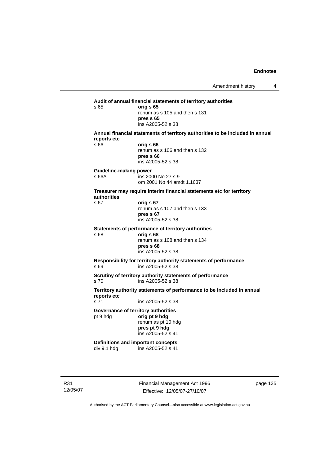**Audit of annual financial statements of territory authorities**  s 65 **orig s 65**  renum as s 105 and then s 131 **pres s 65**  ins A2005-52 s 38 **Annual financial statements of territory authorities to be included in annual reports etc**  s 66 **orig s 66**  renum as s 106 and then s 132 **pres s 66**  ins A2005-52 s 38 **Guideline-making power**  s 66A ins 2000 No 27 s 9 om 2001 No 44 amdt 1.1637 **Treasurer may require interim financial statements etc for territory authorities** s 67 **orig s 67**  renum as s 107 and then s 133 **pres s 67**  ins A2005-52 s 38 **Statements of performance of territory authorities**  s 68 **orig s 68**  renum as s 108 and then s 134 **pres s 68**  ins A2005-52 s 38 **Responsibility for territory authority statements of performance**  s 69 ins A2005-52 s 38 **Scrutiny of territory authority statements of performance**  s 70 ins A2005-52 s 38 **Territory authority statements of performance to be included in annual reports etc**  ins A2005-52 s 38 **Governance of territory authorities**  pt 9 hdg **orig pt 9 hdg**  renum as pt 10 hdg **pres pt 9 hdg**  ins A2005-52 s 41 **Definitions and important concepts**  div 9.1 hdg ins A2005-52 s 41

R31 12/05/07 Financial Management Act 1996 Effective: 12/05/07-27/10/07

page 135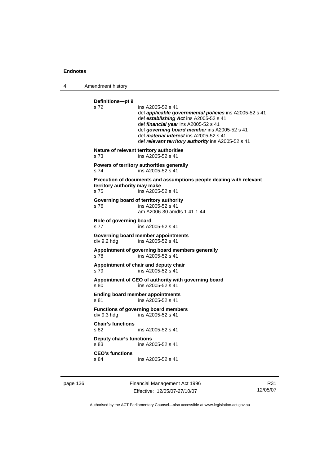4 Amendment history

**Definitions—pt 9**  ins A2005-52 s 41 def *applicable governmental policies* ins A2005-52 s 41 def *establishing Act* ins A2005-52 s 41 def *financial year* ins A2005-52 s 41 def *governing board member* ins A2005-52 s 41 def *material interest* ins A2005-52 s 41 def *relevant territory authority* ins A2005-52 s 41 **Nature of relevant territory authorities**  s 73 ins A2005-52 s 41 **Powers of territory authorities generally**  s 74 ins A2005-52 s 41 **Execution of documents and assumptions people dealing with relevant territory authority may make**  s 75 ins A2005-52 s 41 **Governing board of territory authority**  s 76 ins A2005-52 s 41 am A2006-30 amdts 1.41-1.44 **Role of governing board**  s 77 ins A2005-52 s 41 **Governing board member appointments**  div 9.2 hdg ins A2005-52 s 41 **Appointment of governing board members generally**  s 78 ins A2005-52 s 41 **Appointment of chair and deputy chair**  s 79 ins A2005-52 s 41 **Appointment of CEO of authority with governing board**  s 80 ins A2005-52 s 41 **Ending board member appointments**  s 81 ins A2005-52 s 41 **Functions of governing board members**  div 9.3 hdg ins A2005-52 s 41 **Chair's functions**  s 82 ins A2005-52 s 41 **Deputy chair's functions**  s 83 ins A2005-52 s 41 **CEO's functions**  s 84 ins A2005-52 s 41

page 136 Financial Management Act 1996 Effective: 12/05/07-27/10/07

R31 12/05/07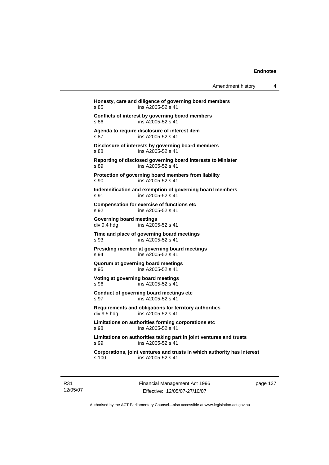| Amendment history |  |
|-------------------|--|
|-------------------|--|

**Honesty, care and diligence of governing board members**  s 85 ins A2005-52 s 41 **Conflicts of interest by governing board members**  s 86 ins A2005-52 s 41 **Agenda to require disclosure of interest item**  s 87 ins A2005-52 s 41 **Disclosure of interests by governing board members**  s 88 ins A2005-52 s 41 **Reporting of disclosed governing board interests to Minister**  s 89 ins A2005-52 s 41 **Protection of governing board members from liability**  s 90 ins A2005-52 s 41 **Indemnification and exemption of governing board members**  s 91 ins A2005-52 s 41 **Compensation for exercise of functions etc**  s 92 ins A2005-52 s 41 **Governing board meetings**  div 9.4 hdg ins A2005-52 s 41 **Time and place of governing board meetings**  s 93 ins A2005-52 s 41 **Presiding member at governing board meetings**  s 94 ins A2005-52 s 41 **Quorum at governing board meetings**  s 95 ins A2005-52 s 41 **Voting at governing board meetings**  s 96 ins A2005-52 s 41 **Conduct of governing board meetings etc**  s 97 ins A2005-52 s 41 **Requirements and obligations for territory authorities**  ins  $A2005 - 52$  s 41 **Limitations on authorities forming corporations etc**  s 98 ins A2005-52 s 41 **Limitations on authorities taking part in joint ventures and trusts**  s 99 ins A2005-52 s 41 **Corporations, joint ventures and trusts in which authority has interest**  s 100 ins A2005-52 s 41

R31 12/05/07 Financial Management Act 1996 Effective: 12/05/07-27/10/07

page 137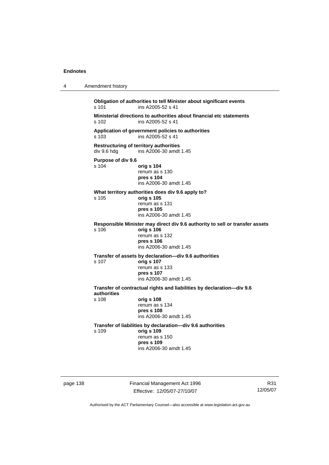```
4 Amendment history 
Obligation of authorities to tell Minister about significant events 
s 101 ins A2005-52 s 41
Ministerial directions to authorities about financial etc statements 
                   ins A2005-52 s 41
Application of government policies to authorities 
s 103 ins A2005-52 s 41 
Restructuring of territory authorities 
div 9.6 hdg ins A2006-30 amdt 1.45 
Purpose of div 9.6 
                   s 104 orig s 104
                    renum as s 130 
                   pres s 104 
                    ins A2006-30 amdt 1.45 
What territory authorities does div 9.6 apply to? 
s 105 orig s 105
                    renum as s 131 
                   pres s 105 
                    ins A2006-30 amdt 1.45 
Responsible Minister may direct div 9.6 authority to sell or transfer assets 
                   s 106 orig s 106
                    renum as s 132 
                   pres s 106 
                    ins A2006-30 amdt 1.45 
Transfer of assets by declaration—div 9.6 authorities 
s 107 orig s 107
                    renum as s 133 
                   pres s 107 
                    ins A2006-30 amdt 1.45 
Transfer of contractual rights and liabilities by declaration—div 9.6 
authorities 
                   s 108 orig s 108
                    renum as s 134 
                   pres s 108 
                    ins A2006-30 amdt 1.45 
Transfer of liabilities by declaration—div 9.6 authorities 
s 109 orig s 109
                    renum as s 150 
                   pres s 109 
                    ins A2006-30 amdt 1.45
```
page 138 Financial Management Act 1996 Effective: 12/05/07-27/10/07

R31 12/05/07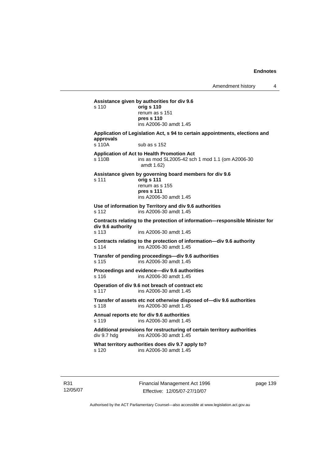**Assistance given by authorities for div 9.6**  s 110 **orig s 110** renum as s 151 **pres s 110**  ins A2006-30 amdt 1.45 **Application of Legislation Act, s 94 to certain appointments, elections and approvals**  s 110A sub as s 152 **Application of Act to Health Promotion Act**  s 110B ins as mod SL2005-42 sch 1 mod 1.1 (om A2006-30 amdt 1.62) **Assistance given by governing board members for div 9.6**  s 111 **orig s 111** renum as s 155 **pres s 111**  ins A2006-30 amdt 1.45 **Use of information by Territory and div 9.6 authorities**  s 112 ins A2006-30 amdt 1.45 **Contracts relating to the protection of information—responsible Minister for div 9.6 authority**  s 113 ins A2006-30 amdt 1.45 **Contracts relating to the protection of information—div 9.6 authority**  s 114 ins A2006-30 amdt 1.45 **Transfer of pending proceedings—div 9.6 authorities**  s 115 ins A2006-30 amdt 1.45 **Proceedings and evidence—div 9.6 authorities**  s 116 ins A2006-30 amdt 1.45 **Operation of div 9.6 not breach of contract etc**  s 117 ins A2006-30 amdt 1.45 **Transfer of assets etc not otherwise disposed of—div 9.6 authorities**  s 118 ins A2006-30 amdt 1.45 **Annual reports etc for div 9.6 authorities**  s 119 ins A2006-30 amdt 1.45 Additional provisions for restructuring of certain territory authorities<br>div 9.7 hdg ins A2006-30 amdt 1.45 ins A2006-30 amdt  $1.45$ **What territory authorities does div 9.7 apply to?**  s 120 ins A2006-30 amdt 1.45

Financial Management Act 1996 Effective: 12/05/07-27/10/07

page 139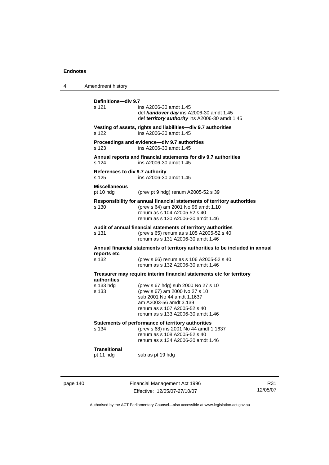| 4 | Amendment history                        |                                                                                                                                                                                                    |
|---|------------------------------------------|----------------------------------------------------------------------------------------------------------------------------------------------------------------------------------------------------|
|   | Definitions-div 9.7<br>s 121             | ins A2006-30 amdt 1.45<br>def handover day ins A2006-30 amdt 1.45<br>def territory authority ins A2006-30 amdt 1.45                                                                                |
|   | s 122                                    | Vesting of assets, rights and liabilities—div 9.7 authorities<br>ins A2006-30 amdt 1.45                                                                                                            |
|   | s 123                                    | Proceedings and evidence-div 9.7 authorities<br>ins A2006-30 amdt 1.45                                                                                                                             |
|   | s 124                                    | Annual reports and financial statements for div 9.7 authorities<br>ins A2006-30 amdt 1.45                                                                                                          |
|   | References to div 9.7 authority<br>s 125 | ins A2006-30 amdt 1.45                                                                                                                                                                             |
|   | <b>Miscellaneous</b><br>pt 10 hdg        | (prev pt 9 hdg) renum A2005-52 s 39                                                                                                                                                                |
|   | s 130                                    | Responsibility for annual financial statements of territory authorities<br>(prev s 64) am 2001 No 95 amdt 1.10<br>renum as s 104 A2005-52 s 40<br>renum as s 130 A2006-30 amdt 1.46                |
|   | s 131                                    | Audit of annual financial statements of territory authorities<br>(prev s 65) renum as s 105 A2005-52 s 40<br>renum as s 131 A2006-30 amdt 1.46                                                     |
|   | reports etc                              | Annual financial statements of territory authorities to be included in annual                                                                                                                      |
|   | s 132                                    | (prev s 66) renum as s 106 A2005-52 s 40<br>renum as s 132 A2006-30 amdt 1.46                                                                                                                      |
|   | <b>authorities</b>                       | Treasurer may require interim financial statements etc for territory                                                                                                                               |
|   | s 133 hdg<br>s 133                       | (prev s 67 hdg) sub 2000 No 27 s 10<br>(prev s 67) am 2000 No 27 s 10<br>sub 2001 No 44 amdt 1.1637<br>am A2003-56 amdt 3.139<br>renum as s 107 A2005-52 s 40<br>renum as s 133 A2006-30 amdt 1.46 |
|   | s 134                                    | Statements of performance of territory authorities<br>(prev s 68) ins 2001 No 44 amdt 1.1637<br>renum as s 108 A2005-52 s 40<br>renum as s 134 A2006-30 amdt 1.46                                  |
|   | <b>Transitional</b><br>pt 11 hdg         | sub as pt 19 hdg                                                                                                                                                                                   |
|   |                                          |                                                                                                                                                                                                    |

page 140 Financial Management Act 1996 Effective: 12/05/07-27/10/07

R31 12/05/07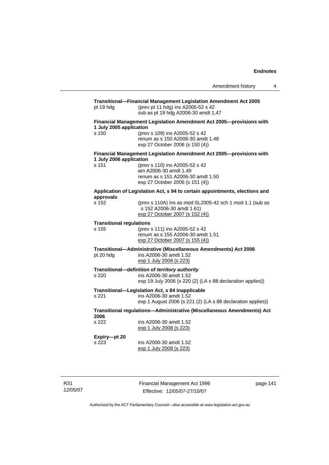| pt 19 hdg                                | Transitional-Financial Management Legislation Amendment Act 2005<br>(prev pt 11 hdg) ins A2005-52 s 42<br>sub as pt 19 hdg A2006-30 amdt 1.47 |  |  |
|------------------------------------------|-----------------------------------------------------------------------------------------------------------------------------------------------|--|--|
|                                          | Financial Management Legislation Amendment Act 2005-provisions with<br>1 July 2005 application                                                |  |  |
| s 150                                    | (prev s 109) ins A2005-52 s 42<br>renum as s 150 A2006-30 amdt 1.48<br>exp 27 October 2006 (s 150 (4))                                        |  |  |
| 1 July 2006 application                  | Financial Management Legislation Amendment Act 2005-provisions with                                                                           |  |  |
| s 151                                    | (prev s 110) ins A2005-52 s 42<br>am A2006-30 amdt 1.49<br>renum as s 151 A2006-30 amdt 1.50<br>exp 27 October 2006 (s 151 (4))               |  |  |
| approvals                                | Application of Legislation Act, s 94 to certain appointments, elections and                                                                   |  |  |
| s 152                                    | (prev s 110A) ins as mod SL2005-42 sch 1 mod 1.1 (sub as<br>s 152 A2006-30 amdt 1.61)<br>exp 27 October 2007 (s 152 (4))                      |  |  |
| <b>Transitional regulations</b><br>s 155 | (prev s 111) ins A2005-52 s 42<br>renum as s 155 A2006-30 amdt 1.51                                                                           |  |  |
|                                          | exp 27 October 2007 (s 155 (4))                                                                                                               |  |  |
| pt 20 hdg                                | Transitional-Administrative (Miscellaneous Amendments) Act 2006<br>ins A2006-30 amdt 1.52<br>exp 1 July 2008 (s 223)                          |  |  |
| s 220                                    | Transitional-definition of territory authority<br>ins A2006-30 amdt 1.52                                                                      |  |  |
|                                          | exp 19 July 2006 (s 220 (2) (LA s 88 declaration applies))                                                                                    |  |  |
| s 221                                    | Transitional-Legislation Act, s 84 inapplicable<br>ins A2006-30 amdt 1.52<br>exp 1 August 2006 (s 221 (2) (LA s 88 declaration applies))      |  |  |
| 2006                                     | Transitional regulations-Administrative (Miscellaneous Amendments) Act                                                                        |  |  |
| s 222                                    | ins A2006-30 amdt 1.52<br>exp 1 July 2008 (s 223)                                                                                             |  |  |
| Expiry-pt 20<br>s 223                    | ins A2006-30 amdt 1.52<br>exp 1 July 2008 (s 223)                                                                                             |  |  |

R31 12/05/07 Financial Management Act 1996 Effective: 12/05/07-27/10/07

page 141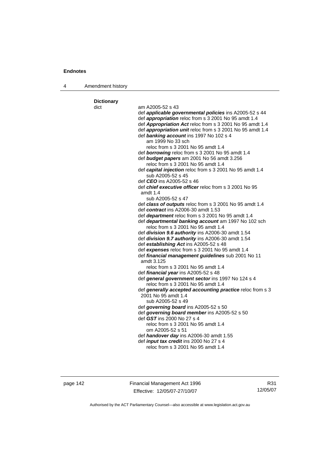| 4 | Amendment history         |                                                                                                |
|---|---------------------------|------------------------------------------------------------------------------------------------|
|   |                           |                                                                                                |
|   | <b>Dictionary</b><br>dict | am A2005-52 s 43                                                                               |
|   |                           | def applicable governmental policies ins A2005-52 s 44                                         |
|   |                           | def <i>appropriation</i> reloc from s 3 2001 No 95 amdt 1.4                                    |
|   |                           | def Appropriation Act reloc from s 3 2001 No 95 amdt 1.4                                       |
|   |                           | def appropriation unit reloc from s 3 2001 No 95 amdt 1.4                                      |
|   |                           | def banking account ins 1997 No 102 s 4                                                        |
|   |                           | am 1999 No 33 sch                                                                              |
|   |                           | reloc from s 3 2001 No 95 amdt 1.4                                                             |
|   |                           | def <b>borrowing</b> reloc from s 3 2001 No 95 amdt 1.4                                        |
|   |                           | def budget papers am 2001 No 56 amdt 3.256                                                     |
|   |                           | reloc from s 3 2001 No 95 amdt 1.4<br>def capital injection reloc from s 3 2001 No 95 amdt 1.4 |
|   |                           | sub A2005-52 s 45                                                                              |
|   |                           | def CEO ins A2005-52 s 46                                                                      |
|   |                           | def <i>chief executive officer</i> reloc from s 3 2001 No 95                                   |
|   |                           | amdt 1.4                                                                                       |
|   |                           | sub A2005-52 s 47                                                                              |
|   |                           | def class of outputs reloc from s 3 2001 No 95 amdt 1.4                                        |
|   |                           | def contract ins A2006-30 amdt 1.53                                                            |
|   |                           | def department reloc from s 3 2001 No 95 amdt 1.4                                              |
|   |                           | def departmental banking account am 1997 No 102 sch<br>reloc from s 3 2001 No 95 amdt 1.4      |
|   |                           | def division 9.6 authority ins A2006-30 amdt 1.54                                              |
|   |                           | def division 9.7 authority ins A2006-30 amdt 1.54                                              |
|   |                           | def establishing Act ins A2005-52 s 48                                                         |
|   |                           | def expenses reloc from s 3 2001 No 95 amdt 1.4                                                |
|   |                           | def financial management guidelines sub 2001 No 11                                             |
|   |                           | amdt 3.125                                                                                     |
|   |                           | reloc from s 3 2001 No 95 amdt 1.4                                                             |
|   |                           | def financial year ins A2005-52 s 48<br>def general government sector ins 1997 No 124 s 4      |
|   |                           | reloc from s 3 2001 No 95 amdt 1.4                                                             |
|   |                           | def generally accepted accounting practice reloc from s 3                                      |
|   |                           | 2001 No 95 amdt 1.4                                                                            |
|   |                           | sub A2005-52 s 49                                                                              |
|   |                           | def governing board ins A2005-52 s 50                                                          |
|   |                           | def governing board member ins A2005-52 s 50                                                   |
|   |                           | def GST ins 2000 No 27 s 4                                                                     |
|   |                           | reloc from s 3 2001 No 95 amdt 1.4<br>om A2005-52 s 51                                         |
|   |                           | def handover day ins A2006-30 amdt 1.55                                                        |
|   |                           | def <i>input tax credit</i> ins 2000 No 27 s 4                                                 |
|   |                           | reloc from s 3 2001 No 95 amdt 1.4                                                             |
|   |                           |                                                                                                |
|   |                           |                                                                                                |

page 142 Financial Management Act 1996 Effective: 12/05/07-27/10/07

R31 12/05/07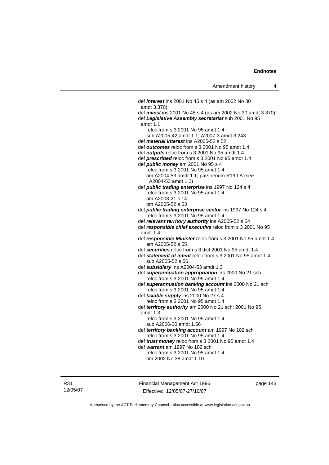def *interest* ins 2001 No 45 s 4 (as am 2002 No 30 amdt 3.370) def *invest* ins 2001 No 45 s 4 (as am 2002 No 30 amdt 3.370) def *Legislative Assembly secretariat* sub 2001 No 95 amdt 1.1 reloc from s 3 2001 No 95 amdt 1.4 sub A2005-42 amdt 1.1; A2007-3 amdt 3.243 def *material interest* ins A2005-52 s 52 def *outcomes* reloc from s 3 2001 No 95 amdt 1.4 def *outputs* reloc from s 3 2001 No 95 amdt 1.4 def *prescribed* reloc from s 3 2001 No 95 amdt 1.4 def *public money* am 2001 No 95 s 4 reloc from s 3 2001 No 95 amdt 1.4 am A2004-53 amdt 1.1; pars renum R19 LA (see A2004-53 amdt 1.2) def *public trading enterprise* ins 1997 No 124 s 4 reloc from s 3 2001 No 95 amdt 1.4 am A2003-21 s 14 om A2005-52 s 53 def *public trading enterprise sector* ins 1997 No 124 s 4 reloc from s 3 2001 No 95 amdt 1.4 def *relevant territory authority* ins A2005-52 s 54 def *responsible chief executive* reloc from s 3 2001 No 95 amdt 1.4 def *responsible Minister* reloc from s 3 2001 No 95 amdt 1.4 am A2005-52 s 55 def *securities* reloc from s 3 dict 2001 No 95 amdt 1.4 def *statement of intent* reloc from s 3 2001 No 95 amdt 1.4 sub A2005-52 s 56 def *subsidiary* ins A2004-53 amdt 1.3 def *superannuation appropriation* ins 2000 No 21 sch reloc from s 3 2001 No 95 amdt 1.4 def *superannuation banking account* ins 2000 No 21 sch reloc from s 3 2001 No 95 amdt 1.4 def *taxable supply* ins 2000 No 27 s 4 reloc from s 3 2001 No 95 amdt 1.4 def *territory authority* am 2000 No 21 sch; 2001 No 95 amdt 1.3 reloc from s 3 2001 No 95 amdt 1.4 sub A2006-30 amdt 1.56 def *territory banking account* am 1997 No 102 sch reloc from s 3 2001 No 95 amdt 1.4 def *trust money* reloc from s 3 2001 No 95 amdt 1.4 def *warrant* am 1997 No 102 sch reloc from s 3 2001 No 95 amdt 1.4 om 2002 No 38 amdt 1.10

R31 12/05/07 Financial Management Act 1996 Effective: 12/05/07-27/10/07

page 143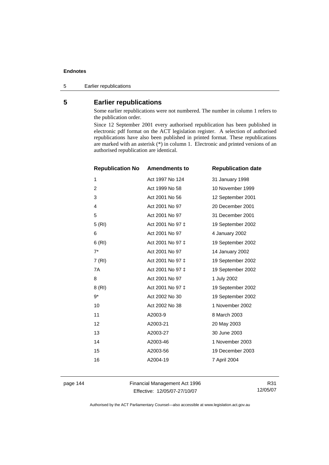5 Earlier republications

# **5 Earlier republications**

Some earlier republications were not numbered. The number in column 1 refers to the publication order.

Since 12 September 2001 every authorised republication has been published in electronic pdf format on the ACT legislation register. A selection of authorised republications have also been published in printed format. These republications are marked with an asterisk (\*) in column 1. Electronic and printed versions of an authorised republication are identical.

| <b>Republication No</b> | <b>Amendments to</b> | <b>Republication date</b> |
|-------------------------|----------------------|---------------------------|
| 1                       | Act 1997 No 124      | 31 January 1998           |
| $\overline{c}$          | Act 1999 No 58       | 10 November 1999          |
| 3                       | Act 2001 No 56       | 12 September 2001         |
| 4                       | Act 2001 No 97       | 20 December 2001          |
| 5                       | Act 2001 No 97       | 31 December 2001          |
| 5(RI)                   | Act 2001 No 97 ‡     | 19 September 2002         |
| 6                       | Act 2001 No 97       | 4 January 2002            |
| 6(RI)                   | Act 2001 No 97 ‡     | 19 September 2002         |
| $7^*$                   | Act 2001 No 97       | 14 January 2002           |
| 7(RI)                   | Act 2001 No 97 ‡     | 19 September 2002         |
| 7A                      | Act 2001 No 97 ‡     | 19 September 2002         |
| 8                       | Act 2001 No 97       | 1 July 2002               |
| 8(RI)                   | Act 2001 No 97 ‡     | 19 September 2002         |
| 9*                      | Act 2002 No 30       | 19 September 2002         |
| 10                      | Act 2002 No 38       | 1 November 2002           |
| 11                      | A2003-9              | 8 March 2003              |
| 12                      | A2003-21             | 20 May 2003               |
| 13                      | A2003-27             | 30 June 2003              |
| 14                      | A2003-46             | 1 November 2003           |
| 15                      | A2003-56             | 19 December 2003          |
| 16                      | A2004-19             | 7 April 2004              |
|                         |                      |                           |

page 144 Financial Management Act 1996 Effective: 12/05/07-27/10/07

R31 12/05/07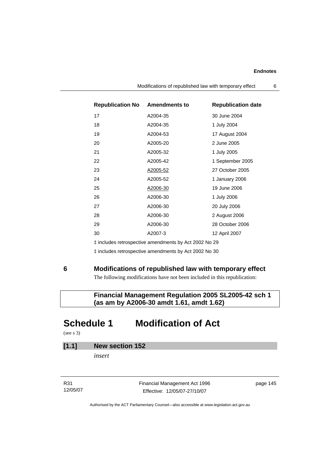| <b>Republication No Amendments to</b> |                | <b>Republication date</b> |
|---------------------------------------|----------------|---------------------------|
| 17                                    | A2004-35       | 30 June 2004              |
| 18                                    | A2004-35       | 1 July 2004               |
| 19                                    | A2004-53       | 17 August 2004            |
| 20                                    | A2005-20       | 2 June 2005               |
| 21                                    | A2005-32       | 1 July 2005               |
| 22                                    | A2005-42       | 1 September 2005          |
| 23                                    | A2005-52       | 27 October 2005           |
| 24                                    | A2005-52       | 1 January 2006            |
| 25                                    | A2006-30       | 19 June 2006              |
| 26                                    | A2006-30       | 1 July 2006               |
| 27                                    | A2006-30       | 20 July 2006              |
| 28                                    | A2006-30       | 2 August 2006             |
| 29                                    | A2006-30       | 28 October 2006           |
| 30                                    | A2007-3        | 12 April 2007             |
|                                       | $\blacksquare$ |                           |

‡ includes retrospective amendments by Act 2002 No 29

‡ includes retrospective amendments by Act 2002 No 30

### **6 Modifications of republished law with temporary effect**

The following modifications have not been included in this republication:

# **Financial Management Regulation 2005 SL2005-42 sch 1 (as am by A2006-30 amdt 1.61, amdt 1.62)**

# **Schedule 1 Modification of Act**

(see s 3)

# **[1.1] New section 152**

*insert* 

R31 12/05/07 Financial Management Act 1996 Effective: 12/05/07-27/10/07

page 145